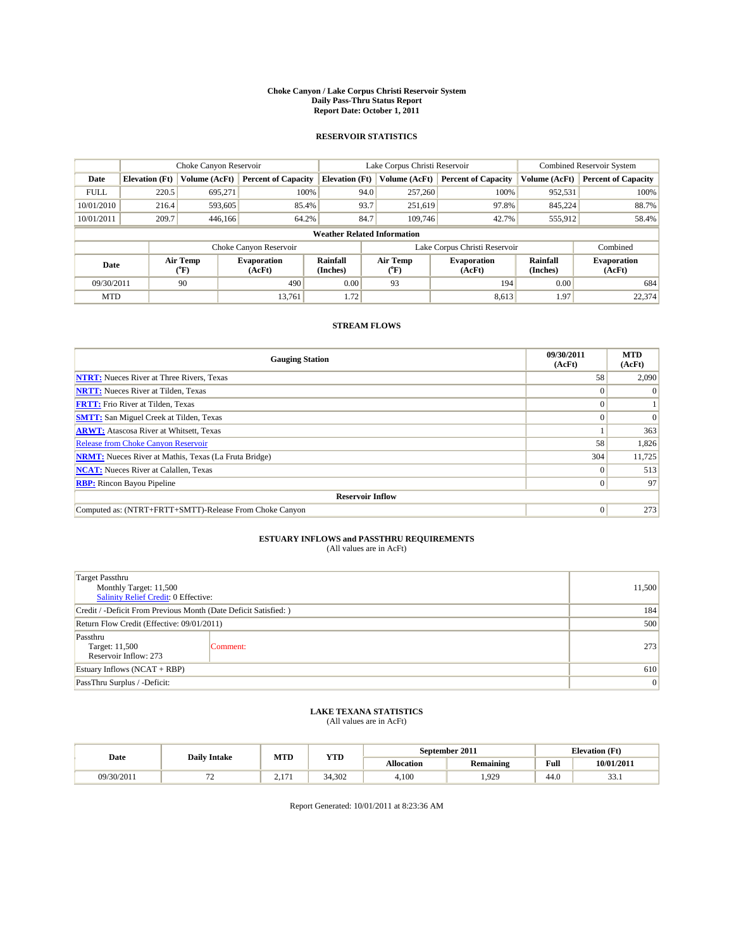#### **Choke Canyon / Lake Corpus Christi Reservoir System Daily Pass-Thru Status Report Report Date: October 1, 2011**

### **RESERVOIR STATISTICS**

|             | Choke Canyon Reservoir             |                                           |                              |                             | Lake Corpus Christi Reservoir             |                               |                      | <b>Combined Reservoir System</b> |  |  |
|-------------|------------------------------------|-------------------------------------------|------------------------------|-----------------------------|-------------------------------------------|-------------------------------|----------------------|----------------------------------|--|--|
| Date        | <b>Elevation</b> (Ft)              | Volume (AcFt)                             | <b>Percent of Capacity</b>   | <b>Elevation</b> (Ft)       | Volume (AcFt)                             | <b>Percent of Capacity</b>    | Volume (AcFt)        | <b>Percent of Capacity</b>       |  |  |
| <b>FULL</b> | 220.5                              | 695,271                                   | 100%                         | 94.0                        | 257,260                                   | 100%                          | 952,531              | 100%                             |  |  |
| 10/01/2010  | 216.4                              | 593,605                                   | 85.4%                        | 93.7                        | 251,619                                   | 97.8%                         | 845.224              | 88.7%                            |  |  |
| 10/01/2011  | 209.7                              | 446,166                                   | 64.2%                        | 84.7                        | 109,746                                   | 42.7%                         | 555,912              | 58.4%                            |  |  |
|             | <b>Weather Related Information</b> |                                           |                              |                             |                                           |                               |                      |                                  |  |  |
|             |                                    |                                           | Choke Canyon Reservoir       |                             |                                           | Lake Corpus Christi Reservoir |                      | Combined                         |  |  |
| Date        |                                    | Air Temp<br>$({}^{\mathrm{o}}\mathrm{F})$ | <b>Evaporation</b><br>(AcFt) | <b>Rainfall</b><br>(Inches) | Air Temp<br>$({}^{\mathrm{o}}\mathrm{F})$ | <b>Evaporation</b><br>(AcFt)  | Rainfall<br>(Inches) | <b>Evaporation</b><br>(AcFt)     |  |  |
| 09/30/2011  |                                    | 90                                        | 490                          | 0.00                        | 93                                        | 194                           | 0.00                 | 684                              |  |  |
| <b>MTD</b>  |                                    |                                           | 13.761                       | 1.72                        |                                           | 8,613                         | 1.97                 | 22,374                           |  |  |

## **STREAM FLOWS**

| <b>Gauging Station</b>                                       | 09/30/2011<br>(AcFt) | <b>MTD</b><br>(AcFt) |  |  |  |  |  |
|--------------------------------------------------------------|----------------------|----------------------|--|--|--|--|--|
| <b>NTRT:</b> Nueces River at Three Rivers, Texas             | 58                   | 2,090                |  |  |  |  |  |
| <b>NRTT:</b> Nueces River at Tilden, Texas                   | $\Omega$             |                      |  |  |  |  |  |
| <b>FRTT:</b> Frio River at Tilden, Texas                     |                      |                      |  |  |  |  |  |
| <b>SMTT:</b> San Miguel Creek at Tilden, Texas               |                      | $\Omega$             |  |  |  |  |  |
| <b>ARWT:</b> Atascosa River at Whitsett, Texas               |                      | 363                  |  |  |  |  |  |
| <b>Release from Choke Canyon Reservoir</b>                   | 58                   | 1,826                |  |  |  |  |  |
| <b>NRMT:</b> Nueces River at Mathis, Texas (La Fruta Bridge) | 304                  | 11,725               |  |  |  |  |  |
| <b>NCAT:</b> Nueces River at Calallen, Texas                 | $\theta$             | 513                  |  |  |  |  |  |
| <b>RBP:</b> Rincon Bayou Pipeline                            | $\overline{0}$       | 97                   |  |  |  |  |  |
| <b>Reservoir Inflow</b>                                      |                      |                      |  |  |  |  |  |
| Computed as: (NTRT+FRTT+SMTT)-Release From Choke Canyon      | $\Omega$             | 273                  |  |  |  |  |  |

# **ESTUARY INFLOWS and PASSTHRU REQUIREMENTS**<br>(All values are in AcFt)

| Target Passthru<br>Monthly Target: 11,500<br>Salinity Relief Credit: 0 Effective: | 11,500   |     |
|-----------------------------------------------------------------------------------|----------|-----|
| Credit / -Deficit From Previous Month (Date Deficit Satisfied: )                  | 184      |     |
| Return Flow Credit (Effective: 09/01/2011)                                        | 500      |     |
| Passthru<br>Target: 11,500<br>Reservoir Inflow: 273                               | Comment: | 273 |
| Estuary Inflows $(NCAT + RBP)$                                                    | 610      |     |
| PassThru Surplus / -Deficit:                                                      | 0        |     |

## **LAKE TEXANA STATISTICS** (All values are in AcFt)

| Date       | <b>Daily Intake</b> | MTD                     | <b>YTD</b> | September 2011    |                  | <b>Elevation</b> (Ft) |            |
|------------|---------------------|-------------------------|------------|-------------------|------------------|-----------------------|------------|
|            |                     |                         |            | <b>Allocation</b> | <b>Remaining</b> | Full                  | 10/01/2011 |
| 09/30/2011 | . .                 | 1 <sub>7</sub><br>$-11$ | 34.302     | 4.100             | .929             | 44.0                  | ~~<br>JJ.1 |

Report Generated: 10/01/2011 at 8:23:36 AM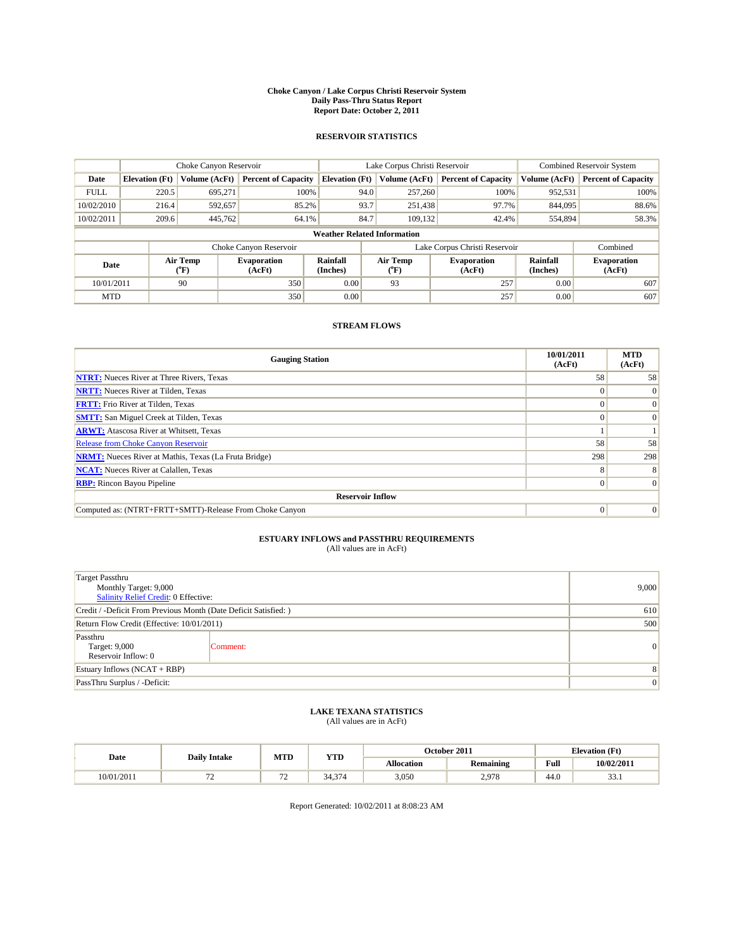#### **Choke Canyon / Lake Corpus Christi Reservoir System Daily Pass-Thru Status Report Report Date: October 2, 2011**

### **RESERVOIR STATISTICS**

|             | Choke Canyon Reservoir             |                  |                              |                       | Lake Corpus Christi Reservoir |                               |                      | <b>Combined Reservoir System</b> |  |  |
|-------------|------------------------------------|------------------|------------------------------|-----------------------|-------------------------------|-------------------------------|----------------------|----------------------------------|--|--|
| Date        | <b>Elevation</b> (Ft)              | Volume (AcFt)    | <b>Percent of Capacity</b>   | <b>Elevation</b> (Ft) | Volume (AcFt)                 | <b>Percent of Capacity</b>    | Volume (AcFt)        | <b>Percent of Capacity</b>       |  |  |
| <b>FULL</b> | 220.5                              | 695,271          | 100%                         | 94.0                  | 257,260                       | 100%                          | 952,531              | 100%                             |  |  |
| 10/02/2010  | 216.4                              | 592,657          | 85.2%                        | 93.7                  | 251,438                       | 97.7%                         | 844,095              | 88.6%                            |  |  |
| 10/02/2011  | 209.6                              | 445,762          | 64.1%                        | 84.7                  | 109,132                       | 42.4%                         | 554,894              | 58.3%                            |  |  |
|             | <b>Weather Related Information</b> |                  |                              |                       |                               |                               |                      |                                  |  |  |
|             |                                    |                  | Choke Canyon Reservoir       |                       |                               | Lake Corpus Christi Reservoir |                      | Combined                         |  |  |
| Date        |                                    | Air Temp<br>(°F) | <b>Evaporation</b><br>(AcFt) | Rainfall<br>(Inches)  | Air Temp<br>("F)              | <b>Evaporation</b><br>(AcFt)  | Rainfall<br>(Inches) | <b>Evaporation</b><br>(AcFt)     |  |  |
| 10/01/2011  |                                    | 90               | 350                          | 0.00                  | 93                            | 257                           | 0.00                 | 607                              |  |  |
| <b>MTD</b>  |                                    |                  | 350                          | 0.00                  |                               | 257                           | 0.00                 | 607                              |  |  |

## **STREAM FLOWS**

| <b>Gauging Station</b>                                       | 10/01/2011<br>(AcFt) | <b>MTD</b><br>(AcFt) |
|--------------------------------------------------------------|----------------------|----------------------|
| <b>NTRT:</b> Nueces River at Three Rivers, Texas             | 58                   | 58                   |
| <b>NRTT:</b> Nueces River at Tilden, Texas                   |                      |                      |
| <b>FRTT:</b> Frio River at Tilden, Texas                     |                      | $\Omega$             |
| <b>SMTT:</b> San Miguel Creek at Tilden, Texas               |                      | $\Omega$             |
| <b>ARWT:</b> Atascosa River at Whitsett, Texas               |                      |                      |
| <b>Release from Choke Canyon Reservoir</b>                   | 58                   | 58                   |
| <b>NRMT:</b> Nueces River at Mathis, Texas (La Fruta Bridge) | 298                  | 298                  |
| <b>NCAT:</b> Nueces River at Calallen, Texas                 | 8                    | 8                    |
| <b>RBP:</b> Rincon Bayou Pipeline                            | $\Omega$             | $\Omega$             |
| <b>Reservoir Inflow</b>                                      |                      |                      |
| Computed as: (NTRT+FRTT+SMTT)-Release From Choke Canyon      | $\Omega$             | $\Omega$             |

# **ESTUARY INFLOWS and PASSTHRU REQUIREMENTS**<br>(All values are in AcFt)

| <b>Target Passthru</b><br>Monthly Target: 9,000<br>Salinity Relief Credit: 0 Effective: | 9,000          |                 |
|-----------------------------------------------------------------------------------------|----------------|-----------------|
| Credit / -Deficit From Previous Month (Date Deficit Satisfied: )                        | 610            |                 |
| Return Flow Credit (Effective: 10/01/2011)                                              | 500            |                 |
| Passthru<br>Target: 9,000<br>Reservoir Inflow: 0                                        | Comment:       | $\vert 0 \vert$ |
| Estuary Inflows $(NCAT + RBP)$                                                          | 8              |                 |
| PassThru Surplus / -Deficit:                                                            | $\overline{0}$ |                 |

## **LAKE TEXANA STATISTICS** (All values are in AcFt)

|            | <b>Daily Intake</b> | MTD    | <b>YTD</b>              |                   | October 2011     | <b>Elevation</b> (Ft) |            |
|------------|---------------------|--------|-------------------------|-------------------|------------------|-----------------------|------------|
| Date       |                     |        |                         | <b>Allocation</b> | <b>Remaining</b> | Full                  | 10/02/2011 |
| 10/01/2011 | . .                 | $\sim$ | $\sim$<br>34<br><i></i> | 3,050             | ,079<br><u>.</u> | 44.0                  | ~~<br>JJ.1 |

Report Generated: 10/02/2011 at 8:08:23 AM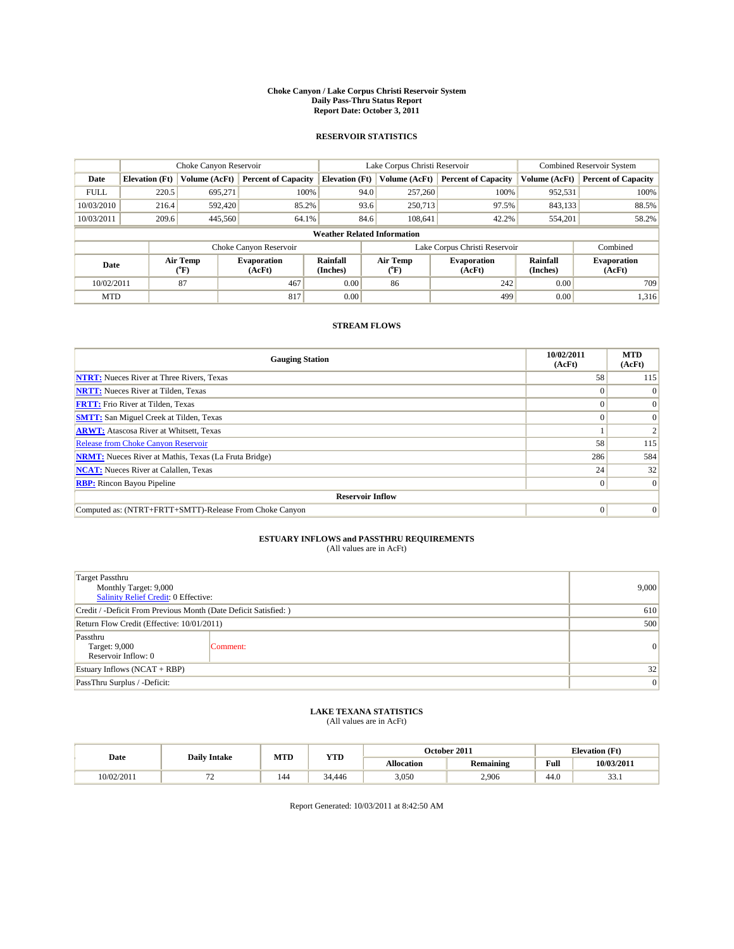#### **Choke Canyon / Lake Corpus Christi Reservoir System Daily Pass-Thru Status Report Report Date: October 3, 2011**

### **RESERVOIR STATISTICS**

|             | Choke Canyon Reservoir             |                  |                              |                       | Lake Corpus Christi Reservoir |                               |                      | <b>Combined Reservoir System</b> |  |  |
|-------------|------------------------------------|------------------|------------------------------|-----------------------|-------------------------------|-------------------------------|----------------------|----------------------------------|--|--|
| Date        | <b>Elevation</b> (Ft)              | Volume (AcFt)    | <b>Percent of Capacity</b>   | <b>Elevation</b> (Ft) | Volume (AcFt)                 | <b>Percent of Capacity</b>    | Volume (AcFt)        | <b>Percent of Capacity</b>       |  |  |
| <b>FULL</b> | 220.5                              | 695,271          | 100%                         | 94.0                  | 257,260                       | 100%                          | 952,531              | 100%                             |  |  |
| 10/03/2010  | 216.4                              | 592,420          | 85.2%                        | 93.6                  | 250,713                       | 97.5%                         | 843,133              | 88.5%                            |  |  |
| 10/03/2011  | 209.6                              | 445,560          | 64.1%                        | 84.6                  | 108,641                       | 42.2%                         | 554,201              | 58.2%                            |  |  |
|             | <b>Weather Related Information</b> |                  |                              |                       |                               |                               |                      |                                  |  |  |
|             |                                    |                  | Choke Canyon Reservoir       |                       |                               | Lake Corpus Christi Reservoir |                      | Combined                         |  |  |
| Date        |                                    | Air Temp<br>(°F) | <b>Evaporation</b><br>(AcFt) | Rainfall<br>(Inches)  | Air Temp<br>("F)              | <b>Evaporation</b><br>(AcFt)  | Rainfall<br>(Inches) | <b>Evaporation</b><br>(AcFt)     |  |  |
| 10/02/2011  |                                    | 87               | 467                          | 0.00                  | 86                            | 242                           | 0.00                 | 709                              |  |  |
| <b>MTD</b>  |                                    |                  | 817                          | 0.00                  |                               | 499                           | 0.00                 | 1,316                            |  |  |

## **STREAM FLOWS**

| <b>Gauging Station</b>                                       | 10/02/2011<br>(AcFt) | <b>MTD</b><br>(AcFt) |  |  |  |  |
|--------------------------------------------------------------|----------------------|----------------------|--|--|--|--|
| <b>NTRT:</b> Nueces River at Three Rivers, Texas             | 58                   | 115                  |  |  |  |  |
| <b>NRTT:</b> Nueces River at Tilden, Texas                   |                      | $\Omega$             |  |  |  |  |
| <b>FRTT:</b> Frio River at Tilden, Texas                     |                      | $\Omega$             |  |  |  |  |
| <b>SMTT:</b> San Miguel Creek at Tilden, Texas               |                      | $\Omega$             |  |  |  |  |
| <b>ARWT:</b> Atascosa River at Whitsett, Texas               |                      |                      |  |  |  |  |
| <b>Release from Choke Canyon Reservoir</b>                   | 58                   | 115                  |  |  |  |  |
| <b>NRMT:</b> Nueces River at Mathis, Texas (La Fruta Bridge) | 286                  | 584                  |  |  |  |  |
| <b>NCAT:</b> Nueces River at Calallen, Texas                 | 24                   | 32                   |  |  |  |  |
| <b>RBP:</b> Rincon Bayou Pipeline                            | $\overline{0}$       | $\Omega$             |  |  |  |  |
| <b>Reservoir Inflow</b>                                      |                      |                      |  |  |  |  |
| Computed as: (NTRT+FRTT+SMTT)-Release From Choke Canyon      | $\Omega$             | $\Omega$             |  |  |  |  |

# **ESTUARY INFLOWS and PASSTHRU REQUIREMENTS**<br>(All values are in AcFt)

| <b>Target Passthru</b><br>Monthly Target: 9,000<br>Salinity Relief Credit: 0 Effective: | 9,000    |           |
|-----------------------------------------------------------------------------------------|----------|-----------|
| Credit / -Deficit From Previous Month (Date Deficit Satisfied: )                        | 610      |           |
| Return Flow Credit (Effective: 10/01/2011)                                              | 500      |           |
| Passthru<br>Target: 9,000<br>Reservoir Inflow: 0                                        | Comment: | $\vert$ 0 |
| Estuary Inflows $(NCAT + RBP)$                                                          | 32       |           |
| PassThru Surplus / -Deficit:                                                            | 0        |           |

## **LAKE TEXANA STATISTICS** (All values are in AcFt)

| Date       | <b>Daily Intake</b> | MTD | YTD    |            | October 2011 | <b>Elevation</b> (Ft) |            |
|------------|---------------------|-----|--------|------------|--------------|-----------------------|------------|
|            |                     |     |        | Allocation | Remaining    | Full                  | 10/03/2011 |
| 10/02/2011 | --<br>. .           | 144 | 34.446 | 3,050      | 2.906        | 44.0                  | ~~<br>JJ.1 |

Report Generated: 10/03/2011 at 8:42:50 AM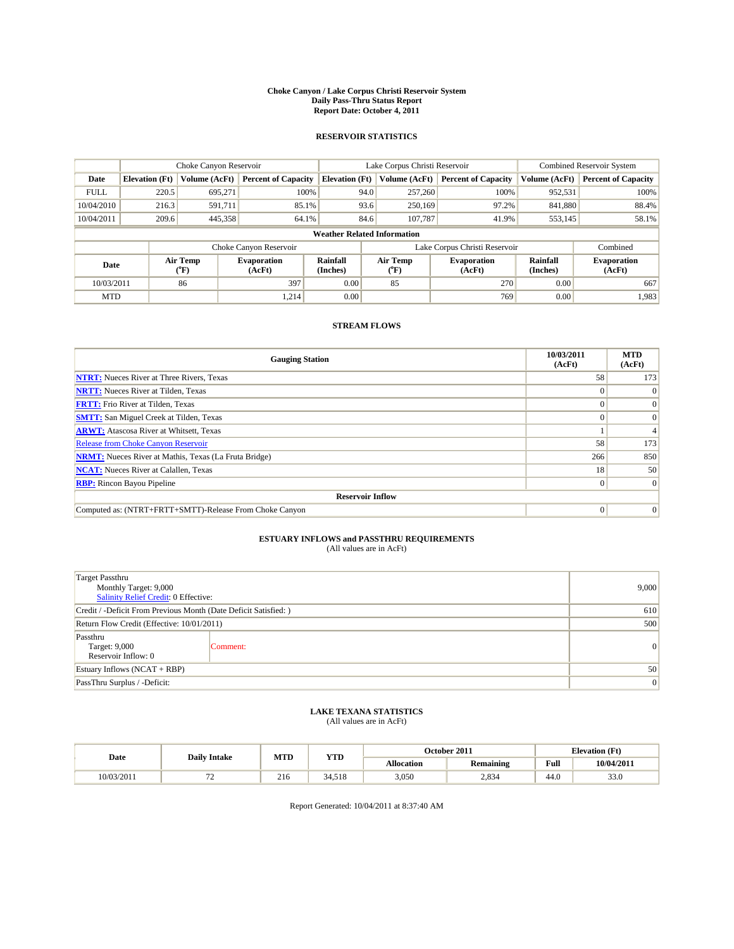#### **Choke Canyon / Lake Corpus Christi Reservoir System Daily Pass-Thru Status Report Report Date: October 4, 2011**

### **RESERVOIR STATISTICS**

|             | Choke Canyon Reservoir             |                  |                              |                       | Lake Corpus Christi Reservoir |                               |                      | <b>Combined Reservoir System</b> |  |
|-------------|------------------------------------|------------------|------------------------------|-----------------------|-------------------------------|-------------------------------|----------------------|----------------------------------|--|
| Date        | <b>Elevation</b> (Ft)              | Volume (AcFt)    | <b>Percent of Capacity</b>   | <b>Elevation</b> (Ft) | Volume (AcFt)                 | <b>Percent of Capacity</b>    | Volume (AcFt)        | <b>Percent of Capacity</b>       |  |
| <b>FULL</b> | 220.5                              | 695,271          | 100%                         | 94.0                  | 257,260                       | 100%                          | 952,531              | 100%                             |  |
| 10/04/2010  | 216.3                              | 591.711          | 85.1%                        | 93.6                  | 250,169                       | 97.2%                         | 841,880              | 88.4%                            |  |
| 10/04/2011  | 209.6                              | 445,358          | 64.1%                        | 84.6                  | 107,787                       | 41.9%                         | 553,145              | 58.1%                            |  |
|             | <b>Weather Related Information</b> |                  |                              |                       |                               |                               |                      |                                  |  |
|             |                                    |                  | Choke Canyon Reservoir       |                       |                               | Lake Corpus Christi Reservoir |                      | Combined                         |  |
| Date        |                                    | Air Temp<br>(°F) | <b>Evaporation</b><br>(AcFt) | Rainfall<br>(Inches)  | Air Temp<br>("F)              | <b>Evaporation</b><br>(AcFt)  | Rainfall<br>(Inches) | <b>Evaporation</b><br>(AcFt)     |  |
| 10/03/2011  |                                    | 86               | 397                          | 0.00                  | 85                            | 270                           | 0.00                 | 667                              |  |
| <b>MTD</b>  |                                    |                  | 1.214                        | 0.00                  |                               | 769                           | 0.00                 | 1,983                            |  |

## **STREAM FLOWS**

| <b>Gauging Station</b>                                       | 10/03/2011<br>(AcFt) | <b>MTD</b><br>(AcFt) |
|--------------------------------------------------------------|----------------------|----------------------|
| <b>NTRT:</b> Nueces River at Three Rivers, Texas             | 58                   | 173                  |
| <b>NRTT:</b> Nueces River at Tilden, Texas                   | $\theta$             |                      |
| <b>FRTT:</b> Frio River at Tilden, Texas                     |                      | $\Omega$             |
| <b>SMTT:</b> San Miguel Creek at Tilden, Texas               |                      | $\Omega$             |
| <b>ARWT:</b> Atascosa River at Whitsett, Texas               |                      |                      |
| <b>Release from Choke Canyon Reservoir</b>                   | 58                   | 173                  |
| <b>NRMT:</b> Nueces River at Mathis, Texas (La Fruta Bridge) | 266                  | 850                  |
| <b>NCAT:</b> Nueces River at Calallen, Texas                 | 18 <sup>1</sup>      | 50                   |
| <b>RBP:</b> Rincon Bayou Pipeline                            | $\overline{0}$       | $\Omega$             |
| <b>Reservoir Inflow</b>                                      |                      |                      |
| Computed as: (NTRT+FRTT+SMTT)-Release From Choke Canyon      | $\Omega$             | $\Omega$             |

# **ESTUARY INFLOWS and PASSTHRU REQUIREMENTS**<br>(All values are in AcFt)

| <b>Target Passthru</b><br>Monthly Target: 9,000<br>Salinity Relief Credit: 0 Effective: | 9,000    |   |
|-----------------------------------------------------------------------------------------|----------|---|
| Credit / -Deficit From Previous Month (Date Deficit Satisfied: )                        | 610      |   |
| Return Flow Credit (Effective: 10/01/2011)                                              | 500      |   |
| Passthru<br>Target: 9,000<br>Reservoir Inflow: 0                                        | Comment: | 0 |
| Estuary Inflows $(NCAT + RBP)$                                                          | 50       |   |
| PassThru Surplus / -Deficit:                                                            | 0        |   |

## **LAKE TEXANA STATISTICS** (All values are in AcFt)

| Date       | <b>Daily Intake</b> | MTD | <b>YTD</b> |                   | October 2011 | <b>Elevation</b> (Ft)                 |            |
|------------|---------------------|-----|------------|-------------------|--------------|---------------------------------------|------------|
|            |                     |     |            | <b>Allocation</b> | Remaining    | Full                                  | 10/04/2011 |
| 10/03/2011 | --<br>. .           | 216 | 34.518     | 3.050             | 2,834        | $\overline{A}$ $\overline{C}$<br>44.0 | 33.0       |

Report Generated: 10/04/2011 at 8:37:40 AM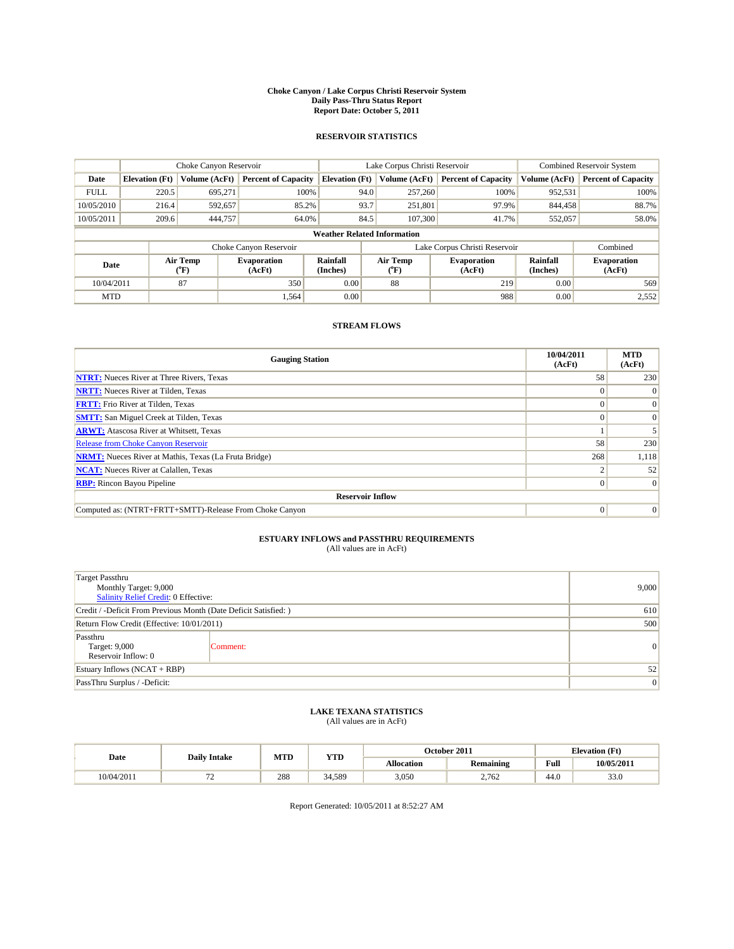#### **Choke Canyon / Lake Corpus Christi Reservoir System Daily Pass-Thru Status Report Report Date: October 5, 2011**

### **RESERVOIR STATISTICS**

|             | Choke Canyon Reservoir             |                  |                              |                             | Lake Corpus Christi Reservoir |                               |                      | <b>Combined Reservoir System</b> |  |  |
|-------------|------------------------------------|------------------|------------------------------|-----------------------------|-------------------------------|-------------------------------|----------------------|----------------------------------|--|--|
| Date        | <b>Elevation</b> (Ft)              | Volume (AcFt)    | <b>Percent of Capacity</b>   | <b>Elevation</b> (Ft)       | Volume (AcFt)                 | <b>Percent of Capacity</b>    | Volume (AcFt)        | <b>Percent of Capacity</b>       |  |  |
| <b>FULL</b> | 220.5                              | 695,271          | 100%                         | 94.0                        | 257,260                       | 100%                          | 952,531              | 100%                             |  |  |
| 10/05/2010  | 216.4                              | 592,657          | 85.2%                        | 93.7                        | 251,801                       | 97.9%                         | 844,458              | 88.7%                            |  |  |
| 10/05/2011  | 209.6                              | 444,757          | 64.0%                        | 84.5                        | 107,300                       | 41.7%                         | 552,057              | 58.0%                            |  |  |
|             | <b>Weather Related Information</b> |                  |                              |                             |                               |                               |                      |                                  |  |  |
|             |                                    |                  | Choke Canyon Reservoir       |                             |                               | Lake Corpus Christi Reservoir |                      | Combined                         |  |  |
| Date        |                                    | Air Temp<br>(°F) | <b>Evaporation</b><br>(AcFt) | <b>Rainfall</b><br>(Inches) | Air Temp<br>(°F)              | <b>Evaporation</b><br>(AcFt)  | Rainfall<br>(Inches) | <b>Evaporation</b><br>(AcFt)     |  |  |
| 10/04/2011  |                                    | 87               | 350                          | 0.00                        | 88                            | 219                           | 0.00                 | 569                              |  |  |
| <b>MTD</b>  |                                    |                  | 1,564                        | 0.00                        |                               | 988                           | 0.00                 | 2,552                            |  |  |

## **STREAM FLOWS**

| <b>Gauging Station</b>                                       | 10/04/2011<br>(AcFt) | <b>MTD</b><br>(AcFt) |
|--------------------------------------------------------------|----------------------|----------------------|
| <b>NTRT:</b> Nueces River at Three Rivers, Texas             | 58                   | 230                  |
| <b>NRTT:</b> Nueces River at Tilden, Texas                   |                      | $\Omega$             |
| <b>FRTT:</b> Frio River at Tilden, Texas                     |                      | $\Omega$             |
| <b>SMTT:</b> San Miguel Creek at Tilden, Texas               |                      | $\Omega$             |
| <b>ARWT:</b> Atascosa River at Whitsett, Texas               |                      |                      |
| <b>Release from Choke Canyon Reservoir</b>                   | 58                   | 230                  |
| <b>NRMT:</b> Nueces River at Mathis, Texas (La Fruta Bridge) | 268                  | 1,118                |
| <b>NCAT:</b> Nueces River at Calallen, Texas                 |                      | 52                   |
| <b>RBP:</b> Rincon Bayou Pipeline                            | $\overline{0}$       | $\Omega$             |
| <b>Reservoir Inflow</b>                                      |                      |                      |
| Computed as: (NTRT+FRTT+SMTT)-Release From Choke Canyon      | $\Omega$             | $\Omega$             |

# **ESTUARY INFLOWS and PASSTHRU REQUIREMENTS**<br>(All values are in AcFt)

| <b>Target Passthru</b><br>Monthly Target: 9,000<br>Salinity Relief Credit: 0 Effective: | 9,000    |           |
|-----------------------------------------------------------------------------------------|----------|-----------|
| Credit / -Deficit From Previous Month (Date Deficit Satisfied: )                        | 610      |           |
| Return Flow Credit (Effective: 10/01/2011)                                              | 500      |           |
| Passthru<br>Target: 9,000<br>Reservoir Inflow: 0                                        | Comment: | $\vert$ 0 |
| Estuary Inflows $(NCAT + RBP)$                                                          | 52       |           |
| PassThru Surplus / -Deficit:                                                            | 0        |           |

## **LAKE TEXANA STATISTICS** (All values are in AcFt)

|            | <b>Daily Intake</b> | MTD | <b>YTD</b> |                   | October 2011     |      | <b>Elevation</b> (Ft) |
|------------|---------------------|-----|------------|-------------------|------------------|------|-----------------------|
| Date       |                     |     |            | <b>Allocation</b> | <b>Remaining</b> | Full | 10/05/2011            |
| 10/04/2011 |                     | 288 | 34.589     | 3,050             | 2.762            | 44.0 | 33.0                  |

Report Generated: 10/05/2011 at 8:52:27 AM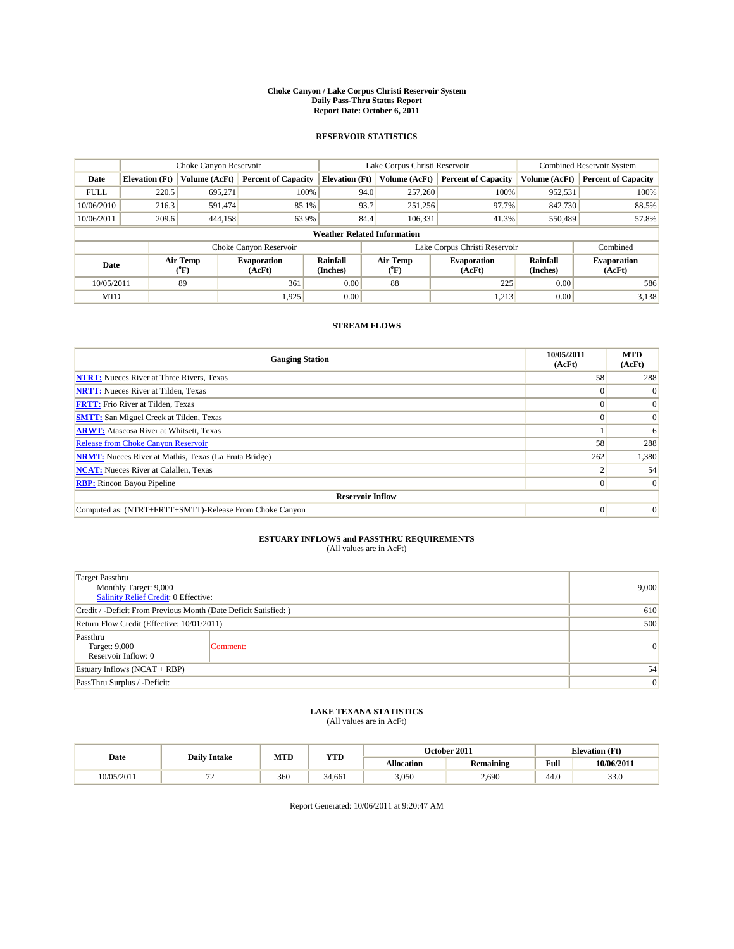#### **Choke Canyon / Lake Corpus Christi Reservoir System Daily Pass-Thru Status Report Report Date: October 6, 2011**

### **RESERVOIR STATISTICS**

|             | Choke Canyon Reservoir             |                  |                              |                       | Lake Corpus Christi Reservoir | <b>Combined Reservoir System</b> |                      |                              |  |
|-------------|------------------------------------|------------------|------------------------------|-----------------------|-------------------------------|----------------------------------|----------------------|------------------------------|--|
| Date        | <b>Elevation</b> (Ft)              | Volume (AcFt)    | <b>Percent of Capacity</b>   | <b>Elevation</b> (Ft) | Volume (AcFt)                 | <b>Percent of Capacity</b>       | Volume (AcFt)        | <b>Percent of Capacity</b>   |  |
| <b>FULL</b> | 220.5                              | 695,271          | 100%                         | 94.0                  | 257,260                       | 100%                             | 952,531              | 100%                         |  |
| 10/06/2010  | 216.3                              | 591.474          | 85.1%                        | 93.7                  | 251,256                       | 97.7%                            | 842,730              | 88.5%                        |  |
| 10/06/2011  | 209.6                              | 444,158          | 63.9%                        | 84.4                  | 106,331                       | 41.3%                            | 550,489              | 57.8%                        |  |
|             | <b>Weather Related Information</b> |                  |                              |                       |                               |                                  |                      |                              |  |
|             |                                    |                  | Choke Canyon Reservoir       |                       |                               | Lake Corpus Christi Reservoir    |                      | Combined                     |  |
| Date        |                                    | Air Temp<br>(°F) | <b>Evaporation</b><br>(AcFt) | Rainfall<br>(Inches)  | Air Temp<br>("F)              | <b>Evaporation</b><br>(AcFt)     | Rainfall<br>(Inches) | <b>Evaporation</b><br>(AcFt) |  |
| 10/05/2011  |                                    | 89               | 361                          | 0.00                  | 88                            | 225                              | 0.00                 | 586                          |  |
| <b>MTD</b>  |                                    |                  | 1,925                        | 0.00                  |                               | 1,213                            | 0.00                 | 3,138                        |  |

## **STREAM FLOWS**

| <b>Gauging Station</b>                                       | 10/05/2011<br>(AcFt) | <b>MTD</b><br>(AcFt) |
|--------------------------------------------------------------|----------------------|----------------------|
| <b>NTRT:</b> Nueces River at Three Rivers, Texas             | 58                   | 288                  |
| <b>NRTT:</b> Nueces River at Tilden, Texas                   | $\theta$             |                      |
| <b>FRTT:</b> Frio River at Tilden, Texas                     |                      | $\Omega$             |
| <b>SMTT:</b> San Miguel Creek at Tilden, Texas               |                      | $\Omega$             |
| <b>ARWT:</b> Atascosa River at Whitsett, Texas               |                      | 6                    |
| <b>Release from Choke Canyon Reservoir</b>                   | 58                   | 288                  |
| <b>NRMT:</b> Nueces River at Mathis, Texas (La Fruta Bridge) | 262                  | 1,380                |
| <b>NCAT:</b> Nueces River at Calallen, Texas                 |                      | 54                   |
| <b>RBP:</b> Rincon Bayou Pipeline                            | $\Omega$             | $\Omega$             |
| <b>Reservoir Inflow</b>                                      |                      |                      |
| Computed as: (NTRT+FRTT+SMTT)-Release From Choke Canyon      | $\Omega$             | $\Omega$             |

# **ESTUARY INFLOWS and PASSTHRU REQUIREMENTS**<br>(All values are in AcFt)

| <b>Target Passthru</b><br>Monthly Target: 9,000<br>Salinity Relief Credit: 0 Effective: | 9,000    |   |
|-----------------------------------------------------------------------------------------|----------|---|
| Credit / -Deficit From Previous Month (Date Deficit Satisfied: )                        | 610      |   |
| Return Flow Credit (Effective: 10/01/2011)                                              | 500      |   |
| Passthru<br>Target: 9,000<br>Reservoir Inflow: 0                                        | Comment: | 0 |
| Estuary Inflows $(NCAT + RBP)$                                                          | 54       |   |
| PassThru Surplus / -Deficit:                                                            | 0        |   |

## **LAKE TEXANA STATISTICS** (All values are in AcFt)

|            | <b>Daily Intake</b> | MTD | YTD    |                   | October 2011     |                                             | <b>Elevation</b> (Ft) |
|------------|---------------------|-----|--------|-------------------|------------------|---------------------------------------------|-----------------------|
| Date       |                     |     |        | <b>Allocation</b> | <b>Remaining</b> | Full<br>the contract of the contract of the | 10/06/2011            |
| 10/05/2011 | . .                 | 360 | 34.661 | 3.050             | 2,690            | 44.0                                        | 33.0                  |

Report Generated: 10/06/2011 at 9:20:47 AM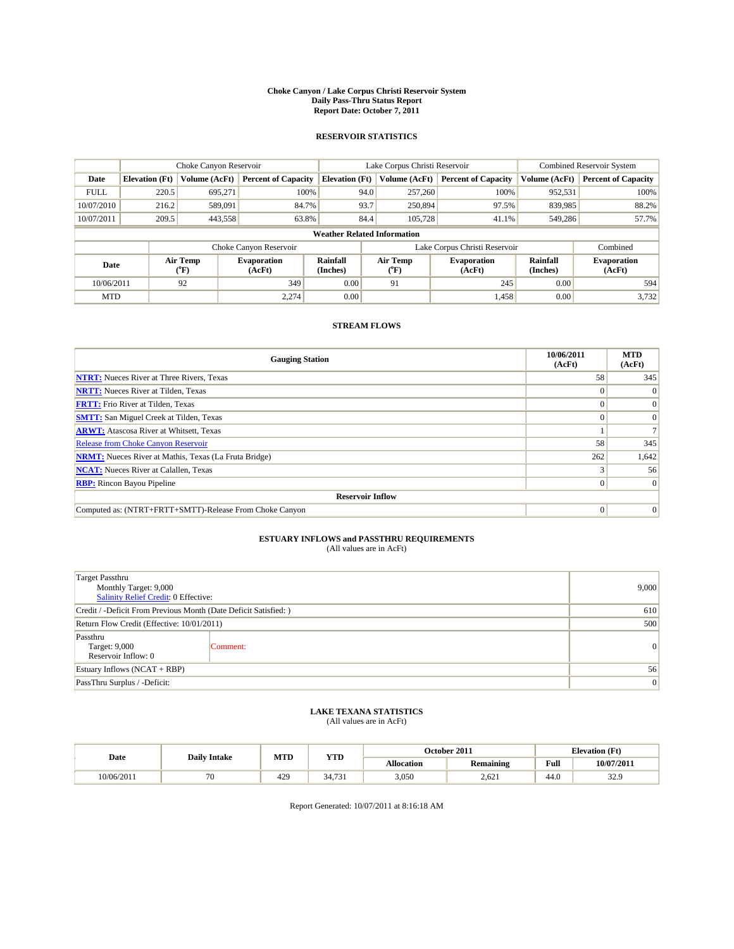#### **Choke Canyon / Lake Corpus Christi Reservoir System Daily Pass-Thru Status Report Report Date: October 7, 2011**

### **RESERVOIR STATISTICS**

|             | Choke Canyon Reservoir             |                  |                              |                             | Lake Corpus Christi Reservoir |                               |                      | <b>Combined Reservoir System</b> |  |  |
|-------------|------------------------------------|------------------|------------------------------|-----------------------------|-------------------------------|-------------------------------|----------------------|----------------------------------|--|--|
| Date        | <b>Elevation</b> (Ft)              | Volume (AcFt)    | <b>Percent of Capacity</b>   | <b>Elevation</b> (Ft)       | Volume (AcFt)                 | <b>Percent of Capacity</b>    | Volume (AcFt)        | <b>Percent of Capacity</b>       |  |  |
| <b>FULL</b> | 220.5                              | 695,271          | 100%                         | 94.0                        | 257,260                       | 100%                          | 952,531              | 100%                             |  |  |
| 10/07/2010  | 216.2                              | 589,091          | 84.7%                        | 93.7                        | 250,894                       | 97.5%                         | 839,985              | 88.2%                            |  |  |
| 10/07/2011  | 209.5                              | 443,558          | 63.8%                        | 84.4                        | 105,728                       | 41.1%                         | 549,286              | 57.7%                            |  |  |
|             | <b>Weather Related Information</b> |                  |                              |                             |                               |                               |                      |                                  |  |  |
|             |                                    |                  | Choke Canyon Reservoir       |                             |                               | Lake Corpus Christi Reservoir |                      | Combined                         |  |  |
| Date        |                                    | Air Temp<br>(°F) | <b>Evaporation</b><br>(AcFt) | <b>Rainfall</b><br>(Inches) | Air Temp<br>(°F)              | <b>Evaporation</b><br>(AcFt)  | Rainfall<br>(Inches) | <b>Evaporation</b><br>(AcFt)     |  |  |
| 10/06/2011  |                                    | 92               | 349                          | 0.00                        | 91                            | 245                           | 0.00                 | 594                              |  |  |
| <b>MTD</b>  |                                    |                  | 2.274                        | 0.00                        |                               | 1,458                         | 0.00                 | 3,732                            |  |  |

## **STREAM FLOWS**

| <b>Gauging Station</b>                                       | 10/06/2011<br>(AcFt) | <b>MTD</b><br>(AcFt) |
|--------------------------------------------------------------|----------------------|----------------------|
| <b>NTRT:</b> Nueces River at Three Rivers, Texas             | 58                   | 345                  |
| <b>NRTT:</b> Nueces River at Tilden, Texas                   |                      |                      |
| <b>FRTT:</b> Frio River at Tilden, Texas                     |                      |                      |
| <b>SMTT:</b> San Miguel Creek at Tilden, Texas               |                      | $\Omega$             |
| <b>ARWT:</b> Atascosa River at Whitsett, Texas               |                      |                      |
| <b>Release from Choke Canyon Reservoir</b>                   | 58                   | 345                  |
| <b>NRMT:</b> Nueces River at Mathis, Texas (La Fruta Bridge) | 262                  | 1,642                |
| <b>NCAT:</b> Nueces River at Calallen, Texas                 |                      | 56                   |
| <b>RBP:</b> Rincon Bayou Pipeline                            | $\overline{0}$       | $\Omega$             |
| <b>Reservoir Inflow</b>                                      |                      |                      |
| Computed as: (NTRT+FRTT+SMTT)-Release From Choke Canyon      | $\Omega$             | $\Omega$             |

# **ESTUARY INFLOWS and PASSTHRU REQUIREMENTS**<br>(All values are in AcFt)

| <b>Target Passthru</b><br>Monthly Target: 9,000<br>Salinity Relief Credit: 0 Effective: | 9,000    |   |
|-----------------------------------------------------------------------------------------|----------|---|
| Credit / -Deficit From Previous Month (Date Deficit Satisfied: )                        | 610      |   |
| Return Flow Credit (Effective: 10/01/2011)                                              | 500      |   |
| Passthru<br>Target: 9,000<br>Reservoir Inflow: 0                                        | Comment: | 0 |
| Estuary Inflows $(NCAT + RBP)$                                                          | 56       |   |
| PassThru Surplus / -Deficit:                                                            | 0        |   |

## **LAKE TEXANA STATISTICS** (All values are in AcFt)

| Date       | <b>Daily Intake</b>      | MTD | YTD    |            | October 2011 | <b>Elevation</b> (Ft) |               |
|------------|--------------------------|-----|--------|------------|--------------|-----------------------|---------------|
|            |                          |     |        | Allocation | Remaining    | Full                  | 10/07/2011    |
| 10/06/2011 | $\overline{\phantom{a}}$ | 429 | 34,731 | 3,050      | 2.621        | 44.0                  | 329<br>ز. ے د |

Report Generated: 10/07/2011 at 8:16:18 AM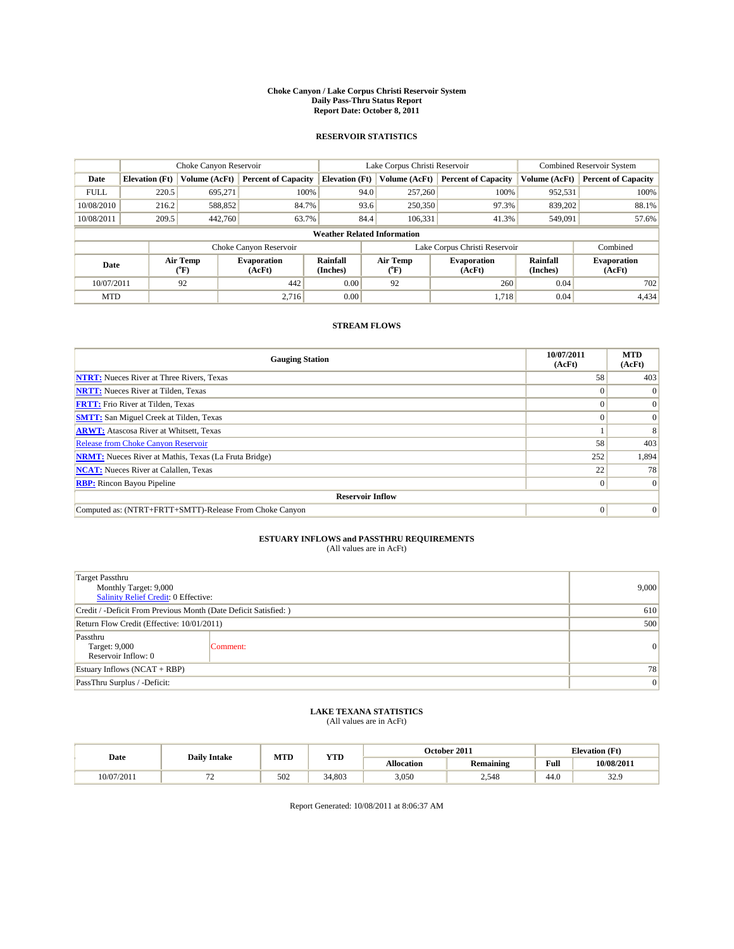#### **Choke Canyon / Lake Corpus Christi Reservoir System Daily Pass-Thru Status Report Report Date: October 8, 2011**

### **RESERVOIR STATISTICS**

|             | Choke Canyon Reservoir             |                                           |                              |                             | Lake Corpus Christi Reservoir |                               |                      | <b>Combined Reservoir System</b> |  |  |
|-------------|------------------------------------|-------------------------------------------|------------------------------|-----------------------------|-------------------------------|-------------------------------|----------------------|----------------------------------|--|--|
| Date        | <b>Elevation</b> (Ft)              | Volume (AcFt)                             | <b>Percent of Capacity</b>   | <b>Elevation</b> (Ft)       | Volume (AcFt)                 | <b>Percent of Capacity</b>    | Volume (AcFt)        | <b>Percent of Capacity</b>       |  |  |
| <b>FULL</b> | 220.5                              | 695,271                                   | 100%                         | 94.0                        | 257,260                       | 100%                          | 952,531              | 100%                             |  |  |
| 10/08/2010  | 216.2                              | 588,852                                   | 84.7%                        | 93.6                        | 250,350                       | 97.3%                         | 839,202              | 88.1%                            |  |  |
| 10/08/2011  | 209.5                              | 442,760                                   | 63.7%                        | 84.4                        | 106,331                       | 41.3%                         | 549,091              | 57.6%                            |  |  |
|             | <b>Weather Related Information</b> |                                           |                              |                             |                               |                               |                      |                                  |  |  |
|             |                                    |                                           | Choke Canyon Reservoir       |                             |                               | Lake Corpus Christi Reservoir |                      | Combined                         |  |  |
| Date        |                                    | Air Temp<br>$({}^{\mathrm{o}}\mathrm{F})$ | <b>Evaporation</b><br>(AcFt) | <b>Rainfall</b><br>(Inches) | Air Temp<br>(°F)              | <b>Evaporation</b><br>(AcFt)  | Rainfall<br>(Inches) | <b>Evaporation</b><br>(AcFt)     |  |  |
| 10/07/2011  |                                    | 92                                        | 442                          | 0.00                        | 92                            | 260                           | 0.04                 | 702                              |  |  |
| <b>MTD</b>  |                                    |                                           | 2.716                        | 0.00                        |                               | 1.718                         | 0.04                 | 4,434                            |  |  |

## **STREAM FLOWS**

| <b>Gauging Station</b>                                       | 10/07/2011<br>(AcFt) | <b>MTD</b><br>(AcFt) |
|--------------------------------------------------------------|----------------------|----------------------|
| <b>NTRT:</b> Nueces River at Three Rivers, Texas             | 58                   | 403                  |
| <b>NRTT:</b> Nueces River at Tilden, Texas                   |                      | $\Omega$             |
| <b>FRTT:</b> Frio River at Tilden, Texas                     |                      | $\Omega$             |
| <b>SMTT:</b> San Miguel Creek at Tilden, Texas               |                      | $\Omega$             |
| <b>ARWT:</b> Atascosa River at Whitsett, Texas               |                      |                      |
| <b>Release from Choke Canyon Reservoir</b>                   | 58                   | 403                  |
| <b>NRMT:</b> Nueces River at Mathis, Texas (La Fruta Bridge) | 252                  | 1,894                |
| <b>NCAT:</b> Nueces River at Calallen, Texas                 | 22                   | 78                   |
| <b>RBP:</b> Rincon Bayou Pipeline                            | $\vert 0 \vert$      | $\Omega$             |
| <b>Reservoir Inflow</b>                                      |                      |                      |
| Computed as: (NTRT+FRTT+SMTT)-Release From Choke Canyon      | $\Omega$             | $\Omega$             |

# **ESTUARY INFLOWS and PASSTHRU REQUIREMENTS**<br>(All values are in AcFt)

| <b>Target Passthru</b><br>Monthly Target: 9,000<br>Salinity Relief Credit: 0 Effective: | 9,000    |           |
|-----------------------------------------------------------------------------------------|----------|-----------|
| Credit / -Deficit From Previous Month (Date Deficit Satisfied: )                        | 610      |           |
| Return Flow Credit (Effective: 10/01/2011)                                              | 500      |           |
| Passthru<br>Target: 9,000<br>Reservoir Inflow: 0                                        | Comment: | $\vert$ 0 |
| Estuary Inflows $(NCAT + RBP)$                                                          | 78       |           |
| PassThru Surplus / -Deficit:                                                            | 0        |           |

## **LAKE TEXANA STATISTICS** (All values are in AcFt)

| Date       | <b>Daily Intake</b> | MTD | YTD    |            | October 2011     | <b>Elevation</b> (Ft) |               |
|------------|---------------------|-----|--------|------------|------------------|-----------------------|---------------|
|            |                     |     |        | Allocation | <b>Remaining</b> | Full                  | 10/08/2011    |
| 10/07/2011 | --<br>. .           | 502 | 34.803 | 3,050      | 2,548            | 44.0                  | 22Q<br>ز. ے د |

Report Generated: 10/08/2011 at 8:06:37 AM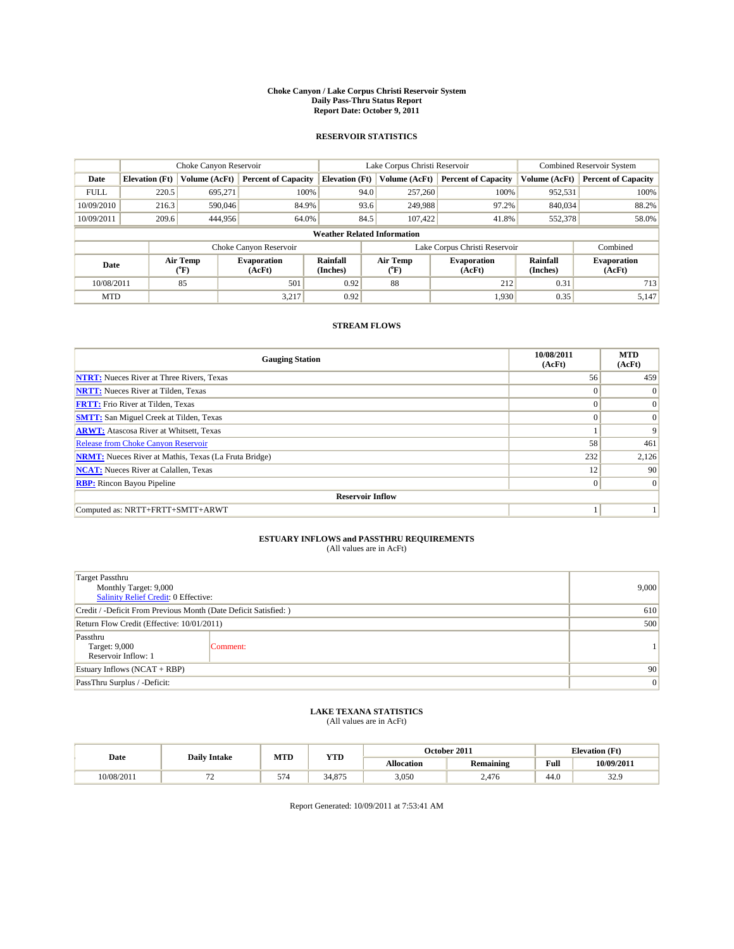#### **Choke Canyon / Lake Corpus Christi Reservoir System Daily Pass-Thru Status Report Report Date: October 9, 2011**

### **RESERVOIR STATISTICS**

|             | Choke Canyon Reservoir             |                  |                              |                             | Lake Corpus Christi Reservoir |                               |                      | <b>Combined Reservoir System</b> |  |  |
|-------------|------------------------------------|------------------|------------------------------|-----------------------------|-------------------------------|-------------------------------|----------------------|----------------------------------|--|--|
| Date        | <b>Elevation</b> (Ft)              | Volume (AcFt)    | <b>Percent of Capacity</b>   | <b>Elevation</b> (Ft)       | Volume (AcFt)                 | <b>Percent of Capacity</b>    | Volume (AcFt)        | <b>Percent of Capacity</b>       |  |  |
| <b>FULL</b> | 220.5                              | 695,271          | 100%                         | 94.0                        | 257,260                       | 100%                          | 952,531              | 100%                             |  |  |
| 10/09/2010  | 216.3                              | 590,046          | 84.9%                        | 93.6                        | 249,988                       | 97.2%                         | 840,034              | 88.2%                            |  |  |
| 10/09/2011  | 209.6                              | 444,956          | 64.0%                        | 84.5                        | 107,422                       | 41.8%                         | 552,378              | 58.0%                            |  |  |
|             | <b>Weather Related Information</b> |                  |                              |                             |                               |                               |                      |                                  |  |  |
|             |                                    |                  | Choke Canyon Reservoir       |                             |                               | Lake Corpus Christi Reservoir |                      | Combined                         |  |  |
| Date        |                                    | Air Temp<br>(°F) | <b>Evaporation</b><br>(AcFt) | <b>Rainfall</b><br>(Inches) | Air Temp<br>(°F)              | <b>Evaporation</b><br>(AcFt)  | Rainfall<br>(Inches) | <b>Evaporation</b><br>(AcFt)     |  |  |
| 10/08/2011  |                                    | 85               | 501                          | 0.92                        | 88                            | 212                           | 0.31                 | 713                              |  |  |
| <b>MTD</b>  |                                    |                  | 3.217                        | 0.92                        |                               | 1,930                         | 0.35                 | 5,147                            |  |  |

## **STREAM FLOWS**

| <b>Gauging Station</b>                                       | 10/08/2011<br>(AcFt) | <b>MTD</b><br>(AcFt) |
|--------------------------------------------------------------|----------------------|----------------------|
| <b>NTRT:</b> Nueces River at Three Rivers, Texas             | 56                   | 459                  |
| <b>NRTT:</b> Nueces River at Tilden, Texas                   | $\Omega$             | $\Omega$             |
| <b>FRTT:</b> Frio River at Tilden, Texas                     | $\Omega$             | $\vert 0 \vert$      |
| <b>SMTT:</b> San Miguel Creek at Tilden, Texas               | $\Omega$             | $\Omega$             |
| <b>ARWT:</b> Atascosa River at Whitsett, Texas               |                      | 9                    |
| <b>Release from Choke Canyon Reservoir</b>                   | 58                   | 461                  |
| <b>NRMT:</b> Nueces River at Mathis, Texas (La Fruta Bridge) | 232                  | 2,126                |
| <b>NCAT:</b> Nueces River at Calallen, Texas                 | 12                   | 90                   |
| <b>RBP:</b> Rincon Bayou Pipeline                            | $\overline{0}$       | $\Omega$             |
| <b>Reservoir Inflow</b>                                      |                      |                      |
| Computed as: NRTT+FRTT+SMTT+ARWT                             |                      |                      |

# **ESTUARY INFLOWS and PASSTHRU REQUIREMENTS**<br>(All values are in AcFt)

| <b>Target Passthru</b><br>Monthly Target: 9,000<br>Salinity Relief Credit: 0 Effective: | 9,000    |  |
|-----------------------------------------------------------------------------------------|----------|--|
| Credit / -Deficit From Previous Month (Date Deficit Satisfied: )                        | 610      |  |
| Return Flow Credit (Effective: 10/01/2011)                                              | 500      |  |
| Passthru<br>Target: 9,000<br>Reservoir Inflow: 1                                        | Comment: |  |
| Estuary Inflows $(NCAT + RBP)$                                                          | 90       |  |
| PassThru Surplus / -Deficit:                                                            | 0        |  |

## **LAKE TEXANA STATISTICS** (All values are in AcFt)

|            | <b>Daily Intake</b> | MTD       | <b>YTD</b>    |                   | October 2011     |      | <b>Elevation</b> (Ft) |
|------------|---------------------|-----------|---------------|-------------------|------------------|------|-----------------------|
| Date       |                     |           |               | <b>Allocation</b> | <b>Remaining</b> | Full | 10/09/2011            |
| 10/08/2011 |                     | --<br>5/4 | 075<br>34,875 | 3,050             | 2.476            | 44.0 | $\sim$<br>ن کاب       |

Report Generated: 10/09/2011 at 7:53:41 AM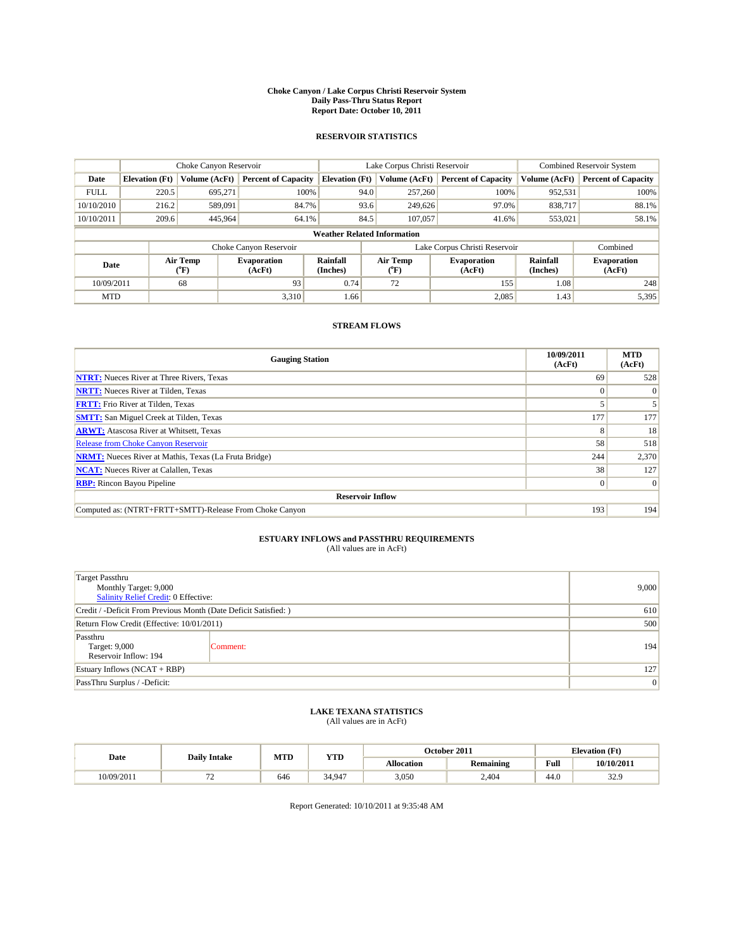#### **Choke Canyon / Lake Corpus Christi Reservoir System Daily Pass-Thru Status Report Report Date: October 10, 2011**

### **RESERVOIR STATISTICS**

|             | Choke Canyon Reservoir             |                      |                              |                             | Lake Corpus Christi Reservoir |                               |                      | <b>Combined Reservoir System</b> |  |
|-------------|------------------------------------|----------------------|------------------------------|-----------------------------|-------------------------------|-------------------------------|----------------------|----------------------------------|--|
| Date        | <b>Elevation</b> (Ft)              | <b>Volume (AcFt)</b> | <b>Percent of Capacity</b>   | <b>Elevation</b> (Ft)       | Volume (AcFt)                 | <b>Percent of Capacity</b>    | Volume (AcFt)        | <b>Percent of Capacity</b>       |  |
| <b>FULL</b> | 220.5                              | 695,271              | 100%                         | 94.0                        | 257,260                       | 100%                          | 952,531              | 100%                             |  |
| 10/10/2010  | 216.2                              | 589,091              | 84.7%                        | 93.6                        | 249,626                       | 97.0%                         | 838,717              | 88.1%                            |  |
| 10/10/2011  | 209.6                              | 445,964              | 64.1%                        | 84.5                        | 107,057                       | 41.6%                         | 553,021              | 58.1%                            |  |
|             | <b>Weather Related Information</b> |                      |                              |                             |                               |                               |                      |                                  |  |
|             |                                    |                      | Choke Canyon Reservoir       |                             |                               | Lake Corpus Christi Reservoir |                      | Combined                         |  |
| Date        |                                    | Air Temp<br>(°F)     | <b>Evaporation</b><br>(AcFt) | <b>Rainfall</b><br>(Inches) | Air Temp<br>(°F)              | <b>Evaporation</b><br>(AcFt)  | Rainfall<br>(Inches) | <b>Evaporation</b><br>(AcFt)     |  |
| 10/09/2011  |                                    | 68                   | 93                           | 0.74                        | 72                            | 155                           | 1.08                 | 248                              |  |
| <b>MTD</b>  |                                    |                      | 3.310                        | 1.66                        |                               | 2,085                         | 1.43                 | 5,395                            |  |

## **STREAM FLOWS**

| <b>Gauging Station</b>                                       | 10/09/2011<br>(AcFt) | <b>MTD</b><br>(AcFt) |
|--------------------------------------------------------------|----------------------|----------------------|
| <b>NTRT:</b> Nueces River at Three Rivers, Texas             | 69                   | 528                  |
| <b>NRTT:</b> Nueces River at Tilden, Texas                   | $\Omega$             | $\Omega$             |
| <b>FRTT:</b> Frio River at Tilden, Texas                     |                      |                      |
| <b>SMTT:</b> San Miguel Creek at Tilden, Texas               | 177                  | 177                  |
| <b>ARWT:</b> Atascosa River at Whitsett, Texas               | 8                    | 18                   |
| Release from Choke Canyon Reservoir                          | 58                   | 518                  |
| <b>NRMT:</b> Nueces River at Mathis, Texas (La Fruta Bridge) | 244                  | 2,370                |
| <b>NCAT:</b> Nueces River at Calallen, Texas                 | 38                   | 127                  |
| <b>RBP:</b> Rincon Bayou Pipeline                            | $\overline{0}$       | $\Omega$             |
| <b>Reservoir Inflow</b>                                      |                      |                      |
| Computed as: (NTRT+FRTT+SMTT)-Release From Choke Canyon      | 193                  | 194                  |

# **ESTUARY INFLOWS and PASSTHRU REQUIREMENTS**<br>(All values are in AcFt)

| Target Passthru<br>Monthly Target: 9,000<br>Salinity Relief Credit: 0 Effective: | 9,000    |     |
|----------------------------------------------------------------------------------|----------|-----|
| Credit / -Deficit From Previous Month (Date Deficit Satisfied: )                 | 610      |     |
| Return Flow Credit (Effective: 10/01/2011)                                       | 500      |     |
| Passthru<br>Target: 9,000<br>Reservoir Inflow: 194                               | Comment: | 194 |
| Estuary Inflows (NCAT + RBP)                                                     | 127      |     |
| PassThru Surplus / -Deficit:                                                     | 0        |     |

## **LAKE TEXANA STATISTICS** (All values are in AcFt)

|            | <b>Daily Intake</b>            | MTD | <b>YTD</b> | October 2011<br><b>Elevation</b> (Ft) |                  |      |            |
|------------|--------------------------------|-----|------------|---------------------------------------|------------------|------|------------|
| Date       |                                |     |            | <b>Allocation</b>                     | <b>Remaining</b> | Full | 10/10/2011 |
| 10/09/2011 | --<br>$\overline{\phantom{0}}$ | 646 | 34.947     | 3,050                                 | 2.404            | 44.0 | 32.9       |

Report Generated: 10/10/2011 at 9:35:48 AM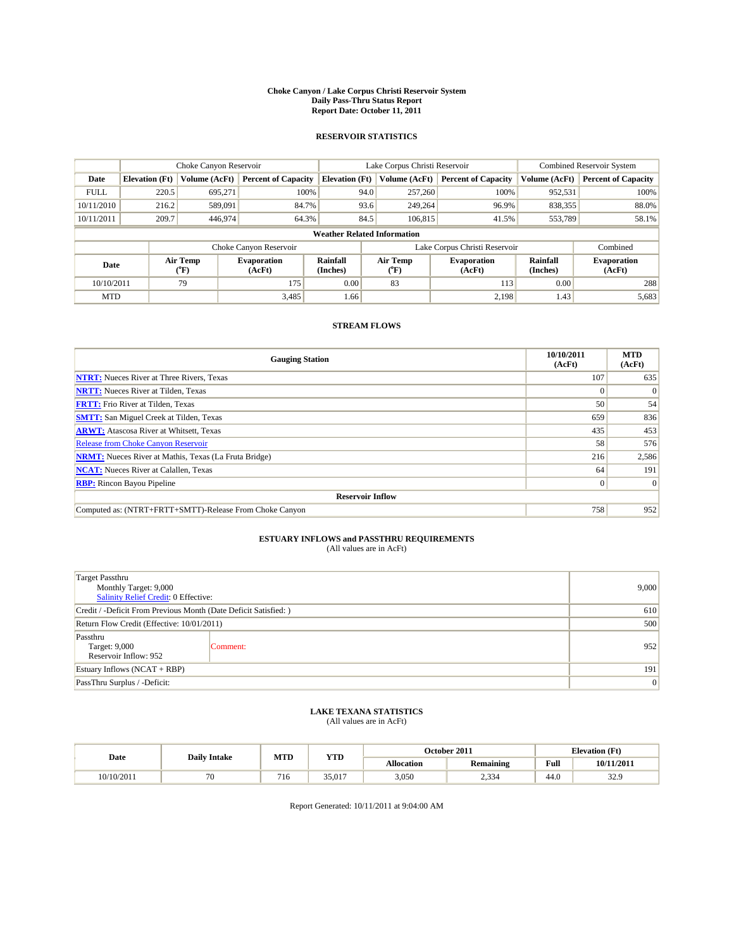#### **Choke Canyon / Lake Corpus Christi Reservoir System Daily Pass-Thru Status Report Report Date: October 11, 2011**

### **RESERVOIR STATISTICS**

|             | Choke Canyon Reservoir             |                             |                              |                             | Lake Corpus Christi Reservoir | Combined Reservoir System     |                      |                              |  |  |
|-------------|------------------------------------|-----------------------------|------------------------------|-----------------------------|-------------------------------|-------------------------------|----------------------|------------------------------|--|--|
| Date        | <b>Elevation</b> (Ft)              | <b>Volume (AcFt)</b>        | <b>Percent of Capacity</b>   | <b>Elevation</b> (Ft)       | Volume (AcFt)                 | <b>Percent of Capacity</b>    | Volume (AcFt)        | <b>Percent of Capacity</b>   |  |  |
| <b>FULL</b> | 220.5                              | 695,271                     | 100%                         |                             | 257,260<br>94.0               | 100%                          | 952,531              | 100%                         |  |  |
| 10/11/2010  | 216.2                              | 589,091                     | 84.7%                        |                             | 93.6<br>249,264               | 96.9%                         | 838,355              | 88.0%                        |  |  |
| 10/11/2011  | 209.7                              | 446,974                     | 64.3%                        |                             | 84.5<br>106,815               | 41.5%                         | 553,789              | 58.1%                        |  |  |
|             | <b>Weather Related Information</b> |                             |                              |                             |                               |                               |                      |                              |  |  |
|             |                                    |                             | Choke Canyon Reservoir       |                             |                               | Lake Corpus Christi Reservoir |                      | Combined                     |  |  |
| Date        |                                    | Air Temp<br>${}^{\circ}$ F) | <b>Evaporation</b><br>(AcFt) | <b>Rainfall</b><br>(Inches) | Air Temp<br>$(^oF)$           | <b>Evaporation</b><br>(AcFt)  | Rainfall<br>(Inches) | <b>Evaporation</b><br>(AcFt) |  |  |
| 10/10/2011  |                                    | 79                          | 175                          | 0.00                        | 83                            | 113                           | 0.00                 | 288                          |  |  |
| <b>MTD</b>  |                                    |                             | 3,485                        | 1.66                        |                               | 2,198                         | 1.43                 | 5,683                        |  |  |

## **STREAM FLOWS**

| <b>Gauging Station</b>                                       | 10/10/2011<br>(AcFt) | <b>MTD</b><br>(AcFt) |
|--------------------------------------------------------------|----------------------|----------------------|
| <b>NTRT:</b> Nueces River at Three Rivers, Texas             | 107                  | 635                  |
| <b>NRTT:</b> Nueces River at Tilden, Texas                   | $\Omega$             | $\Omega$             |
| <b>FRTT:</b> Frio River at Tilden, Texas                     | 50                   | 54                   |
| <b>SMTT:</b> San Miguel Creek at Tilden, Texas               | 659                  | 836                  |
| <b>ARWT:</b> Atascosa River at Whitsett, Texas               | 435                  | 453                  |
| <b>Release from Choke Canyon Reservoir</b>                   | 58                   | 576                  |
| <b>NRMT:</b> Nueces River at Mathis, Texas (La Fruta Bridge) | 216                  | 2,586                |
| <b>NCAT:</b> Nueces River at Calallen, Texas                 | 64                   | 191                  |
| <b>RBP:</b> Rincon Bayou Pipeline                            | $\overline{0}$       | $\Omega$             |
| <b>Reservoir Inflow</b>                                      |                      |                      |
| Computed as: (NTRT+FRTT+SMTT)-Release From Choke Canyon      | 758                  | 952                  |

# **ESTUARY INFLOWS and PASSTHRU REQUIREMENTS**<br>(All values are in AcFt)

| Target Passthru<br>Monthly Target: 9,000<br>Salinity Relief Credit: 0 Effective: | 9,000    |     |
|----------------------------------------------------------------------------------|----------|-----|
| Credit / -Deficit From Previous Month (Date Deficit Satisfied: )                 | 610      |     |
| Return Flow Credit (Effective: 10/01/2011)                                       | 500      |     |
| Passthru<br>Target: 9,000<br>Reservoir Inflow: 952                               | Comment: | 952 |
| Estuary Inflows (NCAT + RBP)                                                     | 191      |     |
| PassThru Surplus / -Deficit:                                                     | 0        |     |

## **LAKE TEXANA STATISTICS** (All values are in AcFt)

|            | <b>Daily Intake</b> | MTD | <b>YTD</b> | October 2011<br><b>Elevation</b> (Ft) |                  |      |            |
|------------|---------------------|-----|------------|---------------------------------------|------------------|------|------------|
| Date       |                     |     |            | <b>Allocation</b>                     | <b>Remaining</b> | Full | 10/11/2011 |
| 10/10/2011 | $\pi$<br>'∪         | 716 | 35,017     | 3,050                                 | 0.22<br>2,334    | 44.0 | 32.9       |

Report Generated: 10/11/2011 at 9:04:00 AM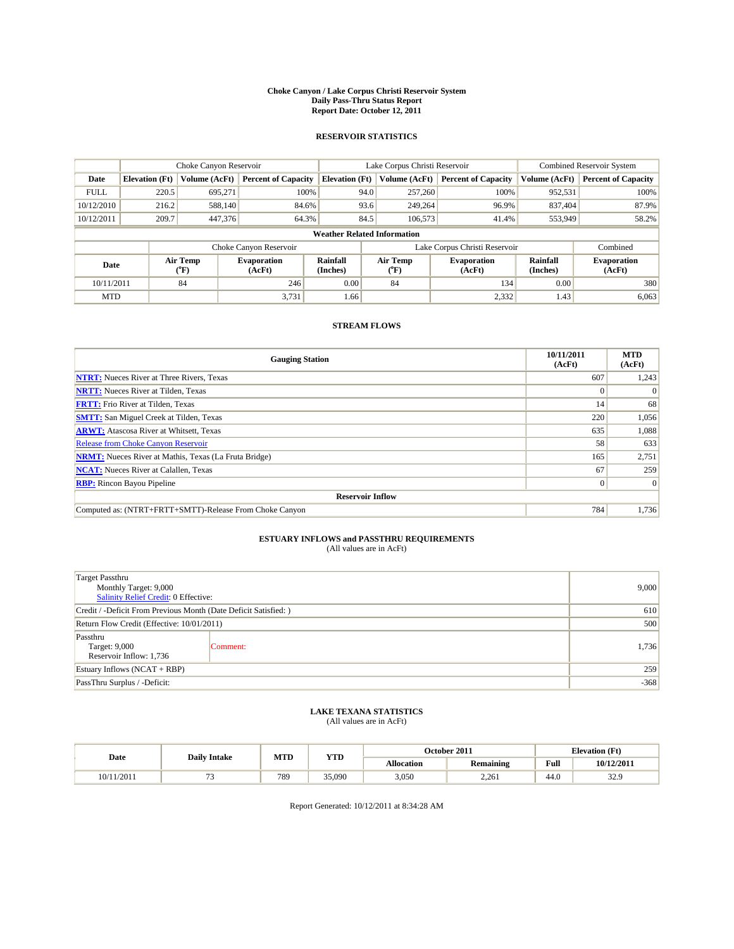#### **Choke Canyon / Lake Corpus Christi Reservoir System Daily Pass-Thru Status Report Report Date: October 12, 2011**

### **RESERVOIR STATISTICS**

|             | Choke Canyon Reservoir             |                             |                              |                             | Lake Corpus Christi Reservoir | <b>Combined Reservoir System</b> |                      |                              |  |  |
|-------------|------------------------------------|-----------------------------|------------------------------|-----------------------------|-------------------------------|----------------------------------|----------------------|------------------------------|--|--|
| Date        | <b>Elevation</b> (Ft)              | Volume (AcFt)               | <b>Percent of Capacity</b>   | <b>Elevation (Ft)</b>       | Volume (AcFt)                 | <b>Percent of Capacity</b>       | Volume (AcFt)        | <b>Percent of Capacity</b>   |  |  |
| <b>FULL</b> | 220.5                              | 695,271                     | 100%                         | 94.0                        | 257,260                       | 100%                             | 952,531              | 100%                         |  |  |
| 10/12/2010  | 216.2                              | 588,140                     | 84.6%                        | 93.6                        | 249,264                       | 96.9%                            | 837,404              | 87.9%                        |  |  |
| 10/12/2011  | 209.7                              | 447,376                     | 64.3%                        | 84.5                        | 106,573                       | 41.4%                            | 553,949              | 58.2%                        |  |  |
|             | <b>Weather Related Information</b> |                             |                              |                             |                               |                                  |                      |                              |  |  |
|             |                                    |                             | Choke Canyon Reservoir       |                             |                               | Lake Corpus Christi Reservoir    |                      | Combined                     |  |  |
| Date        |                                    | Air Temp<br>${}^{\circ}$ F) | <b>Evaporation</b><br>(AcFt) | <b>Rainfall</b><br>(Inches) | Air Temp<br>(°F)              | <b>Evaporation</b><br>(AcFt)     | Rainfall<br>(Inches) | <b>Evaporation</b><br>(AcFt) |  |  |
| 10/11/2011  |                                    | 84                          | 246                          | 0.00                        | 84                            | 134                              | 0.00                 | 380                          |  |  |
| <b>MTD</b>  |                                    |                             | 3,731                        | 1.66                        |                               | 2,332                            | 1.43                 | 6,063                        |  |  |

## **STREAM FLOWS**

| <b>Gauging Station</b>                                       | 10/11/2011<br>(AcFt) | <b>MTD</b><br>(AcFt) |
|--------------------------------------------------------------|----------------------|----------------------|
| <b>NTRT:</b> Nueces River at Three Rivers, Texas             | 607                  | 1,243                |
| <b>NRTT:</b> Nueces River at Tilden, Texas                   | $\Omega$             |                      |
| <b>FRTT:</b> Frio River at Tilden, Texas                     | 14 <sup>1</sup>      | 68                   |
| <b>SMTT:</b> San Miguel Creek at Tilden, Texas               | 220                  | 1,056                |
| <b>ARWT:</b> Atascosa River at Whitsett, Texas               | 635                  | 1,088                |
| Release from Choke Canyon Reservoir                          | 58                   | 633                  |
| <b>NRMT:</b> Nueces River at Mathis, Texas (La Fruta Bridge) | 165                  | 2,751                |
| <b>NCAT:</b> Nueces River at Calallen, Texas                 | 67                   | 259                  |
| <b>RBP:</b> Rincon Bayou Pipeline                            | $\overline{0}$       | $\Omega$             |
| <b>Reservoir Inflow</b>                                      |                      |                      |
| Computed as: (NTRT+FRTT+SMTT)-Release From Choke Canyon      | 784                  | 1,736                |

# **ESTUARY INFLOWS and PASSTHRU REQUIREMENTS**<br>(All values are in AcFt)

| Target Passthru<br>Monthly Target: 9,000<br>Salinity Relief Credit: 0 Effective: | 9,000    |       |
|----------------------------------------------------------------------------------|----------|-------|
| Credit / -Deficit From Previous Month (Date Deficit Satisfied: )                 | 610      |       |
| Return Flow Credit (Effective: 10/01/2011)                                       | 500      |       |
| Passthru<br>Target: 9,000<br>Reservoir Inflow: 1,736                             | Comment: | 1,736 |
| Estuary Inflows $(NCAT + RBP)$                                                   | 259      |       |
| PassThru Surplus / -Deficit:                                                     | $-368$   |       |

## **LAKE TEXANA STATISTICS** (All values are in AcFt)

|            | <b>Daily Intake</b> | MTD | YTD    |            | October 2011     |                                             | <b>Elevation</b> (Ft) |
|------------|---------------------|-----|--------|------------|------------------|---------------------------------------------|-----------------------|
| Date       |                     |     |        | Allocation | <b>Remaining</b> | Full<br>the contract of the contract of the | 10/12/2011            |
| 10/11/2011 |                     | 789 | 35,090 | 3,050      | 2.261            | 44.0                                        | 32Q<br>ز. ے د         |

Report Generated: 10/12/2011 at 8:34:28 AM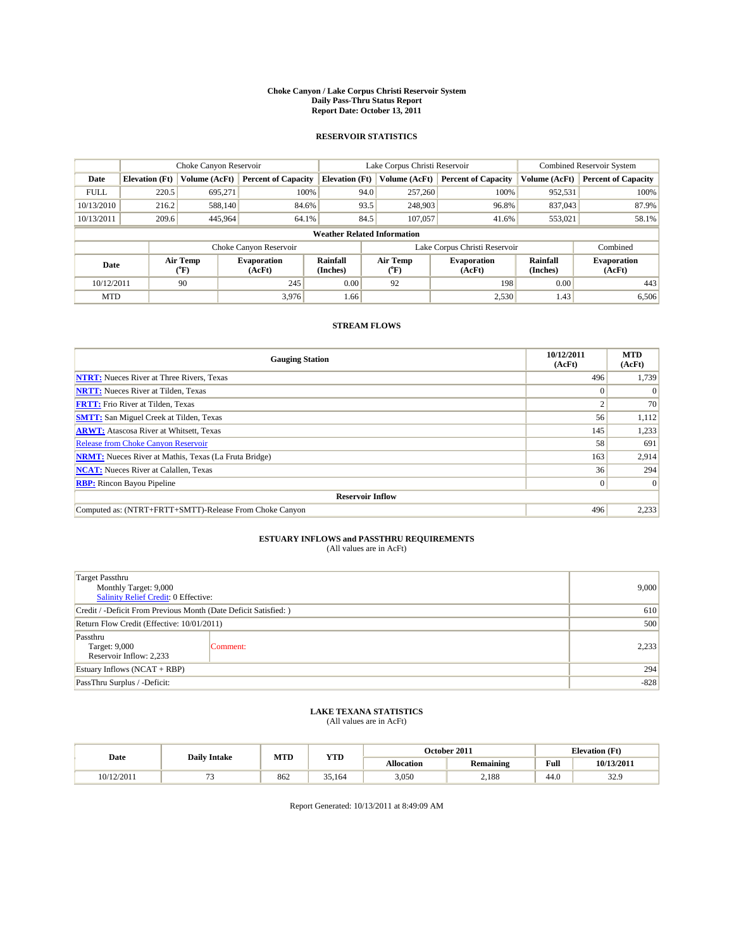#### **Choke Canyon / Lake Corpus Christi Reservoir System Daily Pass-Thru Status Report Report Date: October 13, 2011**

### **RESERVOIR STATISTICS**

|             | Choke Canyon Reservoir             |                             |                              |                             | Lake Corpus Christi Reservoir | <b>Combined Reservoir System</b> |                      |                              |  |
|-------------|------------------------------------|-----------------------------|------------------------------|-----------------------------|-------------------------------|----------------------------------|----------------------|------------------------------|--|
| Date        | <b>Elevation</b> (Ft)              | Volume (AcFt)               | <b>Percent of Capacity</b>   | <b>Elevation</b> (Ft)       | Volume (AcFt)                 | <b>Percent of Capacity</b>       | Volume (AcFt)        | <b>Percent of Capacity</b>   |  |
| <b>FULL</b> | 220.5                              | 695,271                     | 100%                         |                             | 94.0<br>257,260               | 100%                             | 952,531              | 100%                         |  |
| 10/13/2010  | 216.2                              | 588,140                     | 84.6%                        |                             | 93.5<br>248,903               | 96.8%                            | 837,043              | 87.9%                        |  |
| 10/13/2011  | 209.6                              | 445,964                     | 64.1%                        | 84.5                        | 107,057                       | 41.6%                            | 553,021              | 58.1%                        |  |
|             | <b>Weather Related Information</b> |                             |                              |                             |                               |                                  |                      |                              |  |
|             |                                    |                             | Choke Canyon Reservoir       |                             |                               | Lake Corpus Christi Reservoir    |                      | Combined                     |  |
| Date        |                                    | Air Temp<br>${}^{\circ}$ F) | <b>Evaporation</b><br>(AcFt) | <b>Rainfall</b><br>(Inches) | Air Temp<br>$(^{\circ}F)$     | <b>Evaporation</b><br>(AcFt)     | Rainfall<br>(Inches) | <b>Evaporation</b><br>(AcFt) |  |
| 10/12/2011  |                                    | 90                          | 245                          | 0.00                        | 92                            | 198                              | 0.00                 | 443                          |  |
| <b>MTD</b>  |                                    |                             | 3,976                        | 1.66                        |                               | 2,530                            | 1.43                 | 6,506                        |  |

## **STREAM FLOWS**

| <b>Gauging Station</b>                                       | 10/12/2011<br>(AcFt) | <b>MTD</b><br>(AcFt) |
|--------------------------------------------------------------|----------------------|----------------------|
| <b>NTRT:</b> Nueces River at Three Rivers, Texas             | 496                  | 1,739                |
| <b>NRTT:</b> Nueces River at Tilden, Texas                   | $\Omega$             |                      |
| <b>FRTT:</b> Frio River at Tilden, Texas                     | $\sim$               | 70                   |
| <b>SMTT:</b> San Miguel Creek at Tilden, Texas               | 56                   | 1,112                |
| <b>ARWT:</b> Atascosa River at Whitsett, Texas               | 145                  | 1,233                |
| <b>Release from Choke Canyon Reservoir</b>                   | 58                   | 691                  |
| <b>NRMT:</b> Nueces River at Mathis, Texas (La Fruta Bridge) | 163                  | 2,914                |
| <b>NCAT:</b> Nueces River at Calallen, Texas                 | 36                   | 294                  |
| <b>RBP:</b> Rincon Bayou Pipeline                            | $\overline{0}$       | $\Omega$             |
| <b>Reservoir Inflow</b>                                      |                      |                      |
| Computed as: (NTRT+FRTT+SMTT)-Release From Choke Canyon      | 496                  | 2,233                |

# **ESTUARY INFLOWS and PASSTHRU REQUIREMENTS**<br>(All values are in AcFt)

| Target Passthru<br>Monthly Target: 9,000<br>Salinity Relief Credit: 0 Effective: | 9,000    |       |
|----------------------------------------------------------------------------------|----------|-------|
| Credit / -Deficit From Previous Month (Date Deficit Satisfied: )                 | 610      |       |
| Return Flow Credit (Effective: 10/01/2011)                                       | 500      |       |
| Passthru<br>Target: 9,000<br>Reservoir Inflow: 2,233                             | Comment: | 2,233 |
| Estuary Inflows (NCAT + RBP)                                                     |          | 294   |
| PassThru Surplus / -Deficit:                                                     | $-828$   |       |

## **LAKE TEXANA STATISTICS** (All values are in AcFt)

|            | <b>Daily Intake</b> | MTD | <b>YTD</b> | October 2011<br><b>Elevation</b> (Ft) |                  |      |            |
|------------|---------------------|-----|------------|---------------------------------------|------------------|------|------------|
| Date       |                     |     |            | <b>Allocation</b>                     | <b>Remaining</b> | Full | 10/13/2011 |
| 10/12/2011 |                     | 862 | 35.164     | 3,050                                 | 2.188            | 44.0 | 32.9       |

Report Generated: 10/13/2011 at 8:49:09 AM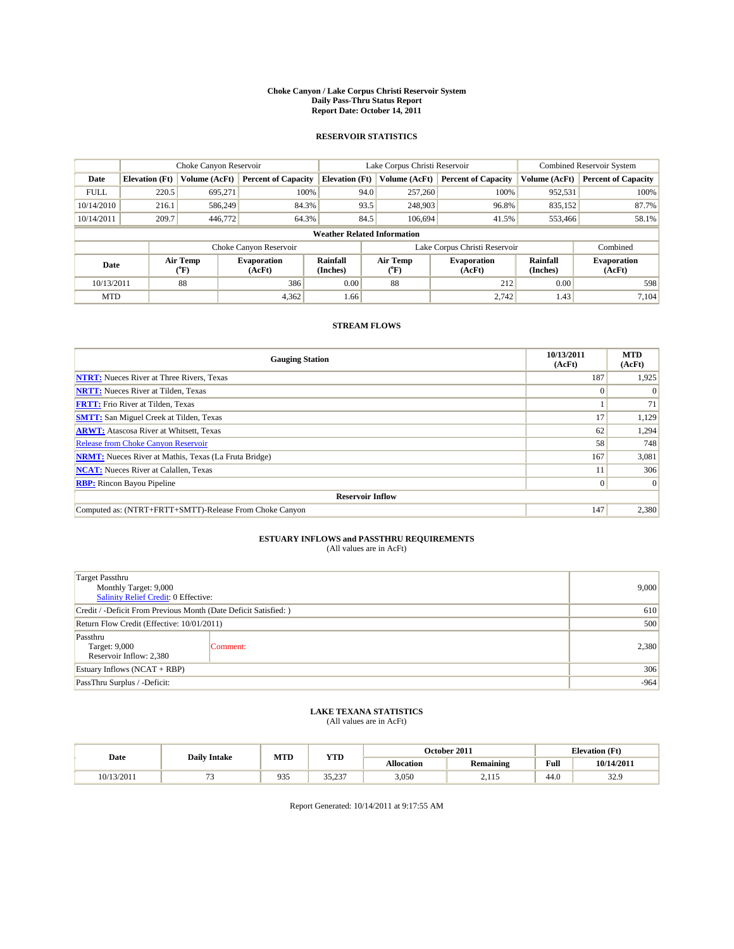#### **Choke Canyon / Lake Corpus Christi Reservoir System Daily Pass-Thru Status Report Report Date: October 14, 2011**

### **RESERVOIR STATISTICS**

|             | Choke Canyon Reservoir             |                      |                              |                             | Lake Corpus Christi Reservoir             |                               |                      | <b>Combined Reservoir System</b> |  |
|-------------|------------------------------------|----------------------|------------------------------|-----------------------------|-------------------------------------------|-------------------------------|----------------------|----------------------------------|--|
| Date        | <b>Elevation</b> (Ft)              | <b>Volume (AcFt)</b> | <b>Percent of Capacity</b>   | <b>Elevation</b> (Ft)       | Volume (AcFt)                             | <b>Percent of Capacity</b>    | Volume (AcFt)        | <b>Percent of Capacity</b>       |  |
| <b>FULL</b> | 220.5                              | 695,271              | 100%                         | 94.0                        | 257,260                                   | 100%                          | 952,531              | 100%                             |  |
| 10/14/2010  | 216.1                              | 586,249              | 84.3%                        | 93.5                        | 248,903                                   | 96.8%                         | 835,152              | 87.7%                            |  |
| 10/14/2011  | 209.7                              | 446,772              | 64.3%                        | 84.5                        | 106.694                                   | 41.5%                         | 553,466              | 58.1%                            |  |
|             | <b>Weather Related Information</b> |                      |                              |                             |                                           |                               |                      |                                  |  |
|             |                                    |                      | Choke Canyon Reservoir       |                             |                                           | Lake Corpus Christi Reservoir |                      | Combined                         |  |
| Date        |                                    | Air Temp<br>(°F)     | <b>Evaporation</b><br>(AcFt) | <b>Rainfall</b><br>(Inches) | Air Temp<br>$({}^{\mathrm{o}}\mathrm{F})$ | <b>Evaporation</b><br>(AcFt)  | Rainfall<br>(Inches) | <b>Evaporation</b><br>(AcFt)     |  |
| 10/13/2011  |                                    | 88                   | 386                          | 0.00                        | 88                                        | 212                           | 0.00                 | 598                              |  |
| <b>MTD</b>  |                                    |                      | 4,362                        | 1.66                        |                                           | 2.742                         | 1.43                 | 7.104                            |  |

## **STREAM FLOWS**

| <b>Gauging Station</b>                                       | 10/13/2011<br>(AcFt) | <b>MTD</b><br>(AcFt) |
|--------------------------------------------------------------|----------------------|----------------------|
| <b>NTRT:</b> Nueces River at Three Rivers, Texas             | 187                  | 1,925                |
| <b>NRTT:</b> Nueces River at Tilden, Texas                   | $\Omega$             |                      |
| <b>FRTT:</b> Frio River at Tilden, Texas                     |                      | 71                   |
| <b>SMTT:</b> San Miguel Creek at Tilden, Texas               | 17                   | 1,129                |
| <b>ARWT:</b> Atascosa River at Whitsett, Texas               | 62                   | 1,294                |
| <b>Release from Choke Canyon Reservoir</b>                   | 58                   | 748                  |
| <b>NRMT:</b> Nueces River at Mathis, Texas (La Fruta Bridge) | 167                  | 3,081                |
| <b>NCAT:</b> Nueces River at Calallen, Texas                 |                      | 306                  |
| <b>RBP:</b> Rincon Bayou Pipeline                            | $\overline{0}$       | $\Omega$             |
| <b>Reservoir Inflow</b>                                      |                      |                      |
| Computed as: (NTRT+FRTT+SMTT)-Release From Choke Canyon      | 147                  | 2,380                |

# **ESTUARY INFLOWS and PASSTHRU REQUIREMENTS**<br>(All values are in AcFt)

| <b>Target Passthru</b><br>Monthly Target: 9,000<br>Salinity Relief Credit: 0 Effective: | 9,000    |       |
|-----------------------------------------------------------------------------------------|----------|-------|
| Credit / -Deficit From Previous Month (Date Deficit Satisfied: )                        | 610      |       |
| Return Flow Credit (Effective: 10/01/2011)                                              | 500      |       |
| Passthru<br>Target: 9,000<br>Reservoir Inflow: 2,380                                    | Comment: | 2,380 |
| Estuary Inflows (NCAT + RBP)                                                            | 306      |       |
| PassThru Surplus / -Deficit:                                                            | $-964$   |       |

## **LAKE TEXANA STATISTICS** (All values are in AcFt)

|            | <b>Daily Intake</b> | MTD | <b>YTD</b>     |                   | October 2011     | <b>Elevation</b> (Ft)                 |            |
|------------|---------------------|-----|----------------|-------------------|------------------|---------------------------------------|------------|
| Date       |                     |     |                | <b>Allocation</b> | <b>Remaining</b> | Full                                  | 10/14/2011 |
| 10/13/2011 | -                   | 935 | 25.22<br>JJ.LJ | 3,050             | 115<br>4.IIJ     | $\overline{A}$ $\overline{C}$<br>44.0 | 32.9       |

Report Generated: 10/14/2011 at 9:17:55 AM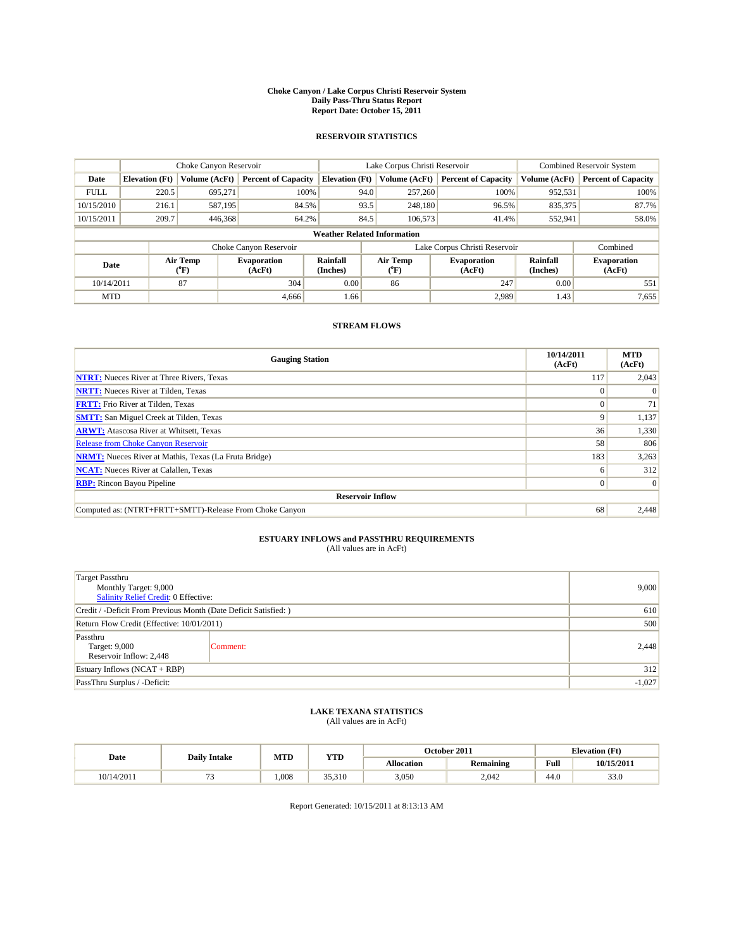#### **Choke Canyon / Lake Corpus Christi Reservoir System Daily Pass-Thru Status Report Report Date: October 15, 2011**

### **RESERVOIR STATISTICS**

|             | Choke Canyon Reservoir             |                      |                              |                             | Lake Corpus Christi Reservoir |                               |                      | <b>Combined Reservoir System</b> |  |
|-------------|------------------------------------|----------------------|------------------------------|-----------------------------|-------------------------------|-------------------------------|----------------------|----------------------------------|--|
| Date        | <b>Elevation</b> (Ft)              | <b>Volume (AcFt)</b> | <b>Percent of Capacity</b>   | <b>Elevation</b> (Ft)       | Volume (AcFt)                 | <b>Percent of Capacity</b>    | Volume (AcFt)        | <b>Percent of Capacity</b>       |  |
| <b>FULL</b> | 220.5                              | 695,271              | 100%                         | 94.0                        | 257,260                       | 100%                          | 952,531              | 100%                             |  |
| 10/15/2010  | 216.1                              | 587,195              | 84.5%                        | 93.5                        | 248,180                       | 96.5%                         | 835,375              | 87.7%                            |  |
| 10/15/2011  | 209.7                              | 446,368              | 64.2%                        | 84.5                        | 106,573                       | 41.4%                         | 552,941              | 58.0%                            |  |
|             | <b>Weather Related Information</b> |                      |                              |                             |                               |                               |                      |                                  |  |
|             |                                    |                      | Choke Canyon Reservoir       |                             |                               | Lake Corpus Christi Reservoir |                      | Combined                         |  |
| Date        |                                    | Air Temp<br>(°F)     | <b>Evaporation</b><br>(AcFt) | <b>Rainfall</b><br>(Inches) | Air Temp<br>(°F)              | <b>Evaporation</b><br>(AcFt)  | Rainfall<br>(Inches) | <b>Evaporation</b><br>(AcFt)     |  |
| 10/14/2011  |                                    | 87                   | 304                          | 0.00                        | 86                            | 247                           | 0.00                 | 551                              |  |
| <b>MTD</b>  |                                    |                      | 4.666                        | 1.66                        |                               | 2.989                         | 1.43                 | 7,655                            |  |

## **STREAM FLOWS**

| <b>Gauging Station</b>                                       | 10/14/2011<br>(AcFt) | <b>MTD</b><br>(AcFt) |
|--------------------------------------------------------------|----------------------|----------------------|
| <b>NTRT:</b> Nueces River at Three Rivers, Texas             | 117                  | 2,043                |
| <b>NRTT:</b> Nueces River at Tilden, Texas                   |                      |                      |
| <b>FRTT:</b> Frio River at Tilden, Texas                     | $\Omega$             | 71                   |
| <b>SMTT:</b> San Miguel Creek at Tilden, Texas               | 9                    | 1,137                |
| <b>ARWT:</b> Atascosa River at Whitsett, Texas               | 36                   | 1,330                |
| Release from Choke Canyon Reservoir                          | 58                   | 806                  |
| <b>NRMT:</b> Nueces River at Mathis, Texas (La Fruta Bridge) | 183                  | 3,263                |
| <b>NCAT:</b> Nueces River at Calallen, Texas                 | <sub>0</sub>         | 312                  |
| <b>RBP:</b> Rincon Bayou Pipeline                            | $\overline{0}$       | $\Omega$             |
| <b>Reservoir Inflow</b>                                      |                      |                      |
| Computed as: (NTRT+FRTT+SMTT)-Release From Choke Canyon      | 68                   | 2,448                |

# **ESTUARY INFLOWS and PASSTHRU REQUIREMENTS**<br>(All values are in AcFt)

| <b>Target Passthru</b><br>Monthly Target: 9,000<br>Salinity Relief Credit: 0 Effective: | 9,000    |       |
|-----------------------------------------------------------------------------------------|----------|-------|
| Credit / -Deficit From Previous Month (Date Deficit Satisfied: )                        | 610      |       |
| Return Flow Credit (Effective: 10/01/2011)                                              | 500      |       |
| Passthru<br>Target: 9,000<br>Reservoir Inflow: 2,448                                    | Comment: | 2,448 |
| Estuary Inflows (NCAT + RBP)                                                            | 312      |       |
| PassThru Surplus / -Deficit:                                                            | $-1,027$ |       |

## **LAKE TEXANA STATISTICS** (All values are in AcFt)

|            | <b>Daily Intake</b> | MTD  | <b>YTD</b> | October 2011<br><b>Elevation</b> (Ft) |                  |      |            |
|------------|---------------------|------|------------|---------------------------------------|------------------|------|------------|
| Date       |                     |      |            | <b>Allocation</b>                     | <b>Remaining</b> | Full | 10/15/2011 |
| 10/14/2011 |                     | .008 | 35.310     | 3,050                                 | 2.042            | 44.0 | 33.0       |

Report Generated: 10/15/2011 at 8:13:13 AM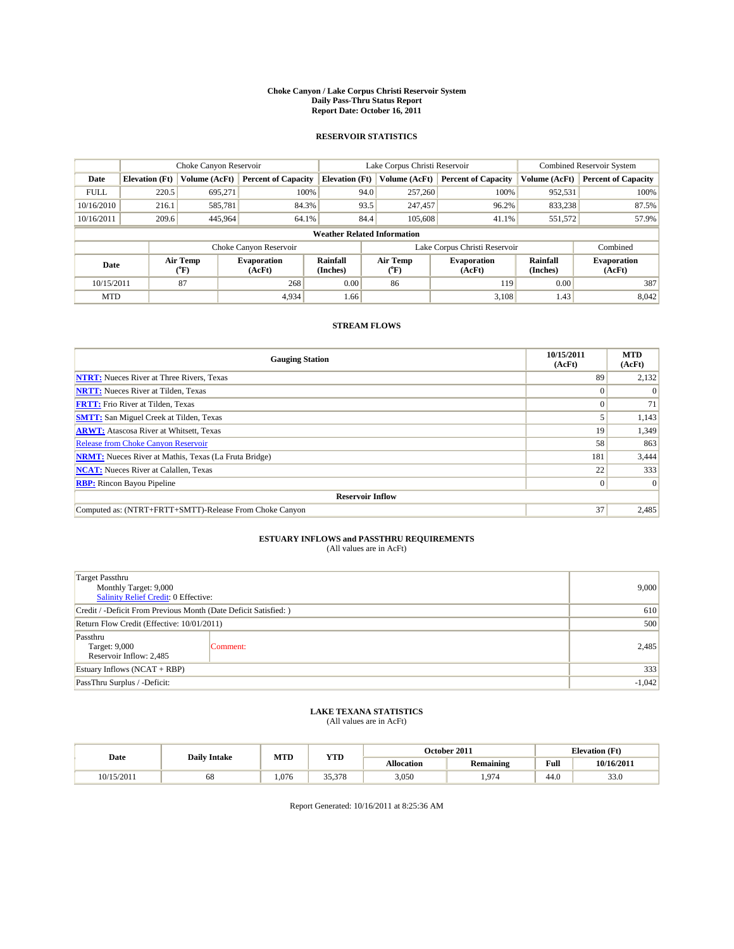#### **Choke Canyon / Lake Corpus Christi Reservoir System Daily Pass-Thru Status Report Report Date: October 16, 2011**

### **RESERVOIR STATISTICS**

|             | Choke Canyon Reservoir             |                             |                              |                             | Lake Corpus Christi Reservoir |                               |                      | <b>Combined Reservoir System</b> |  |
|-------------|------------------------------------|-----------------------------|------------------------------|-----------------------------|-------------------------------|-------------------------------|----------------------|----------------------------------|--|
| Date        | <b>Elevation</b> (Ft)              | <b>Volume (AcFt)</b>        | <b>Percent of Capacity</b>   | <b>Elevation</b> (Ft)       | Volume (AcFt)                 | <b>Percent of Capacity</b>    | Volume (AcFt)        | <b>Percent of Capacity</b>       |  |
| <b>FULL</b> | 220.5                              | 695,271                     | 100%                         |                             | 257,260<br>94.0               | 100%                          | 952,531              | 100%                             |  |
| 10/16/2010  | 216.1                              | 585,781                     | 84.3%                        |                             | 93.5<br>247,457               | 96.2%                         | 833,238              | 87.5%                            |  |
| 10/16/2011  | 209.6                              | 445,964                     | 64.1%                        |                             | 84.4<br>105,608               | 41.1%                         | 551,572              | 57.9%                            |  |
|             | <b>Weather Related Information</b> |                             |                              |                             |                               |                               |                      |                                  |  |
|             |                                    |                             | Choke Canyon Reservoir       |                             |                               | Lake Corpus Christi Reservoir |                      | Combined                         |  |
| Date        |                                    | Air Temp<br>${}^{\circ}$ F) | <b>Evaporation</b><br>(AcFt) | <b>Rainfall</b><br>(Inches) | Air Temp<br>(°F)              | <b>Evaporation</b><br>(AcFt)  | Rainfall<br>(Inches) | <b>Evaporation</b><br>(AcFt)     |  |
| 10/15/2011  |                                    | 87                          | 268                          | 0.00                        | 86                            | 119                           | 0.00                 | 387                              |  |
| <b>MTD</b>  |                                    |                             | 4,934                        | 1.66                        |                               | 3,108                         | 1.43                 | 8,042                            |  |

## **STREAM FLOWS**

| <b>Gauging Station</b>                                       | 10/15/2011<br>(AcFt) | <b>MTD</b><br>(AcFt) |
|--------------------------------------------------------------|----------------------|----------------------|
| <b>NTRT:</b> Nueces River at Three Rivers, Texas             | 89                   | 2,132                |
| <b>NRTT:</b> Nueces River at Tilden, Texas                   | $\Omega$             |                      |
| <b>FRTT:</b> Frio River at Tilden, Texas                     |                      | 71                   |
| <b>SMTT:</b> San Miguel Creek at Tilden, Texas               |                      | 1,143                |
| <b>ARWT:</b> Atascosa River at Whitsett, Texas               | 19                   | 1,349                |
| <b>Release from Choke Canyon Reservoir</b>                   | 58                   | 863                  |
| <b>NRMT:</b> Nueces River at Mathis, Texas (La Fruta Bridge) | 181                  | 3,444                |
| <b>NCAT:</b> Nueces River at Calallen, Texas                 | 22                   | 333                  |
| <b>RBP:</b> Rincon Bayou Pipeline                            | $\overline{0}$       | $\Omega$             |
| <b>Reservoir Inflow</b>                                      |                      |                      |
| Computed as: (NTRT+FRTT+SMTT)-Release From Choke Canyon      | 37                   | 2,485                |

# **ESTUARY INFLOWS and PASSTHRU REQUIREMENTS**<br>(All values are in AcFt)

| <b>Target Passthru</b><br>Monthly Target: 9,000<br>Salinity Relief Credit: 0 Effective: | 9,000    |       |
|-----------------------------------------------------------------------------------------|----------|-------|
| Credit / -Deficit From Previous Month (Date Deficit Satisfied: )                        | 610      |       |
| Return Flow Credit (Effective: 10/01/2011)                                              | 500      |       |
| Passthru<br>Target: 9,000<br>Reservoir Inflow: 2,485                                    | Comment: | 2,485 |
| Estuary Inflows $(NCAT + RBP)$                                                          | 333      |       |
| PassThru Surplus / -Deficit:                                                            | $-1,042$ |       |

## **LAKE TEXANA STATISTICS** (All values are in AcFt)

|            | <b>Daily Intake</b> | MTD  | <b>YTD</b> |                   | October 2011     | <b>Elevation</b> (Ft)                 |            |
|------------|---------------------|------|------------|-------------------|------------------|---------------------------------------|------------|
| Date       |                     |      |            | <b>Allocation</b> | <b>Remaining</b> | Full                                  | 10/16/2011 |
| 10/15/2011 | 68                  | .076 | 35,378     | 3,050             | 97/              | $\overline{A}$ $\overline{C}$<br>44.U | 33.0       |

Report Generated: 10/16/2011 at 8:25:36 AM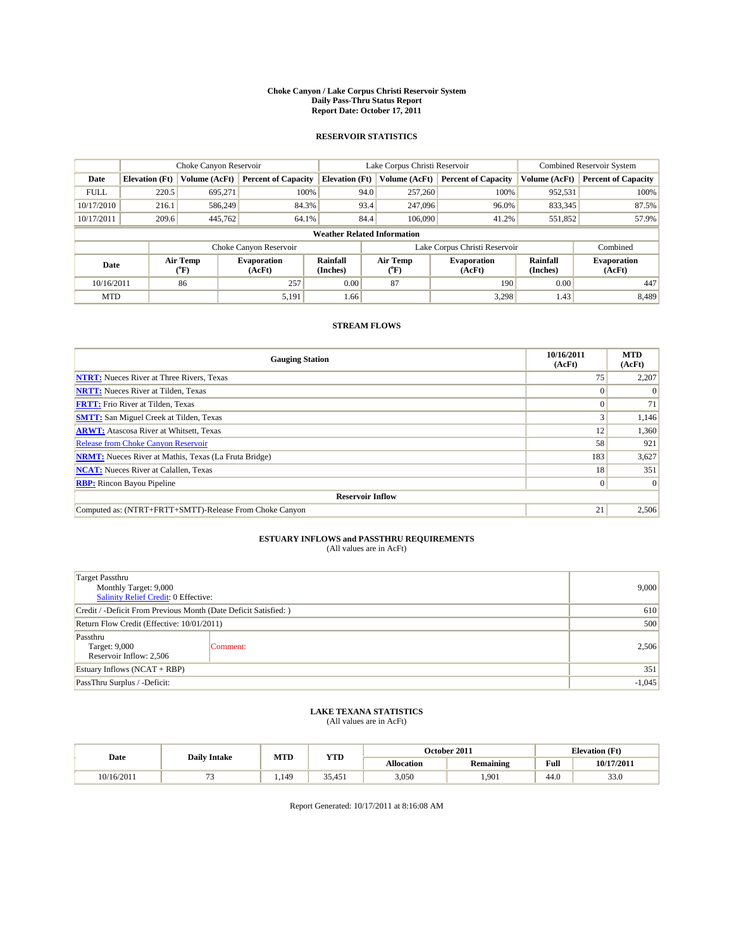#### **Choke Canyon / Lake Corpus Christi Reservoir System Daily Pass-Thru Status Report Report Date: October 17, 2011**

### **RESERVOIR STATISTICS**

|             | Choke Canyon Reservoir             |                  |                              |                             | Lake Corpus Christi Reservoir | <b>Combined Reservoir System</b> |                      |                              |  |
|-------------|------------------------------------|------------------|------------------------------|-----------------------------|-------------------------------|----------------------------------|----------------------|------------------------------|--|
| Date        | <b>Elevation</b> (Ft)              | Volume (AcFt)    | <b>Percent of Capacity</b>   | <b>Elevation</b> (Ft)       | Volume (AcFt)                 | <b>Percent of Capacity</b>       | Volume (AcFt)        | <b>Percent of Capacity</b>   |  |
| <b>FULL</b> | 220.5                              | 695,271          | 100%                         | 94.0                        | 257,260                       | 100%                             | 952,531              | 100%                         |  |
| 10/17/2010  | 216.1                              | 586,249          | 84.3%                        | 93.4                        | 247,096                       | 96.0%                            | 833,345              | 87.5%                        |  |
| 10/17/2011  | 209.6                              | 445,762          | 64.1%                        | 84.4                        | 106,090                       | 41.2%                            | 551,852              | 57.9%                        |  |
|             | <b>Weather Related Information</b> |                  |                              |                             |                               |                                  |                      |                              |  |
|             |                                    |                  | Choke Canyon Reservoir       |                             |                               | Lake Corpus Christi Reservoir    |                      | Combined                     |  |
| Date        |                                    | Air Temp<br>(°F) | <b>Evaporation</b><br>(AcFt) | <b>Rainfall</b><br>(Inches) | Air Temp<br>(°F)              | <b>Evaporation</b><br>(AcFt)     | Rainfall<br>(Inches) | <b>Evaporation</b><br>(AcFt) |  |
| 10/16/2011  |                                    | 86               | 257                          | 0.00                        | 87                            | 190                              | 0.00                 | 447                          |  |
| <b>MTD</b>  |                                    |                  | 5,191                        | 1.66                        |                               | 3.298                            | 1.43                 | 8.489                        |  |

## **STREAM FLOWS**

| <b>Gauging Station</b>                                       | 10/16/2011<br>(AcFt) | <b>MTD</b><br>(AcFt) |
|--------------------------------------------------------------|----------------------|----------------------|
| <b>NTRT:</b> Nueces River at Three Rivers, Texas             | 75                   | 2,207                |
| <b>NRTT:</b> Nueces River at Tilden, Texas                   | $\Omega$             |                      |
| <b>FRTT:</b> Frio River at Tilden, Texas                     |                      | 71                   |
| <b>SMTT:</b> San Miguel Creek at Tilden, Texas               |                      | 1,146                |
| <b>ARWT:</b> Atascosa River at Whitsett, Texas               | 12                   | 1,360                |
| <b>Release from Choke Canyon Reservoir</b>                   | 58                   | 921                  |
| <b>NRMT:</b> Nueces River at Mathis, Texas (La Fruta Bridge) | 183                  | 3,627                |
| <b>NCAT:</b> Nueces River at Calallen, Texas                 | 18 <sup>1</sup>      | 351                  |
| <b>RBP:</b> Rincon Bayou Pipeline                            | $\overline{0}$       | $\Omega$             |
| <b>Reservoir Inflow</b>                                      |                      |                      |
| Computed as: (NTRT+FRTT+SMTT)-Release From Choke Canyon      | 21                   | 2,506                |

# **ESTUARY INFLOWS and PASSTHRU REQUIREMENTS**<br>(All values are in AcFt)

| <b>Target Passthru</b><br>Monthly Target: 9,000<br>Salinity Relief Credit: 0 Effective: | 9,000    |       |
|-----------------------------------------------------------------------------------------|----------|-------|
| Credit / -Deficit From Previous Month (Date Deficit Satisfied: )                        | 610      |       |
| Return Flow Credit (Effective: 10/01/2011)                                              | 500      |       |
| Passthru<br>Target: 9,000<br>Reservoir Inflow: 2,506                                    | Comment: | 2,506 |
| Estuary Inflows $(NCAT + RBP)$                                                          | 351      |       |
| PassThru Surplus / -Deficit:                                                            | $-1,045$ |       |

## **LAKE TEXANA STATISTICS** (All values are in AcFt)

| Date       | <b>Daily Intake</b> | MTD  | YTD    |            | October 2011     |      | <b>Elevation</b> (Ft) |
|------------|---------------------|------|--------|------------|------------------|------|-----------------------|
|            |                     |      |        | Allocation | <b>Remaining</b> | Full | 10/17/2011            |
| 10/16/2011 |                     | .149 | 35,451 | 3,050      | ,901             | 44.0 | $\sim$<br>33.0        |

Report Generated: 10/17/2011 at 8:16:08 AM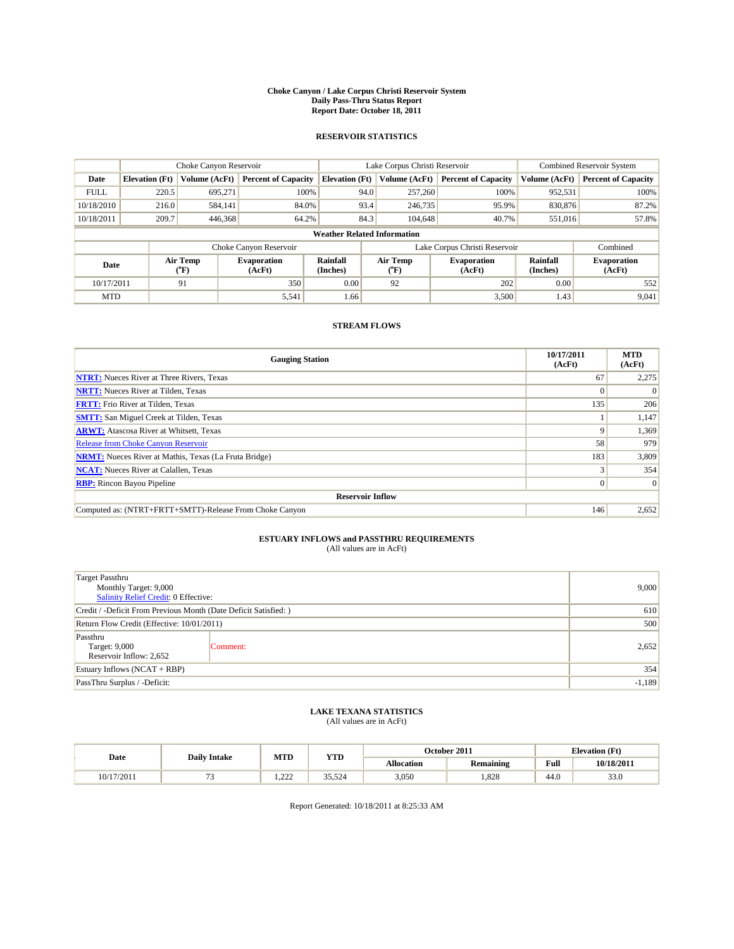#### **Choke Canyon / Lake Corpus Christi Reservoir System Daily Pass-Thru Status Report Report Date: October 18, 2011**

### **RESERVOIR STATISTICS**

|             | Choke Canyon Reservoir             |                                    |                              |                       | Lake Corpus Christi Reservoir |                               |                             | Combined Reservoir System    |  |
|-------------|------------------------------------|------------------------------------|------------------------------|-----------------------|-------------------------------|-------------------------------|-----------------------------|------------------------------|--|
| Date        | <b>Elevation</b> (Ft)              | Volume (AcFt)                      | <b>Percent of Capacity</b>   | <b>Elevation</b> (Ft) | Volume (AcFt)                 | <b>Percent of Capacity</b>    | Volume (AcFt)               | <b>Percent of Capacity</b>   |  |
| <b>FULL</b> | 220.5                              | 695,271                            | 100%                         |                       | 94.0<br>257,260               | 100%                          | 952,531                     | 100%                         |  |
| 10/18/2010  | 216.0                              | 584,141                            | 84.0%                        |                       | 93.4<br>246,735               | 95.9%                         | 830,876                     | 87.2%                        |  |
| 10/18/2011  | 209.7                              | 446,368                            | 64.2%                        |                       | 84.3<br>104.648               | 40.7%                         | 551,016                     | 57.8%                        |  |
|             | <b>Weather Related Information</b> |                                    |                              |                       |                               |                               |                             |                              |  |
|             |                                    |                                    | Choke Canyon Reservoir       |                       |                               | Lake Corpus Christi Reservoir |                             | Combined                     |  |
| Date        |                                    | Air Temp<br>${}^{\prime\prime}$ F) | <b>Evaporation</b><br>(AcFt) | Rainfall<br>(Inches)  | Air Temp<br>(°F)              | <b>Evaporation</b><br>(AcFt)  | <b>Rainfall</b><br>(Inches) | <b>Evaporation</b><br>(AcFt) |  |
| 10/17/2011  |                                    | 91                                 | 350                          | 0.00                  | 92                            | 202                           | 0.00                        | 552                          |  |
| <b>MTD</b>  |                                    |                                    | 5,541                        | 1.66                  |                               | 3,500                         | 1.43                        | 9,041                        |  |

## **STREAM FLOWS**

| <b>Gauging Station</b>                                       | 10/17/2011<br>(AcFt) | <b>MTD</b><br>(AcFt) |
|--------------------------------------------------------------|----------------------|----------------------|
| <b>NTRT:</b> Nueces River at Three Rivers, Texas             | 67                   | 2,275                |
| <b>NRTT:</b> Nueces River at Tilden, Texas                   | $\Omega$             |                      |
| <b>FRTT:</b> Frio River at Tilden, Texas                     | 135                  | 206                  |
| <b>SMTT:</b> San Miguel Creek at Tilden, Texas               |                      | 1,147                |
| <b>ARWT:</b> Atascosa River at Whitsett, Texas               | 9                    | 1,369                |
| <b>Release from Choke Canyon Reservoir</b>                   | 58                   | 979                  |
| <b>NRMT:</b> Nueces River at Mathis, Texas (La Fruta Bridge) | 183                  | 3,809                |
| <b>NCAT:</b> Nueces River at Calallen, Texas                 |                      | 354                  |
| <b>RBP:</b> Rincon Bayou Pipeline                            | $\overline{0}$       | $\Omega$             |
| <b>Reservoir Inflow</b>                                      |                      |                      |
| Computed as: (NTRT+FRTT+SMTT)-Release From Choke Canyon      | 146                  | 2,652                |

# **ESTUARY INFLOWS and PASSTHRU REQUIREMENTS**<br>(All values are in AcFt)

| <b>Target Passthru</b><br>Monthly Target: 9,000<br>Salinity Relief Credit: 0 Effective: | 9,000    |       |
|-----------------------------------------------------------------------------------------|----------|-------|
| Credit / -Deficit From Previous Month (Date Deficit Satisfied: )                        | 610      |       |
| Return Flow Credit (Effective: 10/01/2011)                                              | 500      |       |
| Passthru<br>Target: 9,000<br>Reservoir Inflow: 2,652                                    | Comment: | 2,652 |
| Estuary Inflows (NCAT + RBP)                                                            |          | 354   |
| PassThru Surplus / -Deficit:                                                            | $-1,189$ |       |

## **LAKE TEXANA STATISTICS** (All values are in AcFt)

|            | <b>Daily Intake</b> | MTD     | <b>YTD</b> | October 2011<br><b>Elevation</b> (Ft) |                  |      |            |
|------------|---------------------|---------|------------|---------------------------------------|------------------|------|------------|
| Date       |                     |         |            | <b>Allocation</b>                     | <b>Remaining</b> | Full | 10/18/2011 |
| 10/17/2011 |                     | 22<br>. | 35.524     | 3,050                                 | .828             | 44.0 | 33.0       |

Report Generated: 10/18/2011 at 8:25:33 AM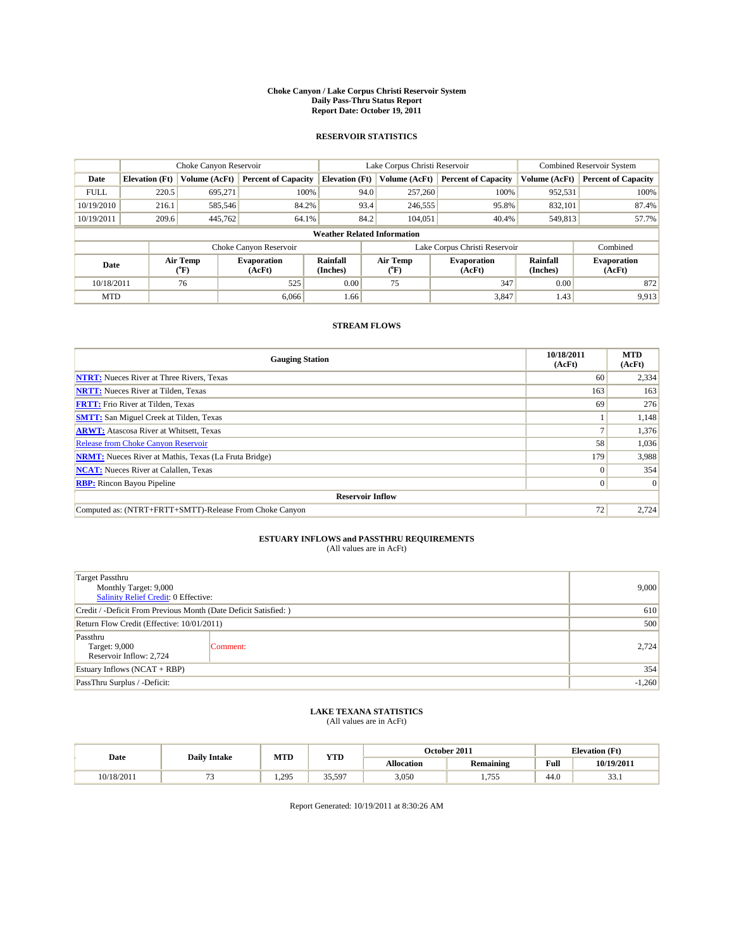#### **Choke Canyon / Lake Corpus Christi Reservoir System Daily Pass-Thru Status Report Report Date: October 19, 2011**

### **RESERVOIR STATISTICS**

|             | Choke Canyon Reservoir             |                      |                              |                             | Lake Corpus Christi Reservoir |                               |                      | Combined Reservoir System    |  |
|-------------|------------------------------------|----------------------|------------------------------|-----------------------------|-------------------------------|-------------------------------|----------------------|------------------------------|--|
| Date        | <b>Elevation</b> (Ft)              | <b>Volume (AcFt)</b> | <b>Percent of Capacity</b>   | <b>Elevation</b> (Ft)       | Volume (AcFt)                 | <b>Percent of Capacity</b>    | Volume (AcFt)        | <b>Percent of Capacity</b>   |  |
| <b>FULL</b> | 220.5                              | 695,271              | 100%                         | 94.0                        | 257,260                       | 100%                          | 952,531              | 100%                         |  |
| 10/19/2010  | 216.1                              | 585,546              | 84.2%                        | 93.4                        | 246,555                       | 95.8%                         | 832,101              | 87.4%                        |  |
| 10/19/2011  | 209.6                              | 445,762              | 64.1%                        | 84.2                        | 104,051                       | 40.4%                         | 549,813              | 57.7%                        |  |
|             | <b>Weather Related Information</b> |                      |                              |                             |                               |                               |                      |                              |  |
|             |                                    |                      | Choke Canyon Reservoir       |                             |                               | Lake Corpus Christi Reservoir |                      | Combined                     |  |
| Date        |                                    | Air Temp<br>(°F)     | <b>Evaporation</b><br>(AcFt) | <b>Rainfall</b><br>(Inches) | Air Temp<br>(°F)              | <b>Evaporation</b><br>(AcFt)  | Rainfall<br>(Inches) | <b>Evaporation</b><br>(AcFt) |  |
| 10/18/2011  |                                    | 76                   | 525                          | 0.00                        | 75                            | 347                           | 0.00                 | 872                          |  |
| <b>MTD</b>  |                                    |                      | 6.066                        | 1.66                        |                               | 3,847                         | 1.43                 | 9,913                        |  |

## **STREAM FLOWS**

| <b>Gauging Station</b>                                       | 10/18/2011<br>(AcFt) | <b>MTD</b><br>(AcFt) |
|--------------------------------------------------------------|----------------------|----------------------|
| <b>NTRT:</b> Nueces River at Three Rivers, Texas             | 60                   | 2,334                |
| <b>NRTT:</b> Nueces River at Tilden, Texas                   | 163                  | 163                  |
| <b>FRTT:</b> Frio River at Tilden, Texas                     | 69                   | 276                  |
| <b>SMTT:</b> San Miguel Creek at Tilden, Texas               |                      | 1,148                |
| <b>ARWT:</b> Atascosa River at Whitsett, Texas               |                      | 1,376                |
| <b>Release from Choke Canyon Reservoir</b>                   | 58                   | 1,036                |
| <b>NRMT:</b> Nueces River at Mathis, Texas (La Fruta Bridge) | 179                  | 3,988                |
| <b>NCAT:</b> Nueces River at Calallen, Texas                 | $\Omega$             | 354                  |
| <b>RBP:</b> Rincon Bayou Pipeline                            | $\overline{0}$       | $\Omega$             |
| <b>Reservoir Inflow</b>                                      |                      |                      |
| Computed as: (NTRT+FRTT+SMTT)-Release From Choke Canyon      | 72                   | 2,724                |

# **ESTUARY INFLOWS and PASSTHRU REQUIREMENTS**<br>(All values are in AcFt)

| <b>Target Passthru</b><br>Monthly Target: 9,000<br>Salinity Relief Credit: 0 Effective: | 9,000    |       |
|-----------------------------------------------------------------------------------------|----------|-------|
| Credit / -Deficit From Previous Month (Date Deficit Satisfied: )                        | 610      |       |
| Return Flow Credit (Effective: 10/01/2011)                                              | 500      |       |
| Passthru<br>Target: 9,000<br>Reservoir Inflow: 2,724                                    | Comment: | 2,724 |
| Estuary Inflows $(NCAT + RBP)$                                                          |          | 354   |
| PassThru Surplus / -Deficit:                                                            | $-1,260$ |       |

## **LAKE TEXANA STATISTICS** (All values are in AcFt)

|            | <b>Daily Intake</b> | MTD  | <b>YTD</b>        | October 2011<br><b>Elevation</b> (Ft) |                        |      |                       |
|------------|---------------------|------|-------------------|---------------------------------------|------------------------|------|-----------------------|
| Date       |                     |      |                   | <b>Allocation</b>                     | <b>Remaining</b>       | Full | 10/19/2011            |
| 10/18/2011 |                     | .295 | 35.597<br><i></i> | 3,050                                 | 755<br>1. <i>1 J J</i> | 44.0 | $\sim$<br><b>JJ.I</b> |

Report Generated: 10/19/2011 at 8:30:26 AM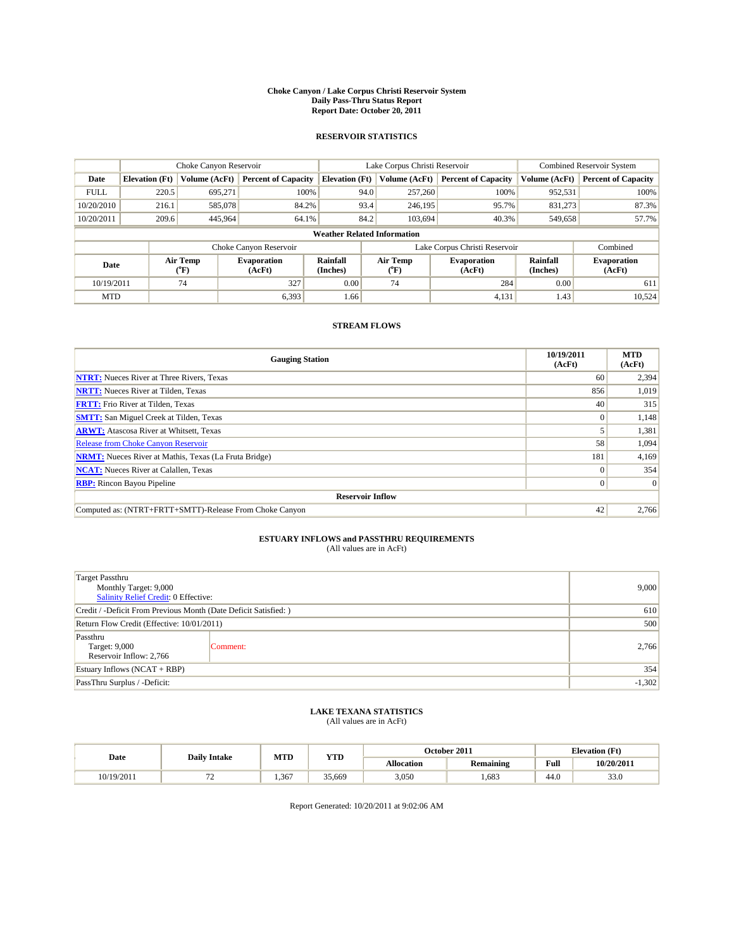#### **Choke Canyon / Lake Corpus Christi Reservoir System Daily Pass-Thru Status Report Report Date: October 20, 2011**

### **RESERVOIR STATISTICS**

|             | Choke Canyon Reservoir             |                      |                              |                             | Lake Corpus Christi Reservoir |                               |                      | Combined Reservoir System    |  |
|-------------|------------------------------------|----------------------|------------------------------|-----------------------------|-------------------------------|-------------------------------|----------------------|------------------------------|--|
| Date        | <b>Elevation</b> (Ft)              | <b>Volume (AcFt)</b> | <b>Percent of Capacity</b>   | <b>Elevation</b> (Ft)       | Volume (AcFt)                 | <b>Percent of Capacity</b>    | Volume (AcFt)        | <b>Percent of Capacity</b>   |  |
| <b>FULL</b> | 220.5                              | 695,271              | 100%                         | 94.0                        | 257,260                       | 100%                          | 952,531              | 100%                         |  |
| 10/20/2010  | 216.1                              | 585,078              | 84.2%                        | 93.4                        | 246,195                       | 95.7%                         | 831,273              | 87.3%                        |  |
| 10/20/2011  | 209.6                              | 445,964              | 64.1%                        | 84.2                        | 103,694                       | 40.3%                         | 549,658              | 57.7%                        |  |
|             | <b>Weather Related Information</b> |                      |                              |                             |                               |                               |                      |                              |  |
|             |                                    |                      | Choke Canyon Reservoir       |                             |                               | Lake Corpus Christi Reservoir |                      | Combined                     |  |
| Date        |                                    | Air Temp<br>(°F)     | <b>Evaporation</b><br>(AcFt) | <b>Rainfall</b><br>(Inches) | Air Temp<br>(°F)              | <b>Evaporation</b><br>(AcFt)  | Rainfall<br>(Inches) | <b>Evaporation</b><br>(AcFt) |  |
| 10/19/2011  |                                    | 74                   | 327                          | 0.00                        | 74                            | 284                           | 0.00                 | 611                          |  |
| <b>MTD</b>  |                                    |                      | 6,393                        | 1.66                        |                               | 4,131                         | 1.43                 | 10,524                       |  |

## **STREAM FLOWS**

| <b>Gauging Station</b>                                       | 10/19/2011<br>(AcFt) | <b>MTD</b><br>(AcFt) |
|--------------------------------------------------------------|----------------------|----------------------|
| <b>NTRT:</b> Nueces River at Three Rivers, Texas             | 60                   | 2,394                |
| <b>NRTT:</b> Nueces River at Tilden, Texas                   | 856                  | 1,019                |
| <b>FRTT:</b> Frio River at Tilden, Texas                     | 40                   | 315                  |
| <b>SMTT:</b> San Miguel Creek at Tilden, Texas               | $\Omega$             | 1,148                |
| <b>ARWT:</b> Atascosa River at Whitsett, Texas               |                      | 1,381                |
| <b>Release from Choke Canyon Reservoir</b>                   | 58                   | 1,094                |
| <b>NRMT:</b> Nueces River at Mathis, Texas (La Fruta Bridge) | 181                  | 4,169                |
| <b>NCAT:</b> Nueces River at Calallen, Texas                 | $\theta$             | 354                  |
| <b>RBP:</b> Rincon Bayou Pipeline                            | $\overline{0}$       | $\Omega$             |
| <b>Reservoir Inflow</b>                                      |                      |                      |
| Computed as: (NTRT+FRTT+SMTT)-Release From Choke Canyon      | 42                   | 2,766                |

# **ESTUARY INFLOWS and PASSTHRU REQUIREMENTS**<br>(All values are in AcFt)

| <b>Target Passthru</b><br>Monthly Target: 9,000<br>Salinity Relief Credit: 0 Effective: | 9,000    |       |
|-----------------------------------------------------------------------------------------|----------|-------|
| Credit / -Deficit From Previous Month (Date Deficit Satisfied: )                        | 610      |       |
| Return Flow Credit (Effective: 10/01/2011)                                              | 500      |       |
| Passthru<br>Target: 9,000<br>Reservoir Inflow: 2,766                                    | Comment: | 2,766 |
| Estuary Inflows (NCAT + RBP)                                                            |          | 354   |
| PassThru Surplus / -Deficit:                                                            | $-1,302$ |       |

## **LAKE TEXANA STATISTICS** (All values are in AcFt)

|            | <b>Daily Intake</b>            | MTD  | <b>YTD</b> |                   | October 2011     |                                       | <b>Elevation</b> (Ft) |
|------------|--------------------------------|------|------------|-------------------|------------------|---------------------------------------|-----------------------|
| Date       |                                |      |            | <b>Allocation</b> | <b>Remaining</b> | Full                                  | 10/20/2011            |
| 10/19/2011 | --<br>$\overline{\phantom{0}}$ | .367 | 35.669     | 3,050             | .683             | $\overline{A}$ $\overline{B}$<br>44.U | 33.0                  |

Report Generated: 10/20/2011 at 9:02:06 AM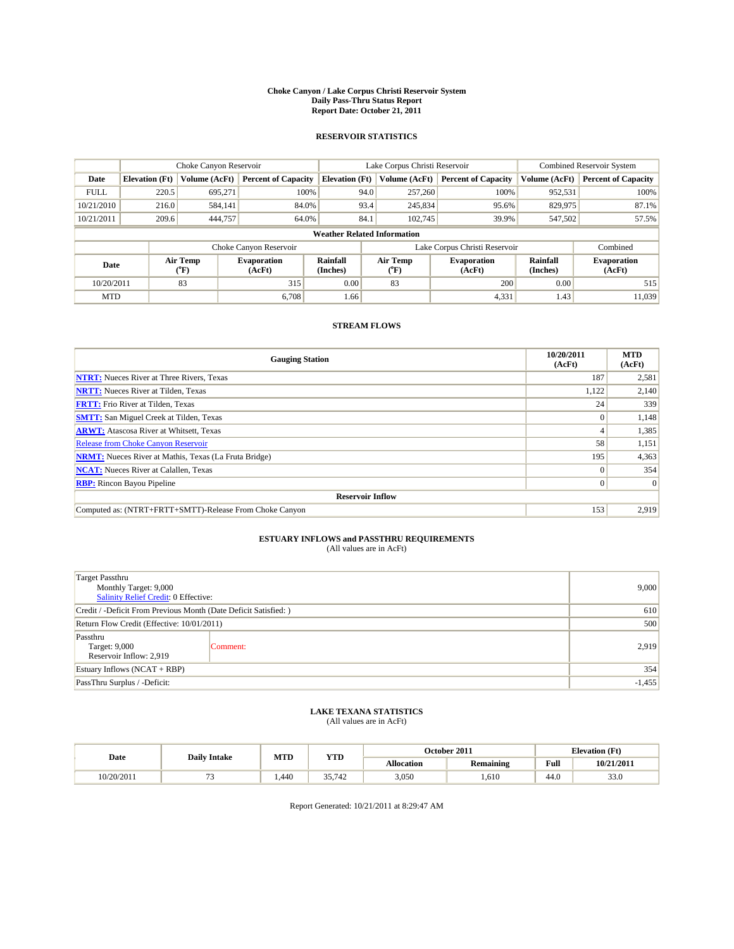#### **Choke Canyon / Lake Corpus Christi Reservoir System Daily Pass-Thru Status Report Report Date: October 21, 2011**

### **RESERVOIR STATISTICS**

|             | Choke Canyon Reservoir             |                      |                              |                             | Lake Corpus Christi Reservoir |                               |                      | Combined Reservoir System    |  |
|-------------|------------------------------------|----------------------|------------------------------|-----------------------------|-------------------------------|-------------------------------|----------------------|------------------------------|--|
| Date        | <b>Elevation</b> (Ft)              | <b>Volume (AcFt)</b> | <b>Percent of Capacity</b>   | <b>Elevation</b> (Ft)       | Volume (AcFt)                 | <b>Percent of Capacity</b>    | Volume (AcFt)        | <b>Percent of Capacity</b>   |  |
| <b>FULL</b> | 220.5                              | 695,271              | 100%                         | 94.0                        | 257,260                       | 100%                          | 952,531              | 100%                         |  |
| 10/21/2010  | 216.0                              | 584,141              | 84.0%                        | 93.4                        | 245,834                       | 95.6%                         | 829,975              | 87.1%                        |  |
| 10/21/2011  | 209.6                              | 444,757              | 64.0%                        | 84.1                        | 102,745                       | 39.9%                         | 547,502              | 57.5%                        |  |
|             | <b>Weather Related Information</b> |                      |                              |                             |                               |                               |                      |                              |  |
|             |                                    |                      | Choke Canyon Reservoir       |                             |                               | Lake Corpus Christi Reservoir |                      | Combined                     |  |
| Date        |                                    | Air Temp<br>(°F)     | <b>Evaporation</b><br>(AcFt) | <b>Rainfall</b><br>(Inches) | Air Temp<br>("F)              | <b>Evaporation</b><br>(AcFt)  | Rainfall<br>(Inches) | <b>Evaporation</b><br>(AcFt) |  |
| 10/20/2011  |                                    | 83                   | 315                          | 0.00                        | 83                            | 200                           | 0.00                 | 515                          |  |
| <b>MTD</b>  |                                    |                      | 6.708                        | 1.66                        |                               | 4,331                         | 1.43                 | 11.039                       |  |

## **STREAM FLOWS**

| <b>Gauging Station</b>                                       | 10/20/2011<br>(AcFt) | <b>MTD</b><br>(AcFt) |
|--------------------------------------------------------------|----------------------|----------------------|
| <b>NTRT:</b> Nueces River at Three Rivers, Texas             | 187                  | 2,581                |
| <b>NRTT:</b> Nueces River at Tilden, Texas                   | 1,122                | 2,140                |
| <b>FRTT:</b> Frio River at Tilden, Texas                     | 24                   | 339                  |
| <b>SMTT:</b> San Miguel Creek at Tilden, Texas               | $\Omega$             | 1,148                |
| <b>ARWT:</b> Atascosa River at Whitsett, Texas               |                      | 1,385                |
| Release from Choke Canyon Reservoir                          | 58                   | 1,151                |
| <b>NRMT:</b> Nueces River at Mathis, Texas (La Fruta Bridge) | 195                  | 4,363                |
| <b>NCAT:</b> Nueces River at Calallen, Texas                 | $\Omega$             | 354                  |
| <b>RBP:</b> Rincon Bayou Pipeline                            | $\overline{0}$       | $\Omega$             |
| <b>Reservoir Inflow</b>                                      |                      |                      |
| Computed as: (NTRT+FRTT+SMTT)-Release From Choke Canyon      | 153                  | 2,919                |

# **ESTUARY INFLOWS and PASSTHRU REQUIREMENTS**<br>(All values are in AcFt)

| <b>Target Passthru</b><br>Monthly Target: 9,000<br>Salinity Relief Credit: 0 Effective: | 9,000    |       |
|-----------------------------------------------------------------------------------------|----------|-------|
| Credit / -Deficit From Previous Month (Date Deficit Satisfied: )                        |          | 610   |
| Return Flow Credit (Effective: 10/01/2011)                                              | 500      |       |
| Passthru<br>Target: 9,000<br>Reservoir Inflow: 2,919                                    | Comment: | 2,919 |
| Estuary Inflows (NCAT + RBP)                                                            |          | 354   |
| PassThru Surplus / -Deficit:                                                            | $-1,455$ |       |

## **LAKE TEXANA STATISTICS** (All values are in AcFt)

|            | <b>Daily Intake</b> | MTD  | <b>YTD</b>      | October 2011<br><b>Elevation</b> (Ft) |                  |      |            |
|------------|---------------------|------|-----------------|---------------------------------------|------------------|------|------------|
| Date       |                     |      |                 | <b>Allocation</b>                     | <b>Remaining</b> | Full | 10/21/2011 |
| 10/20/2011 |                     | .440 | 35742<br>33,142 | 3,050                                 | .610             | 44.0 | 33.0       |

Report Generated: 10/21/2011 at 8:29:47 AM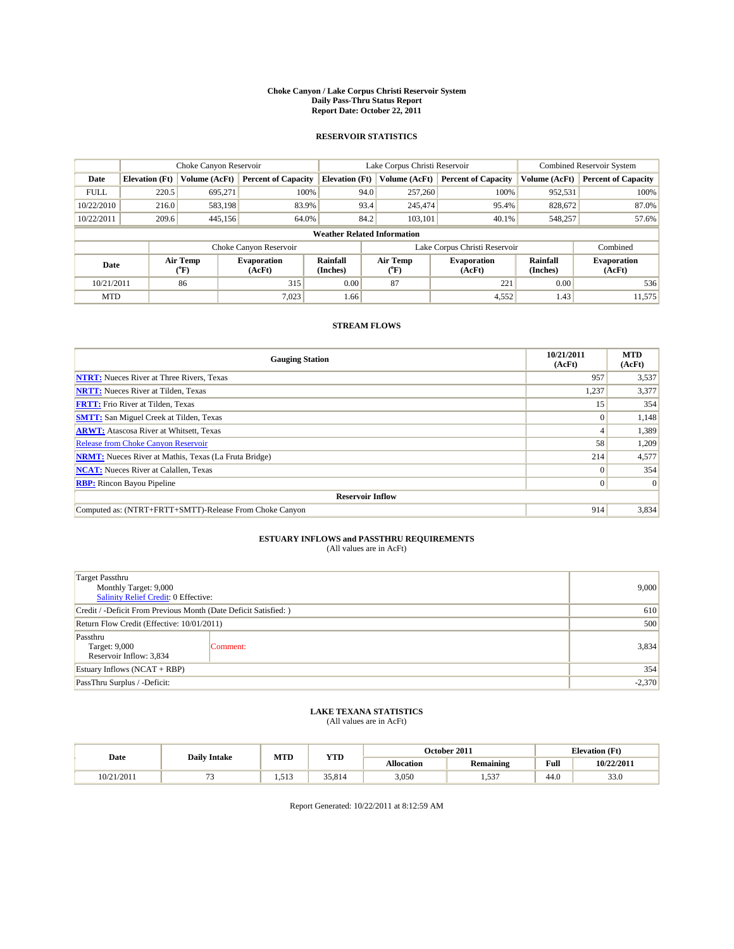#### **Choke Canyon / Lake Corpus Christi Reservoir System Daily Pass-Thru Status Report Report Date: October 22, 2011**

### **RESERVOIR STATISTICS**

|             | Choke Canyon Reservoir             |                      |                              |                             | Lake Corpus Christi Reservoir |                               |                      | Combined Reservoir System    |  |
|-------------|------------------------------------|----------------------|------------------------------|-----------------------------|-------------------------------|-------------------------------|----------------------|------------------------------|--|
| Date        | <b>Elevation</b> (Ft)              | <b>Volume (AcFt)</b> | <b>Percent of Capacity</b>   | <b>Elevation</b> (Ft)       | Volume (AcFt)                 | <b>Percent of Capacity</b>    | Volume (AcFt)        | <b>Percent of Capacity</b>   |  |
| <b>FULL</b> | 220.5                              | 695,271              | 100%                         | 94.0                        | 257,260                       | 100%                          | 952,531              | 100%                         |  |
| 10/22/2010  | 216.0                              | 583,198              | 83.9%                        | 93.4                        | 245,474                       | 95.4%                         | 828,672              | 87.0%                        |  |
| 10/22/2011  | 209.6                              | 445,156              | 64.0%                        | 84.2                        | 103,101                       | 40.1%                         | 548,257              | 57.6%                        |  |
|             | <b>Weather Related Information</b> |                      |                              |                             |                               |                               |                      |                              |  |
|             |                                    |                      | Choke Canyon Reservoir       |                             |                               | Lake Corpus Christi Reservoir |                      | Combined                     |  |
| Date        |                                    | Air Temp<br>(°F)     | <b>Evaporation</b><br>(AcFt) | <b>Rainfall</b><br>(Inches) | Air Temp<br>(°F)              | <b>Evaporation</b><br>(AcFt)  | Rainfall<br>(Inches) | <b>Evaporation</b><br>(AcFt) |  |
| 10/21/2011  |                                    | 86                   | 315                          | 0.00                        | 87                            | 221                           | 0.00                 | 536                          |  |
| <b>MTD</b>  |                                    |                      | 7,023                        | 1.66                        |                               | 4,552                         | 1.43                 | 11,575                       |  |

## **STREAM FLOWS**

| <b>Gauging Station</b>                                       | 10/21/2011<br>(AcFt) | <b>MTD</b><br>(AcFt) |
|--------------------------------------------------------------|----------------------|----------------------|
| <b>NTRT:</b> Nueces River at Three Rivers, Texas             | 957                  | 3,537                |
| <b>NRTT:</b> Nueces River at Tilden, Texas                   | 1,237                | 3,377                |
| <b>FRTT:</b> Frio River at Tilden, Texas                     | 15 <sup>7</sup>      | 354                  |
| <b>SMTT:</b> San Miguel Creek at Tilden, Texas               | $\Omega$             | 1,148                |
| <b>ARWT:</b> Atascosa River at Whitsett, Texas               |                      | 1,389                |
| <b>Release from Choke Canyon Reservoir</b>                   | 58                   | 1,209                |
| <b>NRMT:</b> Nueces River at Mathis, Texas (La Fruta Bridge) | 214                  | 4,577                |
| <b>NCAT:</b> Nueces River at Calallen, Texas                 | $\Omega$             | 354                  |
| <b>RBP:</b> Rincon Bayou Pipeline                            | $\overline{0}$       | $\Omega$             |
| <b>Reservoir Inflow</b>                                      |                      |                      |
| Computed as: (NTRT+FRTT+SMTT)-Release From Choke Canyon      | 914                  | 3,834                |

# **ESTUARY INFLOWS and PASSTHRU REQUIREMENTS**<br>(All values are in AcFt)

| <b>Target Passthru</b><br>Monthly Target: 9,000<br>Salinity Relief Credit: 0 Effective: | 9,000    |       |
|-----------------------------------------------------------------------------------------|----------|-------|
| Credit / -Deficit From Previous Month (Date Deficit Satisfied: )                        |          | 610   |
| Return Flow Credit (Effective: 10/01/2011)                                              | 500      |       |
| Passthru<br>Target: 9,000<br>Reservoir Inflow: 3,834                                    | Comment: | 3,834 |
| Estuary Inflows $(NCAT + RBP)$                                                          |          | 354   |
| PassThru Surplus / -Deficit:                                                            | $-2,370$ |       |

## **LAKE TEXANA STATISTICS** (All values are in AcFt)

|            | <b>Daily Intake</b> | MTD   | <b>YTD</b> | October 2011<br><b>Elevation</b> (Ft) |                               |      |            |
|------------|---------------------|-------|------------|---------------------------------------|-------------------------------|------|------------|
| Date       |                     |       |            | <b>Allocation</b>                     | <b>Remaining</b>              | Full | 10/22/2011 |
| 10/21/2011 | -                   | 1.513 | 35.814     | 3,050                                 | $\sim$ $\sim$<br>. . <i>.</i> | 44.0 | 33.0       |

Report Generated: 10/22/2011 at 8:12:59 AM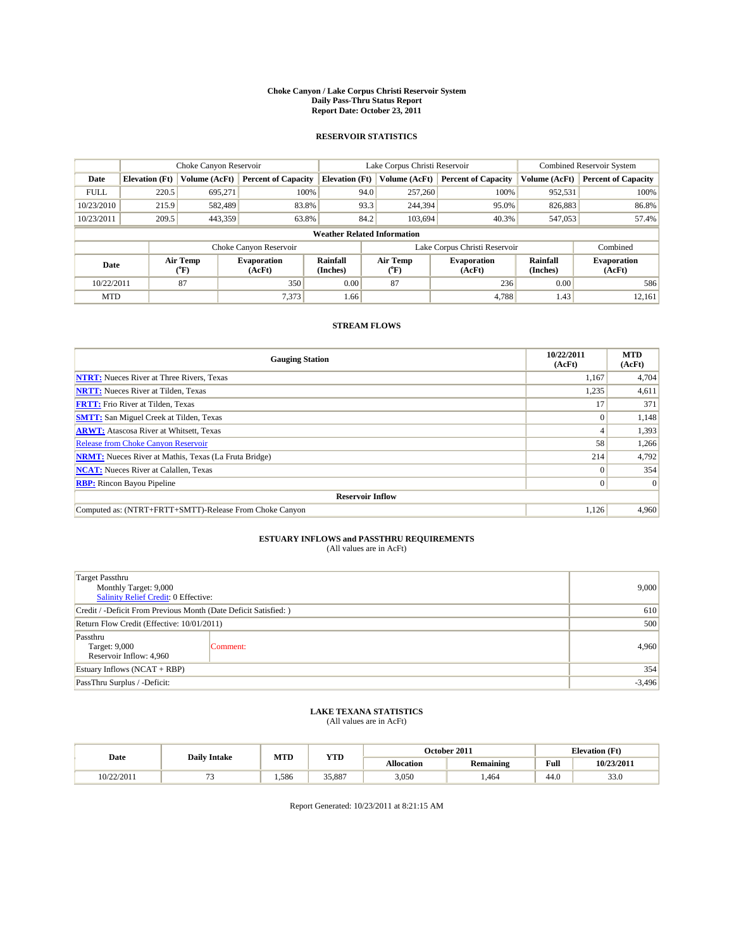#### **Choke Canyon / Lake Corpus Christi Reservoir System Daily Pass-Thru Status Report Report Date: October 23, 2011**

### **RESERVOIR STATISTICS**

|             | Choke Canyon Reservoir             |                      |                              |                             | Lake Corpus Christi Reservoir |                               |                      | <b>Combined Reservoir System</b> |  |
|-------------|------------------------------------|----------------------|------------------------------|-----------------------------|-------------------------------|-------------------------------|----------------------|----------------------------------|--|
| Date        | <b>Elevation</b> (Ft)              | <b>Volume (AcFt)</b> | <b>Percent of Capacity</b>   | <b>Elevation</b> (Ft)       | Volume (AcFt)                 | <b>Percent of Capacity</b>    | Volume (AcFt)        | <b>Percent of Capacity</b>       |  |
| <b>FULL</b> | 220.5                              | 695,271              | 100%                         | 94.0                        | 257,260                       | 100%                          | 952,531              | 100%                             |  |
| 10/23/2010  | 215.9                              | 582,489              | 83.8%                        | 93.3                        | 244,394                       | 95.0%                         | 826,883              | 86.8%                            |  |
| 10/23/2011  | 209.5                              | 443,359              | 63.8%                        | 84.2                        | 103,694                       | 40.3%                         | 547,053              | 57.4%                            |  |
|             | <b>Weather Related Information</b> |                      |                              |                             |                               |                               |                      |                                  |  |
|             |                                    |                      | Choke Canyon Reservoir       |                             |                               | Lake Corpus Christi Reservoir |                      | Combined                         |  |
| Date        |                                    | Air Temp<br>(°F)     | <b>Evaporation</b><br>(AcFt) | <b>Rainfall</b><br>(Inches) | Air Temp<br>(°F)              | <b>Evaporation</b><br>(AcFt)  | Rainfall<br>(Inches) | <b>Evaporation</b><br>(AcFt)     |  |
| 10/22/2011  |                                    | 87                   | 350                          | 0.00                        | 87                            | 236                           | 0.00                 | 586                              |  |
| <b>MTD</b>  |                                    |                      | 7,373                        | 1.66                        |                               | 4.788                         | 1.43                 | 12,161                           |  |

## **STREAM FLOWS**

| <b>Gauging Station</b>                                       | 10/22/2011<br>(AcFt) | <b>MTD</b><br>(AcFt) |
|--------------------------------------------------------------|----------------------|----------------------|
| <b>NTRT:</b> Nueces River at Three Rivers, Texas             | 1,167                | 4,704                |
| <b>NRTT:</b> Nueces River at Tilden, Texas                   | 1,235                | 4,611                |
| <b>FRTT:</b> Frio River at Tilden, Texas                     |                      | 371                  |
| <b>SMTT:</b> San Miguel Creek at Tilden, Texas               | $\Omega$             | 1,148                |
| <b>ARWT:</b> Atascosa River at Whitsett, Texas               |                      | 1,393                |
| <b>Release from Choke Canyon Reservoir</b>                   | 58                   | 1,266                |
| <b>NRMT:</b> Nueces River at Mathis, Texas (La Fruta Bridge) | 214                  | 4,792                |
| <b>NCAT:</b> Nueces River at Calallen, Texas                 | $\Omega$             | 354                  |
| <b>RBP:</b> Rincon Bayou Pipeline                            | $\overline{0}$       | $\Omega$             |
| <b>Reservoir Inflow</b>                                      |                      |                      |
| Computed as: (NTRT+FRTT+SMTT)-Release From Choke Canyon      | 1,126                | 4,960                |

# **ESTUARY INFLOWS and PASSTHRU REQUIREMENTS**<br>(All values are in AcFt)

| <b>Target Passthru</b><br>Monthly Target: 9,000<br>Salinity Relief Credit: 0 Effective: | 9,000    |       |
|-----------------------------------------------------------------------------------------|----------|-------|
| Credit / -Deficit From Previous Month (Date Deficit Satisfied: )                        |          | 610   |
| Return Flow Credit (Effective: 10/01/2011)                                              | 500      |       |
| Passthru<br>Target: 9,000<br>Reservoir Inflow: 4,960                                    | Comment: | 4,960 |
| Estuary Inflows (NCAT + RBP)                                                            |          | 354   |
| PassThru Surplus / -Deficit:                                                            | $-3,496$ |       |

## **LAKE TEXANA STATISTICS** (All values are in AcFt)

|            | <b>Daily Intake</b> | MTD  | <b>YTD</b> |                   | October 2011     | <b>Elevation</b> (Ft) |            |
|------------|---------------------|------|------------|-------------------|------------------|-----------------------|------------|
| Date       |                     |      |            | <b>Allocation</b> | <b>Remaining</b> | Full                  | 10/23/2011 |
| 10/22/2011 | --                  | .586 | 35,887     | 3,050             | .464             | $\sqrt{ }$<br>44.0    | 33.0       |

Report Generated: 10/23/2011 at 8:21:15 AM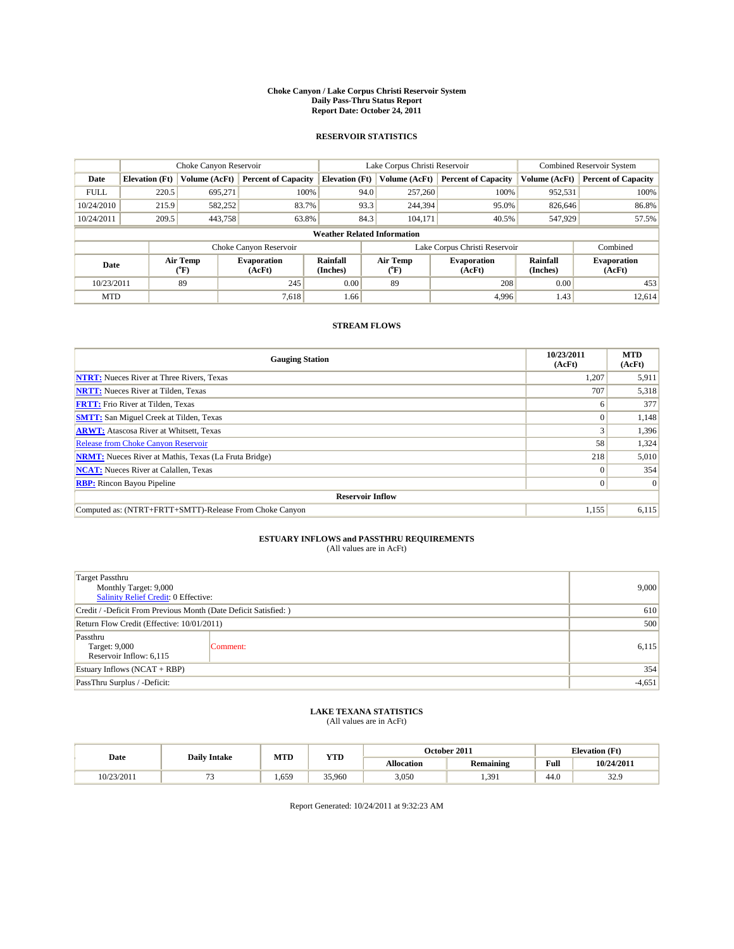#### **Choke Canyon / Lake Corpus Christi Reservoir System Daily Pass-Thru Status Report Report Date: October 24, 2011**

### **RESERVOIR STATISTICS**

|             | Choke Canyon Reservoir             |                  |                              |                       | Lake Corpus Christi Reservoir     |                               |                             | <b>Combined Reservoir System</b> |  |
|-------------|------------------------------------|------------------|------------------------------|-----------------------|-----------------------------------|-------------------------------|-----------------------------|----------------------------------|--|
| Date        | <b>Elevation</b> (Ft)              | Volume (AcFt)    | <b>Percent of Capacity</b>   | <b>Elevation (Ft)</b> | Volume (AcFt)                     | <b>Percent of Capacity</b>    | Volume (AcFt)               | <b>Percent of Capacity</b>       |  |
| <b>FULL</b> | 220.5                              | 695,271          | 100%                         | 94.0                  | 257,260                           | 100%                          | 952,531                     | 100%                             |  |
| 10/24/2010  | 215.9                              | 582,252          | 83.7%                        | 93.3                  | 244,394                           | 95.0%                         | 826,646                     | 86.8%                            |  |
| 10/24/2011  | 209.5                              | 443,758          | 63.8%                        | 84.3                  | 104,171                           | 40.5%                         | 547,929                     | 57.5%                            |  |
|             | <b>Weather Related Information</b> |                  |                              |                       |                                   |                               |                             |                                  |  |
|             |                                    |                  | Choke Canyon Reservoir       |                       |                                   | Lake Corpus Christi Reservoir |                             | Combined                         |  |
| Date        |                                    | Air Temp<br>(°F) | <b>Evaporation</b><br>(AcFt) | Rainfall<br>(Inches)  | Air Temp<br>$({}^{\circ}{\rm F})$ | <b>Evaporation</b><br>(AcFt)  | <b>Rainfall</b><br>(Inches) | <b>Evaporation</b><br>(AcFt)     |  |
| 10/23/2011  |                                    | 89               | 245                          | 0.00                  | 89                                | 208                           | 0.00                        | 453                              |  |
| <b>MTD</b>  |                                    |                  | 7.618                        | 1.66                  |                                   | 4.996                         | 1.43                        | 12.614                           |  |

## **STREAM FLOWS**

| <b>Gauging Station</b>                                       | 10/23/2011<br>(AcFt) | <b>MTD</b><br>(AcFt) |
|--------------------------------------------------------------|----------------------|----------------------|
| <b>NTRT:</b> Nueces River at Three Rivers, Texas             | 1,207                | 5,911                |
| <b>NRTT:</b> Nueces River at Tilden, Texas                   | 707                  | 5,318                |
| <b>FRTT:</b> Frio River at Tilden, Texas                     | 6                    | 377                  |
| <b>SMTT:</b> San Miguel Creek at Tilden, Texas               | $\theta$             | 1,148                |
| <b>ARWT:</b> Atascosa River at Whitsett, Texas               |                      | 1,396                |
| Release from Choke Canyon Reservoir                          | 58                   | 1,324                |
| <b>NRMT:</b> Nueces River at Mathis, Texas (La Fruta Bridge) | 218                  | 5,010                |
| <b>NCAT:</b> Nueces River at Calallen, Texas                 | $\Omega$             | 354                  |
| <b>RBP:</b> Rincon Bayou Pipeline                            | $\overline{0}$       | $\Omega$             |
| <b>Reservoir Inflow</b>                                      |                      |                      |
| Computed as: (NTRT+FRTT+SMTT)-Release From Choke Canyon      | 1,155                | 6,115                |

# **ESTUARY INFLOWS and PASSTHRU REQUIREMENTS**<br>(All values are in AcFt)

| <b>Target Passthru</b><br>Monthly Target: 9,000<br>Salinity Relief Credit: 0 Effective: | 9,000    |       |
|-----------------------------------------------------------------------------------------|----------|-------|
| Credit / -Deficit From Previous Month (Date Deficit Satisfied: )                        |          | 610   |
| Return Flow Credit (Effective: 10/01/2011)                                              | 500      |       |
| Passthru<br>Target: 9,000<br>Reservoir Inflow: 6,115                                    | Comment: | 6,115 |
| Estuary Inflows (NCAT + RBP)                                                            |          | 354   |
| PassThru Surplus / -Deficit:                                                            | $-4,651$ |       |

## **LAKE TEXANA STATISTICS** (All values are in AcFt)

|            | <b>Daily Intake</b> | MTD | <b>YTD</b> |                   | October 2011     |                                             | <b>Elevation</b> (Ft) |
|------------|---------------------|-----|------------|-------------------|------------------|---------------------------------------------|-----------------------|
| Date       |                     |     |            | <b>Allocation</b> | <b>Remaining</b> | Full<br>the contract of the contract of the | 10/24/2011            |
| 10/23/2011 |                     | 659 | 35,960     | 3,050             | .391             | 44.0                                        | 32.9                  |

Report Generated: 10/24/2011 at 9:32:23 AM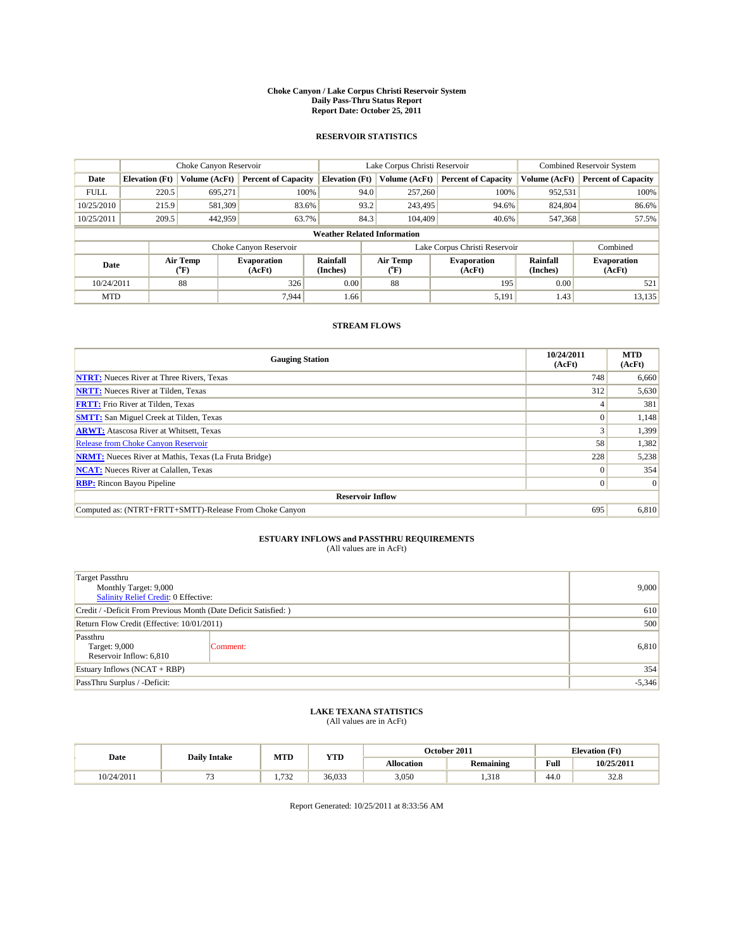#### **Choke Canyon / Lake Corpus Christi Reservoir System Daily Pass-Thru Status Report Report Date: October 25, 2011**

### **RESERVOIR STATISTICS**

|             | Choke Canyon Reservoir             |                      |                              |                             | Lake Corpus Christi Reservoir | Combined Reservoir System    |                      |                              |  |  |
|-------------|------------------------------------|----------------------|------------------------------|-----------------------------|-------------------------------|------------------------------|----------------------|------------------------------|--|--|
| Date        | <b>Elevation</b> (Ft)              | <b>Volume (AcFt)</b> | <b>Percent of Capacity</b>   | <b>Elevation</b> (Ft)       | Volume (AcFt)                 | <b>Percent of Capacity</b>   | Volume (AcFt)        | <b>Percent of Capacity</b>   |  |  |
| <b>FULL</b> | 220.5                              | 695,271              | 100%                         | 94.0                        | 257,260                       | 100%                         | 952,531              | 100%                         |  |  |
| 10/25/2010  | 215.9                              | 581,309              | 83.6%                        |                             | 93.2<br>243,495               | 94.6%                        | 824,804              | 86.6%                        |  |  |
| 10/25/2011  | 209.5                              | 442,959              | 63.7%                        | 84.3                        | 104,409                       | 40.6%                        | 547,368              | 57.5%                        |  |  |
|             | <b>Weather Related Information</b> |                      |                              |                             |                               |                              |                      |                              |  |  |
|             |                                    |                      | Choke Canyon Reservoir       |                             | Lake Corpus Christi Reservoir |                              |                      | Combined                     |  |  |
| Date        |                                    | Air Temp<br>(°F)     | <b>Evaporation</b><br>(AcFt) | <b>Rainfall</b><br>(Inches) | Air Temp<br>(°F)              | <b>Evaporation</b><br>(AcFt) | Rainfall<br>(Inches) | <b>Evaporation</b><br>(AcFt) |  |  |
| 10/24/2011  |                                    | 88                   | 326                          | 0.00                        | 88                            | 195                          | 0.00                 | 521                          |  |  |
| <b>MTD</b>  |                                    |                      | 7.944                        | 1.66                        |                               | 5,191                        | 1.43                 | 13,135                       |  |  |

## **STREAM FLOWS**

| <b>Gauging Station</b>                                       | 10/24/2011<br>(AcFt) | <b>MTD</b><br>(AcFt) |
|--------------------------------------------------------------|----------------------|----------------------|
| <b>NTRT:</b> Nueces River at Three Rivers, Texas             | 748                  | 6,660                |
| <b>NRTT:</b> Nueces River at Tilden, Texas                   | 312                  | 5,630                |
| <b>FRTT:</b> Frio River at Tilden, Texas                     |                      | 381                  |
| <b>SMTT:</b> San Miguel Creek at Tilden, Texas               |                      | 1,148                |
| <b>ARWT:</b> Atascosa River at Whitsett, Texas               |                      | 1,399                |
| Release from Choke Canyon Reservoir                          | 58                   | 1,382                |
| <b>NRMT:</b> Nueces River at Mathis, Texas (La Fruta Bridge) | 228                  | 5,238                |
| <b>NCAT:</b> Nueces River at Calallen, Texas                 | $\Omega$             | 354                  |
| <b>RBP:</b> Rincon Bayou Pipeline                            | $\overline{0}$       | $\Omega$             |
| <b>Reservoir Inflow</b>                                      |                      |                      |
| Computed as: (NTRT+FRTT+SMTT)-Release From Choke Canyon      | 695                  | 6,810                |

# **ESTUARY INFLOWS and PASSTHRU REQUIREMENTS**<br>(All values are in AcFt)

| Target Passthru<br>Monthly Target: 9,000<br>Salinity Relief Credit: 0 Effective: | 9,000    |          |
|----------------------------------------------------------------------------------|----------|----------|
| Credit / -Deficit From Previous Month (Date Deficit Satisfied: )                 |          | 610      |
| Return Flow Credit (Effective: 10/01/2011)                                       | 500      |          |
| Passthru<br>Target: 9,000<br>Reservoir Inflow: 6,810                             | Comment: | 6,810    |
| Estuary Inflows (NCAT + RBP)                                                     |          | 354      |
| PassThru Surplus / -Deficit:                                                     |          | $-5,346$ |

## **LAKE TEXANA STATISTICS** (All values are in AcFt)

|            | <b>Daily Intake</b> | MTD  | <b>YTD</b> |                   | October 2011     | <b>Elevation</b> (Ft)                       |                       |
|------------|---------------------|------|------------|-------------------|------------------|---------------------------------------------|-----------------------|
| Date       |                     |      |            | <b>Allocation</b> | <b>Remaining</b> | Full<br>the contract of the contract of the | 10/25/2011            |
| 10/24/2011 |                     | .732 | 36.033     | 3,050             | .318             | 44.0                                        | $\sim$ $\sim$<br>JZ.O |

Report Generated: 10/25/2011 at 8:33:56 AM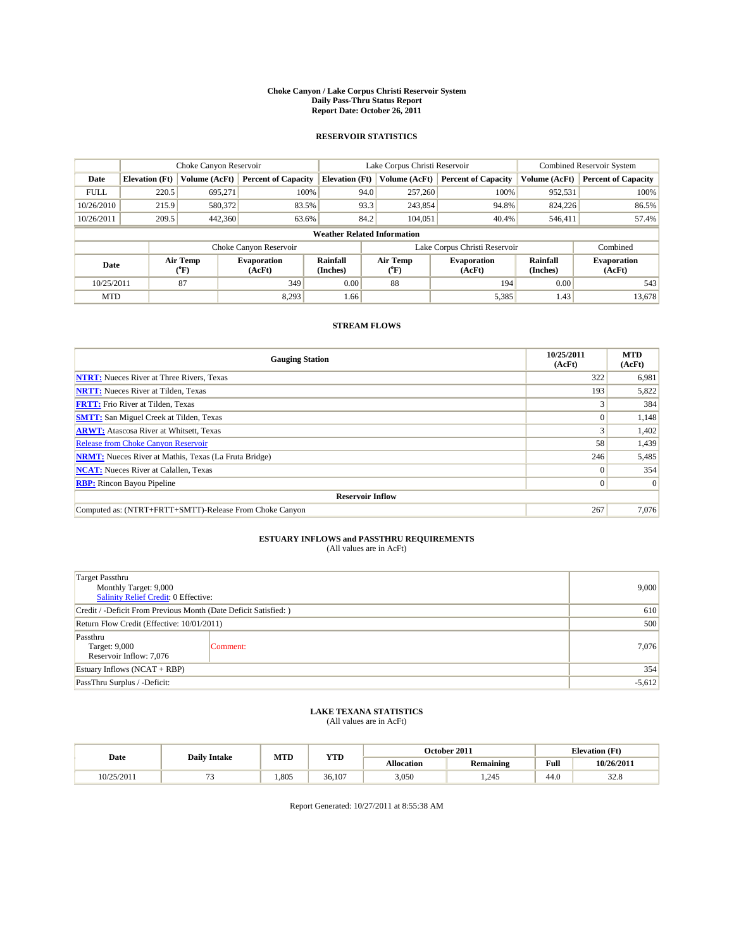#### **Choke Canyon / Lake Corpus Christi Reservoir System Daily Pass-Thru Status Report Report Date: October 26, 2011**

### **RESERVOIR STATISTICS**

|             | Choke Canyon Reservoir             |                      |                              |                             | Lake Corpus Christi Reservoir | Combined Reservoir System    |                      |                              |  |  |
|-------------|------------------------------------|----------------------|------------------------------|-----------------------------|-------------------------------|------------------------------|----------------------|------------------------------|--|--|
| Date        | <b>Elevation</b> (Ft)              | <b>Volume (AcFt)</b> | <b>Percent of Capacity</b>   | <b>Elevation</b> (Ft)       | Volume (AcFt)                 | <b>Percent of Capacity</b>   | Volume (AcFt)        | <b>Percent of Capacity</b>   |  |  |
| <b>FULL</b> | 220.5                              | 695,271              | 100%                         | 94.0                        | 257,260                       | 100%                         | 952,531              | 100%                         |  |  |
| 10/26/2010  | 215.9                              | 580,372              | 83.5%                        | 93.3                        | 243,854                       | 94.8%                        | 824,226              | 86.5%                        |  |  |
| 10/26/2011  | 209.5                              | 442,360              | 63.6%                        | 84.2                        | 104,051                       | 40.4%                        | 546,411              | 57.4%                        |  |  |
|             | <b>Weather Related Information</b> |                      |                              |                             |                               |                              |                      |                              |  |  |
|             |                                    |                      | Choke Canyon Reservoir       |                             | Lake Corpus Christi Reservoir |                              |                      | Combined                     |  |  |
| Date        |                                    | Air Temp<br>(°F)     | <b>Evaporation</b><br>(AcFt) | <b>Rainfall</b><br>(Inches) | Air Temp<br>(°F)              | <b>Evaporation</b><br>(AcFt) | Rainfall<br>(Inches) | <b>Evaporation</b><br>(AcFt) |  |  |
| 10/25/2011  |                                    | 87                   | 349                          | 0.00                        | 88                            | 194                          | 0.00                 | 543                          |  |  |
| <b>MTD</b>  |                                    |                      | 8.293                        | 1.66                        |                               | 5,385                        | 1.43                 | 13,678                       |  |  |

## **STREAM FLOWS**

| <b>Gauging Station</b>                                       | 10/25/2011<br>(AcFt) | <b>MTD</b><br>(AcFt) |
|--------------------------------------------------------------|----------------------|----------------------|
| <b>NTRT:</b> Nueces River at Three Rivers, Texas             | 322                  | 6,981                |
| <b>NRTT:</b> Nueces River at Tilden, Texas                   | 193                  | 5,822                |
| <b>FRTT:</b> Frio River at Tilden, Texas                     |                      | 384                  |
| <b>SMTT:</b> San Miguel Creek at Tilden, Texas               | $\theta$             | 1,148                |
| <b>ARWT:</b> Atascosa River at Whitsett, Texas               |                      | 1,402                |
| <b>Release from Choke Canyon Reservoir</b>                   | 58                   | 1,439                |
| <b>NRMT:</b> Nueces River at Mathis, Texas (La Fruta Bridge) | 246                  | 5,485                |
| <b>NCAT:</b> Nueces River at Calallen, Texas                 | $\Omega$             | 354                  |
| <b>RBP:</b> Rincon Bayou Pipeline                            | $\overline{0}$       | $\Omega$             |
| <b>Reservoir Inflow</b>                                      |                      |                      |
| Computed as: (NTRT+FRTT+SMTT)-Release From Choke Canyon      | 267                  | 7,076                |

# **ESTUARY INFLOWS and PASSTHRU REQUIREMENTS**<br>(All values are in AcFt)

| <b>Target Passthru</b><br>Monthly Target: 9,000<br>Salinity Relief Credit: 0 Effective: | 9,000    |       |  |  |
|-----------------------------------------------------------------------------------------|----------|-------|--|--|
| Credit / -Deficit From Previous Month (Date Deficit Satisfied: )                        |          | 610   |  |  |
| Return Flow Credit (Effective: 10/01/2011)                                              |          | 500   |  |  |
| Passthru<br>Target: 9,000<br>Reservoir Inflow: 7,076                                    | Comment: | 7,076 |  |  |
| Estuary Inflows (NCAT + RBP)                                                            |          | 354   |  |  |
| PassThru Surplus / -Deficit:                                                            |          |       |  |  |

## **LAKE TEXANA STATISTICS** (All values are in AcFt)

| Date       | <b>Daily Intake</b> | MTD  | <b>YTD</b> |                   | October 2011     |      | <b>Elevation</b> (Ft) |  |
|------------|---------------------|------|------------|-------------------|------------------|------|-----------------------|--|
|            |                     |      |            | <b>Allocation</b> | <b>Remaining</b> | Full | 10/26/2011            |  |
| 10/25/2011 |                     | .805 | 36.107     | 3,050             | .245             | 44.0 | $\sim$<br><i></i> 0   |  |

Report Generated: 10/27/2011 at 8:55:38 AM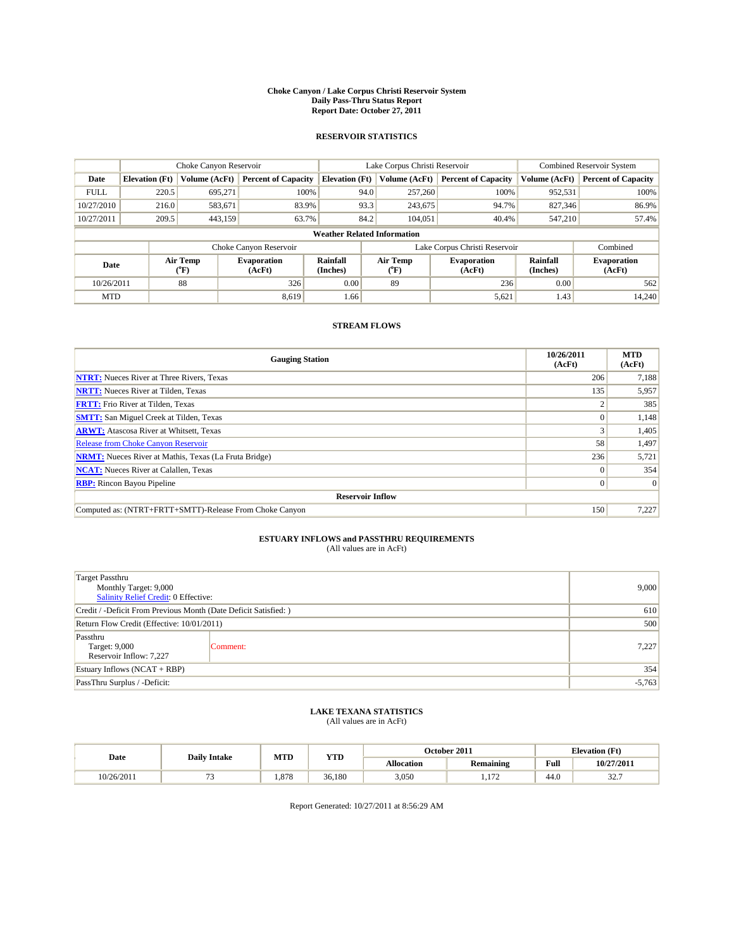#### **Choke Canyon / Lake Corpus Christi Reservoir System Daily Pass-Thru Status Report Report Date: October 27, 2011**

### **RESERVOIR STATISTICS**

|             | Choke Canyon Reservoir             |                          |                              |                       | Lake Corpus Christi Reservoir |                          |                              |                      | <b>Combined Reservoir System</b> |  |  |
|-------------|------------------------------------|--------------------------|------------------------------|-----------------------|-------------------------------|--------------------------|------------------------------|----------------------|----------------------------------|--|--|
| Date        | <b>Elevation</b> (Ft)              | Volume (AcFt)            | <b>Percent of Capacity</b>   | <b>Elevation</b> (Ft) |                               | Volume (AcFt)            | <b>Percent of Capacity</b>   | Volume (AcFt)        | <b>Percent of Capacity</b>       |  |  |
| <b>FULL</b> | 220.5                              | 695,271                  | 100%                         |                       | 94.0                          | 257,260                  | 100%                         | 952,531              | 100%                             |  |  |
| 10/27/2010  | 216.0                              | 583,671                  | 83.9%                        |                       | 93.3                          | 243,675                  | 94.7%                        | 827,346              | 86.9%                            |  |  |
| 10/27/2011  | 209.5                              | 443,159                  | 63.7%                        |                       | 84.2                          | 104,051                  | 40.4%                        | 547,210              | 57.4%                            |  |  |
|             | <b>Weather Related Information</b> |                          |                              |                       |                               |                          |                              |                      |                                  |  |  |
|             |                                    |                          | Choke Canyon Reservoir       |                       | Lake Corpus Christi Reservoir |                          |                              |                      | Combined                         |  |  |
| Date        |                                    | Air Temp<br>$\rm ^{o}F)$ | <b>Evaporation</b><br>(AcFt) | Rainfall<br>(Inches)  |                               | Air Temp<br>$\rm ^{o}F)$ | <b>Evaporation</b><br>(AcFt) | Rainfall<br>(Inches) | <b>Evaporation</b><br>(AcFt)     |  |  |
| 10/26/2011  |                                    | 88                       | 326                          | 0.00                  |                               | 89                       | 236                          | 0.00                 | 562                              |  |  |
| <b>MTD</b>  |                                    |                          | 8,619                        | 1.66                  |                               |                          | 5,621                        | 1.43                 | 14,240                           |  |  |

## **STREAM FLOWS**

| <b>Gauging Station</b>                                       | 10/26/2011<br>(AcFt) | <b>MTD</b><br>(AcFt) |
|--------------------------------------------------------------|----------------------|----------------------|
| <b>NTRT:</b> Nueces River at Three Rivers, Texas             | 206                  | 7,188                |
| <b>NRTT:</b> Nueces River at Tilden, Texas                   | 135                  | 5,957                |
| <b>FRTT:</b> Frio River at Tilden, Texas                     |                      | 385                  |
| <b>SMTT:</b> San Miguel Creek at Tilden, Texas               |                      | 1,148                |
| <b>ARWT:</b> Atascosa River at Whitsett, Texas               |                      | 1,405                |
| <b>Release from Choke Canyon Reservoir</b>                   | 58                   | 1,497                |
| <b>NRMT:</b> Nueces River at Mathis, Texas (La Fruta Bridge) | 236                  | 5,721                |
| <b>NCAT:</b> Nueces River at Calallen, Texas                 | $\theta$             | 354                  |
| <b>RBP:</b> Rincon Bayou Pipeline                            | $\overline{0}$       | $\Omega$             |
| <b>Reservoir Inflow</b>                                      |                      |                      |
| Computed as: (NTRT+FRTT+SMTT)-Release From Choke Canyon      | 150                  | 7,227                |

# **ESTUARY INFLOWS and PASSTHRU REQUIREMENTS**<br>(All values are in AcFt)

| <b>Target Passthru</b><br>Monthly Target: 9,000<br>Salinity Relief Credit: 0 Effective: | 9,000    |       |
|-----------------------------------------------------------------------------------------|----------|-------|
| Credit / -Deficit From Previous Month (Date Deficit Satisfied: )                        |          | 610   |
| Return Flow Credit (Effective: 10/01/2011)                                              |          | 500   |
| Passthru<br>Target: 9,000<br>Reservoir Inflow: 7,227                                    | Comment: | 7,227 |
| Estuary Inflows (NCAT + RBP)                                                            |          | 354   |
| PassThru Surplus / -Deficit:                                                            | $-5,763$ |       |

## **LAKE TEXANA STATISTICS** (All values are in AcFt)

|            | <b>Daily Intake</b> | MTD   | <b>YTD</b> |                   | October 2011     |      | <b>Elevation</b> (Ft) |
|------------|---------------------|-------|------------|-------------------|------------------|------|-----------------------|
| Date       |                     |       |            | <b>Allocation</b> | <b>Remaining</b> | Full | 10/27/2011            |
| 10/26/2011 |                     | 1.878 | 36.180     | 3,050             | 1.72<br>.        | 44.0 | $22 -$<br>، ، 20      |

Report Generated: 10/27/2011 at 8:56:29 AM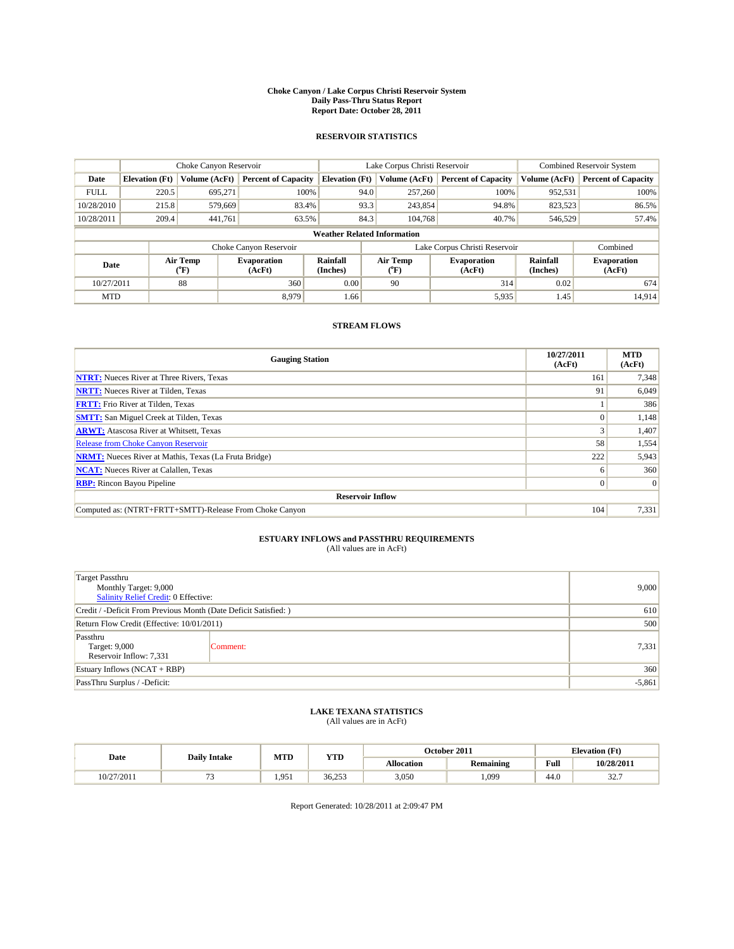#### **Choke Canyon / Lake Corpus Christi Reservoir System Daily Pass-Thru Status Report Report Date: October 28, 2011**

### **RESERVOIR STATISTICS**

|             | Choke Canyon Reservoir             |                      |                              |                             | Lake Corpus Christi Reservoir             | <b>Combined Reservoir System</b> |                      |                              |  |  |
|-------------|------------------------------------|----------------------|------------------------------|-----------------------------|-------------------------------------------|----------------------------------|----------------------|------------------------------|--|--|
| Date        | <b>Elevation</b> (Ft)              | <b>Volume (AcFt)</b> | <b>Percent of Capacity</b>   | <b>Elevation</b> (Ft)       | Volume (AcFt)                             | <b>Percent of Capacity</b>       | Volume (AcFt)        | <b>Percent of Capacity</b>   |  |  |
| <b>FULL</b> | 220.5                              | 695,271              | 100%                         | 94.0                        | 257,260                                   | 100%                             | 952,531              | 100%                         |  |  |
| 10/28/2010  | 215.8                              | 579,669              | 83.4%                        | 93.3                        | 243,854                                   | 94.8%                            | 823,523              | 86.5%                        |  |  |
| 10/28/2011  | 209.4                              | 441,761              | 63.5%                        | 84.3                        | 104.768                                   | 40.7%                            | 546,529              | 57.4%                        |  |  |
|             | <b>Weather Related Information</b> |                      |                              |                             |                                           |                                  |                      |                              |  |  |
|             |                                    |                      | Choke Canyon Reservoir       |                             |                                           | Lake Corpus Christi Reservoir    |                      | Combined                     |  |  |
| Date        |                                    | Air Temp<br>(°F)     | <b>Evaporation</b><br>(AcFt) | <b>Rainfall</b><br>(Inches) | Air Temp<br>$({}^{\mathrm{o}}\mathrm{F})$ | <b>Evaporation</b><br>(AcFt)     | Rainfall<br>(Inches) | <b>Evaporation</b><br>(AcFt) |  |  |
| 10/27/2011  |                                    | 88                   | 360                          | 0.00                        | 90                                        | 314                              | 0.02                 | 674                          |  |  |
| <b>MTD</b>  |                                    |                      | 8.979                        | 1.66                        |                                           | 5,935                            | 1.45                 | 14,914                       |  |  |

## **STREAM FLOWS**

| <b>Gauging Station</b>                                       | 10/27/2011<br>(AcFt) | <b>MTD</b><br>(AcFt) |
|--------------------------------------------------------------|----------------------|----------------------|
| <b>NTRT:</b> Nueces River at Three Rivers, Texas             | 161                  | 7,348                |
| <b>NRTT:</b> Nueces River at Tilden, Texas                   | 91                   | 6,049                |
| <b>FRTT:</b> Frio River at Tilden, Texas                     |                      | 386                  |
| <b>SMTT:</b> San Miguel Creek at Tilden, Texas               |                      | 1,148                |
| <b>ARWT:</b> Atascosa River at Whitsett, Texas               |                      | 1,407                |
| <b>Release from Choke Canyon Reservoir</b>                   | 58                   | 1,554                |
| <b>NRMT:</b> Nueces River at Mathis, Texas (La Fruta Bridge) | 222                  | 5,943                |
| <b>NCAT:</b> Nueces River at Calallen, Texas                 | <sub>0</sub>         | 360                  |
| <b>RBP:</b> Rincon Bayou Pipeline                            | $\overline{0}$       | $\Omega$             |
| <b>Reservoir Inflow</b>                                      |                      |                      |
| Computed as: (NTRT+FRTT+SMTT)-Release From Choke Canyon      | 104                  | 7,331                |

# **ESTUARY INFLOWS and PASSTHRU REQUIREMENTS**<br>(All values are in AcFt)

| <b>Target Passthru</b><br>Monthly Target: 9,000<br>Salinity Relief Credit: 0 Effective: | 9,000    |       |
|-----------------------------------------------------------------------------------------|----------|-------|
| Credit / -Deficit From Previous Month (Date Deficit Satisfied: )                        | 610      |       |
| Return Flow Credit (Effective: 10/01/2011)                                              | 500      |       |
| Passthru<br>Target: 9,000<br>Reservoir Inflow: 7,331                                    | Comment: | 7,331 |
| Estuary Inflows (NCAT + RBP)                                                            | 360      |       |
| PassThru Surplus / -Deficit:                                                            | $-5,861$ |       |

## **LAKE TEXANA STATISTICS** (All values are in AcFt)

|           | <b>Daily Intake</b> | MTD   | <b>YTD</b> | October 2011      |                  |      | <b>Elevation</b> (Ft) |
|-----------|---------------------|-------|------------|-------------------|------------------|------|-----------------------|
| Date      |                     |       |            | <b>Allocation</b> | <b>Remaining</b> | Full | 10/28/2011            |
| 0/27/2011 |                     | 1.951 | 36.253     | 3,050             | .099             | 44.0 | $22 -$<br>، ، 20      |

Report Generated: 10/28/2011 at 2:09:47 PM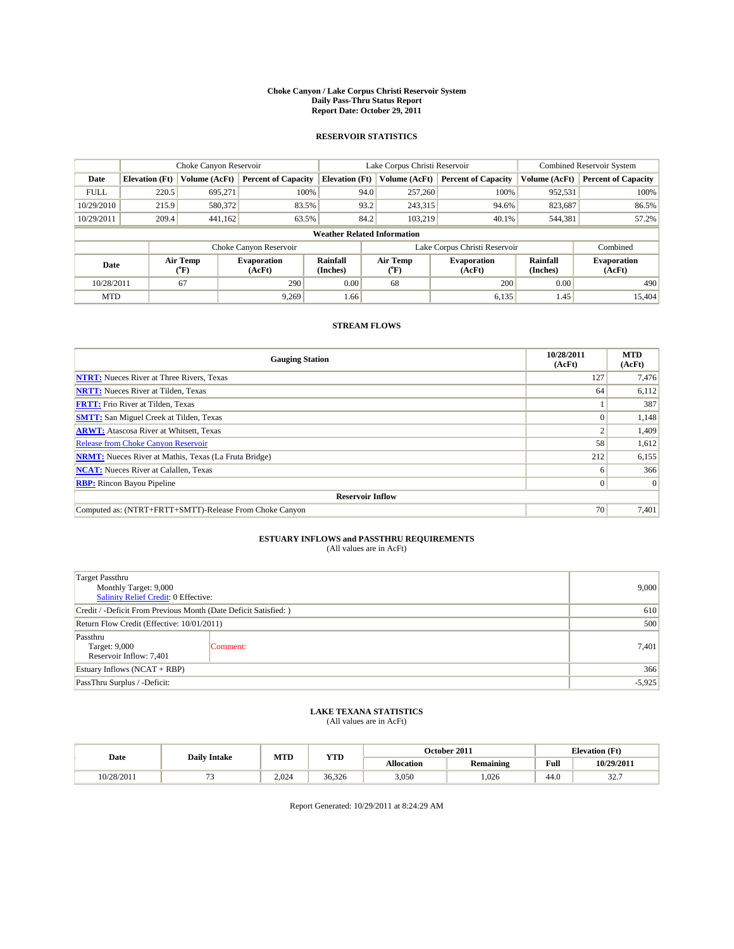#### **Choke Canyon / Lake Corpus Christi Reservoir System Daily Pass-Thru Status Report Report Date: October 29, 2011**

### **RESERVOIR STATISTICS**

|             | Choke Canyon Reservoir             |                             |                              |                             | Lake Corpus Christi Reservoir | <b>Combined Reservoir System</b> |                      |                              |  |
|-------------|------------------------------------|-----------------------------|------------------------------|-----------------------------|-------------------------------|----------------------------------|----------------------|------------------------------|--|
| Date        | <b>Elevation</b> (Ft)              | Volume (AcFt)               | <b>Percent of Capacity</b>   | <b>Elevation (Ft)</b>       | Volume (AcFt)                 | <b>Percent of Capacity</b>       | Volume (AcFt)        | <b>Percent of Capacity</b>   |  |
| <b>FULL</b> | 220.5                              | 695,271                     | 100%                         | 94.0                        | 257,260                       | 100%                             | 952,531              | 100%                         |  |
| 10/29/2010  | 215.9                              | 580,372                     | 83.5%                        | 93.2                        | 243,315                       | 94.6%                            | 823,687              | 86.5%                        |  |
| 10/29/2011  | 209.4                              | 441,162                     | 63.5%                        | 84.2                        | 103.219                       | 40.1%                            | 544,381              | 57.2%                        |  |
|             | <b>Weather Related Information</b> |                             |                              |                             |                               |                                  |                      |                              |  |
|             |                                    |                             | Choke Canyon Reservoir       |                             |                               | Lake Corpus Christi Reservoir    |                      | Combined                     |  |
| Date        |                                    | Air Temp<br>${}^{\circ}$ F) | <b>Evaporation</b><br>(AcFt) | <b>Rainfall</b><br>(Inches) | Air Temp<br>(°F)              | <b>Evaporation</b><br>(AcFt)     | Rainfall<br>(Inches) | <b>Evaporation</b><br>(AcFt) |  |
| 10/28/2011  |                                    | 67                          | 290                          | 0.00                        | 68                            | 200                              | 0.00                 | 490                          |  |
| <b>MTD</b>  |                                    |                             | 9.269                        | 1.66                        |                               | 6,135                            | 1.45                 | 15.404                       |  |

## **STREAM FLOWS**

| <b>Gauging Station</b>                                       | 10/28/2011<br>(AcFt) | <b>MTD</b><br>(AcFt) |
|--------------------------------------------------------------|----------------------|----------------------|
| <b>NTRT:</b> Nueces River at Three Rivers, Texas             | 127                  | 7,476                |
| <b>NRTT:</b> Nueces River at Tilden, Texas                   | 64                   | 6,112                |
| <b>FRTT:</b> Frio River at Tilden, Texas                     |                      | 387                  |
| <b>SMTT:</b> San Miguel Creek at Tilden, Texas               |                      | 1,148                |
| <b>ARWT:</b> Atascosa River at Whitsett, Texas               |                      | 1,409                |
| Release from Choke Canyon Reservoir                          | 58                   | 1,612                |
| <b>NRMT:</b> Nueces River at Mathis, Texas (La Fruta Bridge) | 212                  | 6,155                |
| <b>NCAT:</b> Nueces River at Calallen, Texas                 | 6                    | 366                  |
| <b>RBP:</b> Rincon Bayou Pipeline                            | $\overline{0}$       | $\Omega$             |
| <b>Reservoir Inflow</b>                                      |                      |                      |
| Computed as: (NTRT+FRTT+SMTT)-Release From Choke Canyon      | 70                   | 7,401                |

# **ESTUARY INFLOWS and PASSTHRU REQUIREMENTS**<br>(All values are in AcFt)

| <b>Target Passthru</b><br>Monthly Target: 9,000<br>Salinity Relief Credit: 0 Effective: | 9,000    |       |
|-----------------------------------------------------------------------------------------|----------|-------|
| Credit / -Deficit From Previous Month (Date Deficit Satisfied: )                        | 610      |       |
| Return Flow Credit (Effective: 10/01/2011)                                              | 500      |       |
| Passthru<br>Target: 9,000<br>Reservoir Inflow: 7,401                                    | Comment: | 7,401 |
| Estuary Inflows (NCAT + RBP)                                                            | 366      |       |
| PassThru Surplus / -Deficit:                                                            | $-5,925$ |       |

## **LAKE TEXANA STATISTICS** (All values are in AcFt)

|            | <b>Daily Intake</b> | MTD   | <b>YTD</b> |                   | October 2011     |      | <b>Elevation</b> (Ft)  |
|------------|---------------------|-------|------------|-------------------|------------------|------|------------------------|
| Date       |                     |       |            | <b>Allocation</b> | <b>Remaining</b> | Full | 10/29/2011             |
| 10/28/2011 |                     | 2.024 | 36.326     | 3,050             | .026             | 44.0 | $\sim$ $\sim$<br>. ، ک |

Report Generated: 10/29/2011 at 8:24:29 AM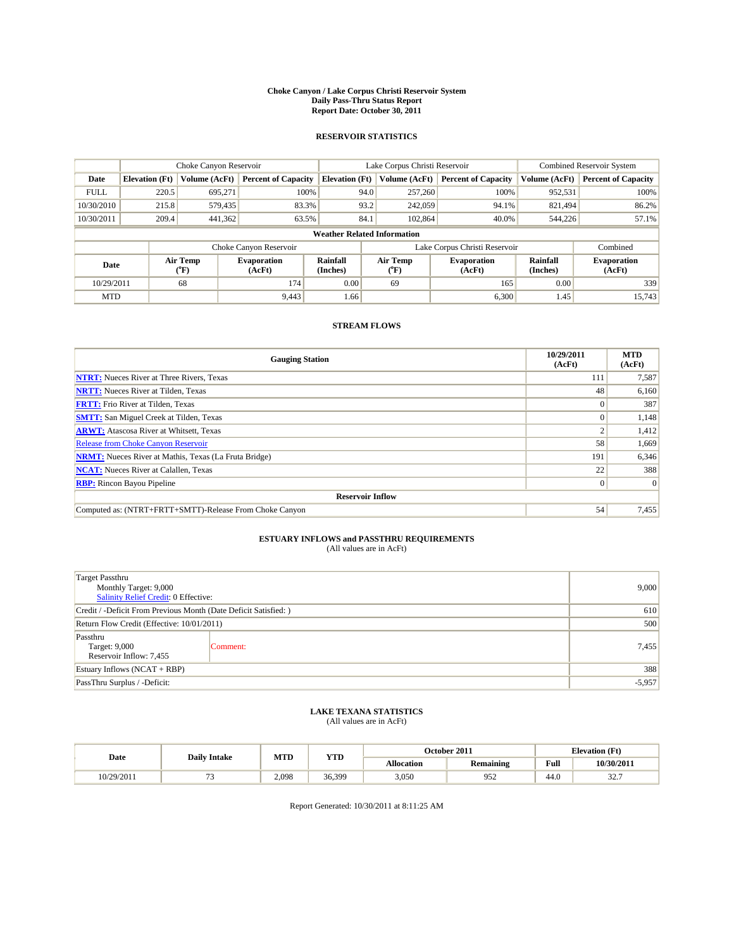#### **Choke Canyon / Lake Corpus Christi Reservoir System Daily Pass-Thru Status Report Report Date: October 30, 2011**

### **RESERVOIR STATISTICS**

|             | Choke Canyon Reservoir             |                      |                              |                             | Lake Corpus Christi Reservoir             | <b>Combined Reservoir System</b> |                      |                              |  |  |
|-------------|------------------------------------|----------------------|------------------------------|-----------------------------|-------------------------------------------|----------------------------------|----------------------|------------------------------|--|--|
| Date        | <b>Elevation</b> (Ft)              | <b>Volume (AcFt)</b> | <b>Percent of Capacity</b>   | <b>Elevation</b> (Ft)       | Volume (AcFt)                             | <b>Percent of Capacity</b>       | Volume (AcFt)        | <b>Percent of Capacity</b>   |  |  |
| <b>FULL</b> | 220.5                              | 695,271              | 100%                         |                             | 94.0<br>257,260                           | 100%                             | 952,531              | 100%                         |  |  |
| 10/30/2010  | 215.8                              | 579,435              | 83.3%                        |                             | 93.2<br>242,059                           | 94.1%                            | 821,494              | 86.2%                        |  |  |
| 10/30/2011  | 209.4                              | 441,362              | 63.5%                        |                             | 84.1<br>102,864                           | 40.0%                            | 544,226              | 57.1%                        |  |  |
|             | <b>Weather Related Information</b> |                      |                              |                             |                                           |                                  |                      |                              |  |  |
|             |                                    |                      | Choke Canyon Reservoir       |                             |                                           | Lake Corpus Christi Reservoir    |                      | Combined                     |  |  |
| Date        |                                    | Air Temp<br>(°F)     | <b>Evaporation</b><br>(AcFt) | <b>Rainfall</b><br>(Inches) | Air Temp<br>$({}^{\mathrm{o}}\mathrm{F})$ | <b>Evaporation</b><br>(AcFt)     | Rainfall<br>(Inches) | <b>Evaporation</b><br>(AcFt) |  |  |
| 10/29/2011  |                                    | 68                   | 174                          | 0.00                        | 69                                        | 165                              | 0.00                 | 339                          |  |  |
| <b>MTD</b>  |                                    |                      | 9,443                        | 1.66                        |                                           | 6,300                            | 1.45                 | 15.743                       |  |  |

## **STREAM FLOWS**

| <b>Gauging Station</b>                                       | 10/29/2011<br>(AcFt) | <b>MTD</b><br>(AcFt) |
|--------------------------------------------------------------|----------------------|----------------------|
| <b>NTRT:</b> Nueces River at Three Rivers, Texas             | 111                  | 7,587                |
| <b>NRTT:</b> Nueces River at Tilden, Texas                   | 48                   | 6,160                |
| <b>FRTT:</b> Frio River at Tilden, Texas                     |                      | 387                  |
| <b>SMTT:</b> San Miguel Creek at Tilden, Texas               | $\theta$             | 1,148                |
| <b>ARWT:</b> Atascosa River at Whitsett, Texas               |                      | 1,412                |
| <b>Release from Choke Canyon Reservoir</b>                   | 58                   | 1,669                |
| <b>NRMT:</b> Nueces River at Mathis, Texas (La Fruta Bridge) | 191                  | 6,346                |
| <b>NCAT:</b> Nueces River at Calallen, Texas                 | 22                   | 388                  |
| <b>RBP:</b> Rincon Bayou Pipeline                            | $\overline{0}$       | $\Omega$             |
| <b>Reservoir Inflow</b>                                      |                      |                      |
| Computed as: (NTRT+FRTT+SMTT)-Release From Choke Canyon      | 54                   | 7,455                |

# **ESTUARY INFLOWS and PASSTHRU REQUIREMENTS**<br>(All values are in AcFt)

| <b>Target Passthru</b><br>Monthly Target: 9,000<br><b>Salinity Relief Credit: 0 Effective:</b> | 9,000    |       |
|------------------------------------------------------------------------------------------------|----------|-------|
| Credit / -Deficit From Previous Month (Date Deficit Satisfied: )                               | 610      |       |
| Return Flow Credit (Effective: 10/01/2011)                                                     | 500      |       |
| Passthru<br>Target: 9,000<br>Reservoir Inflow: 7,455                                           | Comment: | 7,455 |
| Estuary Inflows $(NCAT + RBP)$                                                                 | 388      |       |
| PassThru Surplus / -Deficit:                                                                   | $-5,957$ |       |

## **LAKE TEXANA STATISTICS** (All values are in AcFt)

|            | <b>Daily Intake</b> |       | MTD<br>YTD |                   | October 2011 |                                             | <b>Elevation</b> (Ft) |
|------------|---------------------|-------|------------|-------------------|--------------|---------------------------------------------|-----------------------|
| Date       |                     |       |            | <b>Allocation</b> | Remaining    | Full<br>the contract of the contract of the | 10/30/2011            |
| 10/29/2011 |                     | 2.098 | 36.399     | 3,050             | 952          | 44.0                                        | $22 -$<br>، . ۷ د     |

Report Generated: 10/30/2011 at 8:11:25 AM